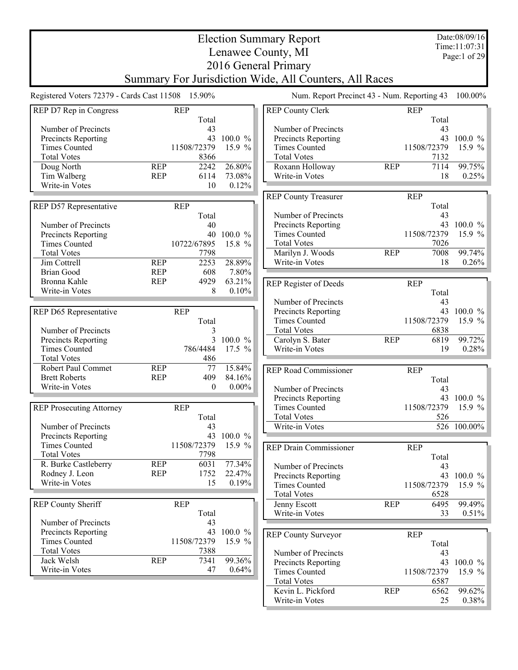|                                                   |                          |              |                  | <b>Election Summary Report</b>                         |            |             | Date:08/09/16   |
|---------------------------------------------------|--------------------------|--------------|------------------|--------------------------------------------------------|------------|-------------|-----------------|
|                                                   |                          |              |                  | Lenawee County, MI                                     |            |             | Time:11:07:31   |
|                                                   |                          |              |                  | 2016 General Primary                                   |            |             | Page:1 of 29    |
|                                                   |                          |              |                  |                                                        |            |             |                 |
|                                                   |                          |              |                  | Summary For Jurisdiction Wide, All Counters, All Races |            |             |                 |
| Registered Voters 72379 - Cards Cast 11508 15.90% |                          |              |                  | Num. Report Precinct 43 - Num. Reporting 43            |            |             | 100.00%         |
| REP D7 Rep in Congress                            | <b>REP</b>               |              |                  | <b>REP County Clerk</b>                                |            | <b>REP</b>  |                 |
|                                                   |                          | Total        |                  |                                                        |            | Total       |                 |
| Number of Precincts                               |                          | 43           |                  | Number of Precincts                                    |            | 43          |                 |
| Precincts Reporting                               |                          |              | 43 100.0 %       | Precincts Reporting                                    |            |             | 43 100.0 %      |
| <b>Times Counted</b>                              |                          | 11508/72379  | 15.9 %           | <b>Times Counted</b>                                   |            | 11508/72379 | 15.9 $%$        |
| <b>Total Votes</b>                                |                          | 8366         |                  | <b>Total Votes</b>                                     |            | 7132        |                 |
| Doug North<br>Tim Walberg                         | <b>REP</b><br><b>REP</b> | 2242<br>6114 | 26.80%<br>73.08% | Roxann Holloway<br>Write-in Votes                      | <b>REP</b> | 7114<br>18  | 99.75%<br>0.25% |
| Write-in Votes                                    |                          | 10           | 0.12%            |                                                        |            |             |                 |
|                                                   |                          |              |                  | <b>REP County Treasurer</b>                            |            | <b>REP</b>  |                 |
| REP D57 Representative                            | <b>REP</b>               |              |                  |                                                        |            | Total       |                 |
|                                                   |                          | Total        |                  | Number of Precincts                                    |            | 43          |                 |
| Number of Precincts                               |                          | 40           |                  | Precincts Reporting                                    |            |             | 43 100.0 %      |
| Precincts Reporting                               |                          | 40           | $100.0 \%$       | <b>Times Counted</b>                                   |            | 11508/72379 | 15.9 %          |
| <b>Times Counted</b>                              |                          | 10722/67895  | 15.8 %           | <b>Total Votes</b>                                     |            | 7026        |                 |
| <b>Total Votes</b>                                |                          | 7798         |                  | Marilyn J. Woods                                       | <b>REP</b> | 7008        | 99.74%          |
| Jim Cottrell                                      | <b>REP</b>               | 2253         | 28.89%           | Write-in Votes                                         |            | 18          | $0.26\%$        |
| <b>Brian Good</b>                                 | <b>REP</b>               | 608          | 7.80%            |                                                        |            |             |                 |
| Bronna Kahle                                      | <b>REP</b>               | 4929         | 63.21%           | REP Register of Deeds                                  |            | <b>REP</b>  |                 |
| Write-in Votes                                    |                          | 8            | 0.10%            |                                                        |            | Total       |                 |
|                                                   |                          |              |                  | Number of Precincts                                    |            | 43          |                 |
| REP D65 Representative                            | <b>REP</b>               |              |                  | Precincts Reporting                                    |            |             | 43 100.0 %      |
|                                                   |                          | Total        |                  | <b>Times Counted</b>                                   |            | 11508/72379 | 15.9 $%$        |
| Number of Precincts                               |                          | 3            |                  | <b>Total Votes</b>                                     |            | 6838        |                 |
| Precincts Reporting                               |                          |              | 3 100.0 %        | Carolyn S. Bater                                       | <b>REP</b> | 6819        | 99.72%          |
| <b>Times Counted</b>                              |                          | 786/4484     | 17.5 %           | Write-in Votes                                         |            | 19          | 0.28%           |
| <b>Total Votes</b>                                |                          | 486          |                  |                                                        |            |             |                 |
| Robert Paul Commet                                | <b>REP</b>               | 77           | 15.84%           | <b>REP Road Commissioner</b>                           |            | <b>REP</b>  |                 |
| <b>Brett Roberts</b>                              | <b>REP</b>               | 409          | 84.16%           |                                                        |            | Total       |                 |
| Write-in Votes                                    |                          | $\theta$     | $0.00\%$         | Number of Precincts                                    |            | 43          |                 |
|                                                   |                          |              |                  | Precincts Reporting                                    |            |             | 43 100.0 %      |
| <b>REP Prosecuting Attorney</b>                   | <b>REP</b>               |              |                  | <b>Times Counted</b>                                   |            | 11508/72379 | 15.9 %          |
|                                                   |                          | Total        |                  | <b>Total Votes</b>                                     |            | 526         |                 |
| Number of Precincts                               |                          | 43           |                  | Write-in Votes                                         |            |             | 526 100.00%     |
| Precincts Reporting                               |                          | 43           | 100.0 %          |                                                        |            |             |                 |
| <b>Times Counted</b>                              |                          | 11508/72379  | 15.9 %           | <b>REP Drain Commissioner</b>                          |            | <b>REP</b>  |                 |
| <b>Total Votes</b>                                |                          | 7798         |                  |                                                        |            | Total       |                 |
| R. Burke Castleberry                              | <b>REP</b>               | 6031         | 77.34%           | Number of Precincts                                    |            | 43          |                 |
| Rodney J. Leon<br>Write-in Votes                  | <b>REP</b>               | 1752<br>15   | 22.47%<br>0.19%  | Precincts Reporting                                    |            | 43          | 100.0 %         |
|                                                   |                          |              |                  | <b>Times Counted</b>                                   |            | 11508/72379 | 15.9 $%$        |
|                                                   |                          |              |                  | <b>Total Votes</b>                                     |            | 6528        |                 |
| <b>REP County Sheriff</b>                         | <b>REP</b>               |              |                  | Jenny Escott                                           | <b>REP</b> | 6495        | 99.49%          |
| Number of Precincts                               |                          | Total<br>43  |                  | Write-in Votes                                         |            | 33          | $0.51\%$        |
| Precincts Reporting                               |                          |              | 43 100.0 %       |                                                        |            |             |                 |
| <b>Times Counted</b>                              |                          | 11508/72379  | 15.9 %           | <b>REP County Surveyor</b>                             |            | <b>REP</b>  |                 |
| <b>Total Votes</b>                                |                          | 7388         |                  |                                                        |            | Total       |                 |
| Jack Welsh                                        | <b>REP</b>               | 7341         | 99.36%           | Number of Precincts                                    |            | 43          | 43 100.0 %      |
| Write-in Votes                                    |                          | 47           | 0.64%            | Precincts Reporting<br><b>Times Counted</b>            |            | 11508/72379 | 15.9 $%$        |
|                                                   |                          |              |                  | <b>Total Votes</b>                                     |            | 6587        |                 |
|                                                   |                          |              |                  | Kevin L. Pickford                                      | <b>REP</b> | 6562        | 99.62%          |
|                                                   |                          |              |                  | Write-in Votes                                         |            | 25          | 0.38%           |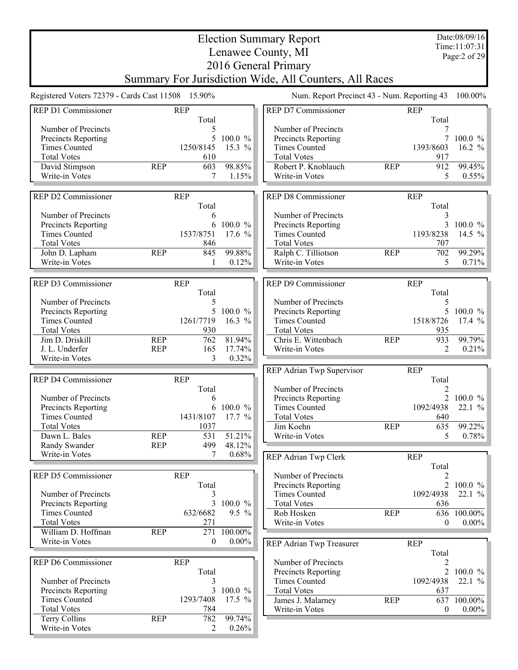| Time:11:07:31<br>Lenawee County, MI<br>Page:2 of 29<br>2016 General Primary<br>Summary For Jurisdiction Wide, All Counters, All Races<br>Registered Voters 72379 - Cards Cast 11508 15.90%<br>Num. Report Precinct 43 - Num. Reporting 43<br>100.00%<br>REP D1 Commissioner<br><b>REP</b><br>REP D7 Commissioner<br><b>REP</b><br>Total<br>Total<br>Number of Precincts<br>Number of Precincts<br>5<br>5<br>7<br>Precincts Reporting<br>100.0 %<br>Precincts Reporting<br>$100.0 \%$<br><b>Times Counted</b><br><b>Times Counted</b><br>1250/8145<br>15.3 $%$<br>1393/8603<br>16.2 $%$<br><b>Total Votes</b><br><b>Total Votes</b><br>610<br>917<br>98.85%<br>Robert P. Knoblauch<br>912<br>99.45%<br>David Stimpson<br><b>REP</b><br>603<br><b>REP</b><br>Write-in Votes<br>7<br>1.15%<br>Write-in Votes<br>5<br>0.55%<br>REP D2 Commissioner<br>REP D8 Commissioner<br><b>REP</b><br><b>REP</b><br>Total<br>Total<br>Number of Precincts<br>Number of Precincts<br>3<br>6<br>100.0 %<br>3<br>Precincts Reporting<br>6<br>Precincts Reporting<br>17.6 %<br><b>Times Counted</b><br>1537/8751<br><b>Times Counted</b><br>1193/8238<br><b>Total Votes</b><br><b>Total Votes</b><br>846<br>707<br>99.88%<br>John D. Lapham<br><b>REP</b><br>845<br>Ralph C. Tilliotson<br><b>REP</b><br>702<br>Write-in Votes<br>0.12%<br>Write-in Votes<br>5<br>1<br>REP D3 Commissioner<br><b>REP</b><br>REP D9 Commissioner<br><b>REP</b><br>Total<br>Total<br>Number of Precincts<br>Number of Precincts<br>5<br>5<br>5<br>100.0 %<br>Precincts Reporting<br>Precincts Reporting<br>5<br><b>Times Counted</b><br>16.3 $%$<br><b>Times Counted</b><br>1518/8726<br>1261/7719<br><b>Total Votes</b><br>930<br><b>Total Votes</b><br>935<br>81.94%<br>Chris E. Wittenbach<br>933<br>Jim D. Driskill<br><b>REP</b><br>762<br><b>REP</b><br><b>REP</b><br>165<br>J. L. Underfer<br>17.74%<br>Write-in Votes<br>2<br>3<br>Write-in Votes<br>0.32%<br><b>REP</b><br>REP Adrian Twp Supervisor<br>REP D4 Commissioner<br><b>REP</b><br>Total<br>Number of Precincts<br>Total<br>2<br>$\overline{2}$<br>Number of Precincts<br>Precincts Reporting<br>6<br>Precincts Reporting<br>6 100.0 %<br><b>Times Counted</b><br>1092/4938<br><b>Times Counted</b><br>1431/8107<br>17.7 %<br><b>Total Votes</b><br>640<br><b>Total Votes</b><br>Jim Koehn<br><b>REP</b><br>635<br>1037<br>51.21%<br>Dawn L. Bales<br><b>REP</b><br>531<br>Write-in Votes<br>5<br><b>REP</b><br>48.12%<br>Randy Swander<br>499<br>Write-in Votes<br>7<br>0.68%<br>REP Adrian Twp Clerk<br><b>REP</b><br>Total<br>REP D5 Commissioner<br><b>REP</b><br>Number of Precincts<br>2<br>Total<br>Precincts Reporting<br>1092/4938<br>Number of Precincts<br><b>Times Counted</b><br>3<br>3<br>100.0 %<br>Precincts Reporting<br><b>Total Votes</b><br>636<br><b>Times Counted</b><br>$9.5\%$<br>Rob Hosken<br>632/6682<br><b>REP</b><br>636<br><b>Total Votes</b><br>271<br>Write-in Votes<br>$\mathbf{0}$<br>William D. Hoffman<br>100.00%<br><b>REP</b><br>271<br>Write-in Votes<br>$\theta$<br>$0.00\%$<br>REP Adrian Twp Treasurer<br><b>REP</b><br>Total<br>REP D6 Commissioner<br><b>REP</b><br>Number of Precincts<br>2<br>Total<br>Precincts Reporting<br>1092/4938<br>Number of Precincts<br><b>Times Counted</b><br>3<br>100.0 %<br>3<br><b>Total Votes</b><br>Precincts Reporting<br>637<br><b>Times Counted</b><br>1293/7408<br>17.5 $%$<br><b>REP</b><br>James J. Malarney<br>637<br><b>Total Votes</b><br>784<br>Write-in Votes<br>$\boldsymbol{0}$<br>Terry Collins<br>99.74%<br><b>REP</b><br>782<br>Write-in Votes<br>2<br>0.26% |  |  | <b>Election Summary Report</b> |  | Date:08/09/16 |
|-------------------------------------------------------------------------------------------------------------------------------------------------------------------------------------------------------------------------------------------------------------------------------------------------------------------------------------------------------------------------------------------------------------------------------------------------------------------------------------------------------------------------------------------------------------------------------------------------------------------------------------------------------------------------------------------------------------------------------------------------------------------------------------------------------------------------------------------------------------------------------------------------------------------------------------------------------------------------------------------------------------------------------------------------------------------------------------------------------------------------------------------------------------------------------------------------------------------------------------------------------------------------------------------------------------------------------------------------------------------------------------------------------------------------------------------------------------------------------------------------------------------------------------------------------------------------------------------------------------------------------------------------------------------------------------------------------------------------------------------------------------------------------------------------------------------------------------------------------------------------------------------------------------------------------------------------------------------------------------------------------------------------------------------------------------------------------------------------------------------------------------------------------------------------------------------------------------------------------------------------------------------------------------------------------------------------------------------------------------------------------------------------------------------------------------------------------------------------------------------------------------------------------------------------------------------------------------------------------------------------------------------------------------------------------------------------------------------------------------------------------------------------------------------------------------------------------------------------------------------------------------------------------------------------------------------------------------------------------------------------------------------------------------------------------------------------------------------------------------------------------------------------------------------------------------------------------------------------------------------------------------------------------------------------------------------------------------------------------------------------------------------------------------------------------------------------------------------------------------------------------------------------------------------------------------------------------------------|--|--|--------------------------------|--|---------------|
|                                                                                                                                                                                                                                                                                                                                                                                                                                                                                                                                                                                                                                                                                                                                                                                                                                                                                                                                                                                                                                                                                                                                                                                                                                                                                                                                                                                                                                                                                                                                                                                                                                                                                                                                                                                                                                                                                                                                                                                                                                                                                                                                                                                                                                                                                                                                                                                                                                                                                                                                                                                                                                                                                                                                                                                                                                                                                                                                                                                                                                                                                                                                                                                                                                                                                                                                                                                                                                                                                                                                                                                           |  |  |                                |  |               |
|                                                                                                                                                                                                                                                                                                                                                                                                                                                                                                                                                                                                                                                                                                                                                                                                                                                                                                                                                                                                                                                                                                                                                                                                                                                                                                                                                                                                                                                                                                                                                                                                                                                                                                                                                                                                                                                                                                                                                                                                                                                                                                                                                                                                                                                                                                                                                                                                                                                                                                                                                                                                                                                                                                                                                                                                                                                                                                                                                                                                                                                                                                                                                                                                                                                                                                                                                                                                                                                                                                                                                                                           |  |  |                                |  |               |
|                                                                                                                                                                                                                                                                                                                                                                                                                                                                                                                                                                                                                                                                                                                                                                                                                                                                                                                                                                                                                                                                                                                                                                                                                                                                                                                                                                                                                                                                                                                                                                                                                                                                                                                                                                                                                                                                                                                                                                                                                                                                                                                                                                                                                                                                                                                                                                                                                                                                                                                                                                                                                                                                                                                                                                                                                                                                                                                                                                                                                                                                                                                                                                                                                                                                                                                                                                                                                                                                                                                                                                                           |  |  |                                |  |               |
|                                                                                                                                                                                                                                                                                                                                                                                                                                                                                                                                                                                                                                                                                                                                                                                                                                                                                                                                                                                                                                                                                                                                                                                                                                                                                                                                                                                                                                                                                                                                                                                                                                                                                                                                                                                                                                                                                                                                                                                                                                                                                                                                                                                                                                                                                                                                                                                                                                                                                                                                                                                                                                                                                                                                                                                                                                                                                                                                                                                                                                                                                                                                                                                                                                                                                                                                                                                                                                                                                                                                                                                           |  |  |                                |  |               |
|                                                                                                                                                                                                                                                                                                                                                                                                                                                                                                                                                                                                                                                                                                                                                                                                                                                                                                                                                                                                                                                                                                                                                                                                                                                                                                                                                                                                                                                                                                                                                                                                                                                                                                                                                                                                                                                                                                                                                                                                                                                                                                                                                                                                                                                                                                                                                                                                                                                                                                                                                                                                                                                                                                                                                                                                                                                                                                                                                                                                                                                                                                                                                                                                                                                                                                                                                                                                                                                                                                                                                                                           |  |  |                                |  |               |
|                                                                                                                                                                                                                                                                                                                                                                                                                                                                                                                                                                                                                                                                                                                                                                                                                                                                                                                                                                                                                                                                                                                                                                                                                                                                                                                                                                                                                                                                                                                                                                                                                                                                                                                                                                                                                                                                                                                                                                                                                                                                                                                                                                                                                                                                                                                                                                                                                                                                                                                                                                                                                                                                                                                                                                                                                                                                                                                                                                                                                                                                                                                                                                                                                                                                                                                                                                                                                                                                                                                                                                                           |  |  |                                |  |               |
|                                                                                                                                                                                                                                                                                                                                                                                                                                                                                                                                                                                                                                                                                                                                                                                                                                                                                                                                                                                                                                                                                                                                                                                                                                                                                                                                                                                                                                                                                                                                                                                                                                                                                                                                                                                                                                                                                                                                                                                                                                                                                                                                                                                                                                                                                                                                                                                                                                                                                                                                                                                                                                                                                                                                                                                                                                                                                                                                                                                                                                                                                                                                                                                                                                                                                                                                                                                                                                                                                                                                                                                           |  |  |                                |  |               |
|                                                                                                                                                                                                                                                                                                                                                                                                                                                                                                                                                                                                                                                                                                                                                                                                                                                                                                                                                                                                                                                                                                                                                                                                                                                                                                                                                                                                                                                                                                                                                                                                                                                                                                                                                                                                                                                                                                                                                                                                                                                                                                                                                                                                                                                                                                                                                                                                                                                                                                                                                                                                                                                                                                                                                                                                                                                                                                                                                                                                                                                                                                                                                                                                                                                                                                                                                                                                                                                                                                                                                                                           |  |  |                                |  |               |
|                                                                                                                                                                                                                                                                                                                                                                                                                                                                                                                                                                                                                                                                                                                                                                                                                                                                                                                                                                                                                                                                                                                                                                                                                                                                                                                                                                                                                                                                                                                                                                                                                                                                                                                                                                                                                                                                                                                                                                                                                                                                                                                                                                                                                                                                                                                                                                                                                                                                                                                                                                                                                                                                                                                                                                                                                                                                                                                                                                                                                                                                                                                                                                                                                                                                                                                                                                                                                                                                                                                                                                                           |  |  |                                |  |               |
| 100.0 $%$<br>14.5 $%$<br>99.29%<br>0.71%<br>$100.0 \%$<br>17.4%<br>99.79%<br>0.21%<br>$100.0 \%$<br>22.1 %<br>99.22%<br>0.78%<br>2 100.0 $\%$<br>22.1%<br>100.00%<br>$0.00\%$<br>2 100.0 $\%$<br>22.1%<br>100.00%<br>$0.00\%$                                                                                                                                                                                                                                                                                                                                                                                                                                                                                                                                                                                                                                                                                                                                                                                                                                                                                                                                                                                                                                                                                                                                                                                                                                                                                                                                                                                                                                                                                                                                                                                                                                                                                                                                                                                                                                                                                                                                                                                                                                                                                                                                                                                                                                                                                                                                                                                                                                                                                                                                                                                                                                                                                                                                                                                                                                                                                                                                                                                                                                                                                                                                                                                                                                                                                                                                                             |  |  |                                |  |               |
|                                                                                                                                                                                                                                                                                                                                                                                                                                                                                                                                                                                                                                                                                                                                                                                                                                                                                                                                                                                                                                                                                                                                                                                                                                                                                                                                                                                                                                                                                                                                                                                                                                                                                                                                                                                                                                                                                                                                                                                                                                                                                                                                                                                                                                                                                                                                                                                                                                                                                                                                                                                                                                                                                                                                                                                                                                                                                                                                                                                                                                                                                                                                                                                                                                                                                                                                                                                                                                                                                                                                                                                           |  |  |                                |  |               |
|                                                                                                                                                                                                                                                                                                                                                                                                                                                                                                                                                                                                                                                                                                                                                                                                                                                                                                                                                                                                                                                                                                                                                                                                                                                                                                                                                                                                                                                                                                                                                                                                                                                                                                                                                                                                                                                                                                                                                                                                                                                                                                                                                                                                                                                                                                                                                                                                                                                                                                                                                                                                                                                                                                                                                                                                                                                                                                                                                                                                                                                                                                                                                                                                                                                                                                                                                                                                                                                                                                                                                                                           |  |  |                                |  |               |
|                                                                                                                                                                                                                                                                                                                                                                                                                                                                                                                                                                                                                                                                                                                                                                                                                                                                                                                                                                                                                                                                                                                                                                                                                                                                                                                                                                                                                                                                                                                                                                                                                                                                                                                                                                                                                                                                                                                                                                                                                                                                                                                                                                                                                                                                                                                                                                                                                                                                                                                                                                                                                                                                                                                                                                                                                                                                                                                                                                                                                                                                                                                                                                                                                                                                                                                                                                                                                                                                                                                                                                                           |  |  |                                |  |               |
|                                                                                                                                                                                                                                                                                                                                                                                                                                                                                                                                                                                                                                                                                                                                                                                                                                                                                                                                                                                                                                                                                                                                                                                                                                                                                                                                                                                                                                                                                                                                                                                                                                                                                                                                                                                                                                                                                                                                                                                                                                                                                                                                                                                                                                                                                                                                                                                                                                                                                                                                                                                                                                                                                                                                                                                                                                                                                                                                                                                                                                                                                                                                                                                                                                                                                                                                                                                                                                                                                                                                                                                           |  |  |                                |  |               |
|                                                                                                                                                                                                                                                                                                                                                                                                                                                                                                                                                                                                                                                                                                                                                                                                                                                                                                                                                                                                                                                                                                                                                                                                                                                                                                                                                                                                                                                                                                                                                                                                                                                                                                                                                                                                                                                                                                                                                                                                                                                                                                                                                                                                                                                                                                                                                                                                                                                                                                                                                                                                                                                                                                                                                                                                                                                                                                                                                                                                                                                                                                                                                                                                                                                                                                                                                                                                                                                                                                                                                                                           |  |  |                                |  |               |
|                                                                                                                                                                                                                                                                                                                                                                                                                                                                                                                                                                                                                                                                                                                                                                                                                                                                                                                                                                                                                                                                                                                                                                                                                                                                                                                                                                                                                                                                                                                                                                                                                                                                                                                                                                                                                                                                                                                                                                                                                                                                                                                                                                                                                                                                                                                                                                                                                                                                                                                                                                                                                                                                                                                                                                                                                                                                                                                                                                                                                                                                                                                                                                                                                                                                                                                                                                                                                                                                                                                                                                                           |  |  |                                |  |               |
|                                                                                                                                                                                                                                                                                                                                                                                                                                                                                                                                                                                                                                                                                                                                                                                                                                                                                                                                                                                                                                                                                                                                                                                                                                                                                                                                                                                                                                                                                                                                                                                                                                                                                                                                                                                                                                                                                                                                                                                                                                                                                                                                                                                                                                                                                                                                                                                                                                                                                                                                                                                                                                                                                                                                                                                                                                                                                                                                                                                                                                                                                                                                                                                                                                                                                                                                                                                                                                                                                                                                                                                           |  |  |                                |  |               |
|                                                                                                                                                                                                                                                                                                                                                                                                                                                                                                                                                                                                                                                                                                                                                                                                                                                                                                                                                                                                                                                                                                                                                                                                                                                                                                                                                                                                                                                                                                                                                                                                                                                                                                                                                                                                                                                                                                                                                                                                                                                                                                                                                                                                                                                                                                                                                                                                                                                                                                                                                                                                                                                                                                                                                                                                                                                                                                                                                                                                                                                                                                                                                                                                                                                                                                                                                                                                                                                                                                                                                                                           |  |  |                                |  |               |
|                                                                                                                                                                                                                                                                                                                                                                                                                                                                                                                                                                                                                                                                                                                                                                                                                                                                                                                                                                                                                                                                                                                                                                                                                                                                                                                                                                                                                                                                                                                                                                                                                                                                                                                                                                                                                                                                                                                                                                                                                                                                                                                                                                                                                                                                                                                                                                                                                                                                                                                                                                                                                                                                                                                                                                                                                                                                                                                                                                                                                                                                                                                                                                                                                                                                                                                                                                                                                                                                                                                                                                                           |  |  |                                |  |               |
|                                                                                                                                                                                                                                                                                                                                                                                                                                                                                                                                                                                                                                                                                                                                                                                                                                                                                                                                                                                                                                                                                                                                                                                                                                                                                                                                                                                                                                                                                                                                                                                                                                                                                                                                                                                                                                                                                                                                                                                                                                                                                                                                                                                                                                                                                                                                                                                                                                                                                                                                                                                                                                                                                                                                                                                                                                                                                                                                                                                                                                                                                                                                                                                                                                                                                                                                                                                                                                                                                                                                                                                           |  |  |                                |  |               |
|                                                                                                                                                                                                                                                                                                                                                                                                                                                                                                                                                                                                                                                                                                                                                                                                                                                                                                                                                                                                                                                                                                                                                                                                                                                                                                                                                                                                                                                                                                                                                                                                                                                                                                                                                                                                                                                                                                                                                                                                                                                                                                                                                                                                                                                                                                                                                                                                                                                                                                                                                                                                                                                                                                                                                                                                                                                                                                                                                                                                                                                                                                                                                                                                                                                                                                                                                                                                                                                                                                                                                                                           |  |  |                                |  |               |
|                                                                                                                                                                                                                                                                                                                                                                                                                                                                                                                                                                                                                                                                                                                                                                                                                                                                                                                                                                                                                                                                                                                                                                                                                                                                                                                                                                                                                                                                                                                                                                                                                                                                                                                                                                                                                                                                                                                                                                                                                                                                                                                                                                                                                                                                                                                                                                                                                                                                                                                                                                                                                                                                                                                                                                                                                                                                                                                                                                                                                                                                                                                                                                                                                                                                                                                                                                                                                                                                                                                                                                                           |  |  |                                |  |               |
|                                                                                                                                                                                                                                                                                                                                                                                                                                                                                                                                                                                                                                                                                                                                                                                                                                                                                                                                                                                                                                                                                                                                                                                                                                                                                                                                                                                                                                                                                                                                                                                                                                                                                                                                                                                                                                                                                                                                                                                                                                                                                                                                                                                                                                                                                                                                                                                                                                                                                                                                                                                                                                                                                                                                                                                                                                                                                                                                                                                                                                                                                                                                                                                                                                                                                                                                                                                                                                                                                                                                                                                           |  |  |                                |  |               |
|                                                                                                                                                                                                                                                                                                                                                                                                                                                                                                                                                                                                                                                                                                                                                                                                                                                                                                                                                                                                                                                                                                                                                                                                                                                                                                                                                                                                                                                                                                                                                                                                                                                                                                                                                                                                                                                                                                                                                                                                                                                                                                                                                                                                                                                                                                                                                                                                                                                                                                                                                                                                                                                                                                                                                                                                                                                                                                                                                                                                                                                                                                                                                                                                                                                                                                                                                                                                                                                                                                                                                                                           |  |  |                                |  |               |
|                                                                                                                                                                                                                                                                                                                                                                                                                                                                                                                                                                                                                                                                                                                                                                                                                                                                                                                                                                                                                                                                                                                                                                                                                                                                                                                                                                                                                                                                                                                                                                                                                                                                                                                                                                                                                                                                                                                                                                                                                                                                                                                                                                                                                                                                                                                                                                                                                                                                                                                                                                                                                                                                                                                                                                                                                                                                                                                                                                                                                                                                                                                                                                                                                                                                                                                                                                                                                                                                                                                                                                                           |  |  |                                |  |               |
|                                                                                                                                                                                                                                                                                                                                                                                                                                                                                                                                                                                                                                                                                                                                                                                                                                                                                                                                                                                                                                                                                                                                                                                                                                                                                                                                                                                                                                                                                                                                                                                                                                                                                                                                                                                                                                                                                                                                                                                                                                                                                                                                                                                                                                                                                                                                                                                                                                                                                                                                                                                                                                                                                                                                                                                                                                                                                                                                                                                                                                                                                                                                                                                                                                                                                                                                                                                                                                                                                                                                                                                           |  |  |                                |  |               |
|                                                                                                                                                                                                                                                                                                                                                                                                                                                                                                                                                                                                                                                                                                                                                                                                                                                                                                                                                                                                                                                                                                                                                                                                                                                                                                                                                                                                                                                                                                                                                                                                                                                                                                                                                                                                                                                                                                                                                                                                                                                                                                                                                                                                                                                                                                                                                                                                                                                                                                                                                                                                                                                                                                                                                                                                                                                                                                                                                                                                                                                                                                                                                                                                                                                                                                                                                                                                                                                                                                                                                                                           |  |  |                                |  |               |
|                                                                                                                                                                                                                                                                                                                                                                                                                                                                                                                                                                                                                                                                                                                                                                                                                                                                                                                                                                                                                                                                                                                                                                                                                                                                                                                                                                                                                                                                                                                                                                                                                                                                                                                                                                                                                                                                                                                                                                                                                                                                                                                                                                                                                                                                                                                                                                                                                                                                                                                                                                                                                                                                                                                                                                                                                                                                                                                                                                                                                                                                                                                                                                                                                                                                                                                                                                                                                                                                                                                                                                                           |  |  |                                |  |               |
|                                                                                                                                                                                                                                                                                                                                                                                                                                                                                                                                                                                                                                                                                                                                                                                                                                                                                                                                                                                                                                                                                                                                                                                                                                                                                                                                                                                                                                                                                                                                                                                                                                                                                                                                                                                                                                                                                                                                                                                                                                                                                                                                                                                                                                                                                                                                                                                                                                                                                                                                                                                                                                                                                                                                                                                                                                                                                                                                                                                                                                                                                                                                                                                                                                                                                                                                                                                                                                                                                                                                                                                           |  |  |                                |  |               |
|                                                                                                                                                                                                                                                                                                                                                                                                                                                                                                                                                                                                                                                                                                                                                                                                                                                                                                                                                                                                                                                                                                                                                                                                                                                                                                                                                                                                                                                                                                                                                                                                                                                                                                                                                                                                                                                                                                                                                                                                                                                                                                                                                                                                                                                                                                                                                                                                                                                                                                                                                                                                                                                                                                                                                                                                                                                                                                                                                                                                                                                                                                                                                                                                                                                                                                                                                                                                                                                                                                                                                                                           |  |  |                                |  |               |
|                                                                                                                                                                                                                                                                                                                                                                                                                                                                                                                                                                                                                                                                                                                                                                                                                                                                                                                                                                                                                                                                                                                                                                                                                                                                                                                                                                                                                                                                                                                                                                                                                                                                                                                                                                                                                                                                                                                                                                                                                                                                                                                                                                                                                                                                                                                                                                                                                                                                                                                                                                                                                                                                                                                                                                                                                                                                                                                                                                                                                                                                                                                                                                                                                                                                                                                                                                                                                                                                                                                                                                                           |  |  |                                |  |               |
|                                                                                                                                                                                                                                                                                                                                                                                                                                                                                                                                                                                                                                                                                                                                                                                                                                                                                                                                                                                                                                                                                                                                                                                                                                                                                                                                                                                                                                                                                                                                                                                                                                                                                                                                                                                                                                                                                                                                                                                                                                                                                                                                                                                                                                                                                                                                                                                                                                                                                                                                                                                                                                                                                                                                                                                                                                                                                                                                                                                                                                                                                                                                                                                                                                                                                                                                                                                                                                                                                                                                                                                           |  |  |                                |  |               |
|                                                                                                                                                                                                                                                                                                                                                                                                                                                                                                                                                                                                                                                                                                                                                                                                                                                                                                                                                                                                                                                                                                                                                                                                                                                                                                                                                                                                                                                                                                                                                                                                                                                                                                                                                                                                                                                                                                                                                                                                                                                                                                                                                                                                                                                                                                                                                                                                                                                                                                                                                                                                                                                                                                                                                                                                                                                                                                                                                                                                                                                                                                                                                                                                                                                                                                                                                                                                                                                                                                                                                                                           |  |  |                                |  |               |
|                                                                                                                                                                                                                                                                                                                                                                                                                                                                                                                                                                                                                                                                                                                                                                                                                                                                                                                                                                                                                                                                                                                                                                                                                                                                                                                                                                                                                                                                                                                                                                                                                                                                                                                                                                                                                                                                                                                                                                                                                                                                                                                                                                                                                                                                                                                                                                                                                                                                                                                                                                                                                                                                                                                                                                                                                                                                                                                                                                                                                                                                                                                                                                                                                                                                                                                                                                                                                                                                                                                                                                                           |  |  |                                |  |               |
|                                                                                                                                                                                                                                                                                                                                                                                                                                                                                                                                                                                                                                                                                                                                                                                                                                                                                                                                                                                                                                                                                                                                                                                                                                                                                                                                                                                                                                                                                                                                                                                                                                                                                                                                                                                                                                                                                                                                                                                                                                                                                                                                                                                                                                                                                                                                                                                                                                                                                                                                                                                                                                                                                                                                                                                                                                                                                                                                                                                                                                                                                                                                                                                                                                                                                                                                                                                                                                                                                                                                                                                           |  |  |                                |  |               |
|                                                                                                                                                                                                                                                                                                                                                                                                                                                                                                                                                                                                                                                                                                                                                                                                                                                                                                                                                                                                                                                                                                                                                                                                                                                                                                                                                                                                                                                                                                                                                                                                                                                                                                                                                                                                                                                                                                                                                                                                                                                                                                                                                                                                                                                                                                                                                                                                                                                                                                                                                                                                                                                                                                                                                                                                                                                                                                                                                                                                                                                                                                                                                                                                                                                                                                                                                                                                                                                                                                                                                                                           |  |  |                                |  |               |
|                                                                                                                                                                                                                                                                                                                                                                                                                                                                                                                                                                                                                                                                                                                                                                                                                                                                                                                                                                                                                                                                                                                                                                                                                                                                                                                                                                                                                                                                                                                                                                                                                                                                                                                                                                                                                                                                                                                                                                                                                                                                                                                                                                                                                                                                                                                                                                                                                                                                                                                                                                                                                                                                                                                                                                                                                                                                                                                                                                                                                                                                                                                                                                                                                                                                                                                                                                                                                                                                                                                                                                                           |  |  |                                |  |               |
|                                                                                                                                                                                                                                                                                                                                                                                                                                                                                                                                                                                                                                                                                                                                                                                                                                                                                                                                                                                                                                                                                                                                                                                                                                                                                                                                                                                                                                                                                                                                                                                                                                                                                                                                                                                                                                                                                                                                                                                                                                                                                                                                                                                                                                                                                                                                                                                                                                                                                                                                                                                                                                                                                                                                                                                                                                                                                                                                                                                                                                                                                                                                                                                                                                                                                                                                                                                                                                                                                                                                                                                           |  |  |                                |  |               |
|                                                                                                                                                                                                                                                                                                                                                                                                                                                                                                                                                                                                                                                                                                                                                                                                                                                                                                                                                                                                                                                                                                                                                                                                                                                                                                                                                                                                                                                                                                                                                                                                                                                                                                                                                                                                                                                                                                                                                                                                                                                                                                                                                                                                                                                                                                                                                                                                                                                                                                                                                                                                                                                                                                                                                                                                                                                                                                                                                                                                                                                                                                                                                                                                                                                                                                                                                                                                                                                                                                                                                                                           |  |  |                                |  |               |
|                                                                                                                                                                                                                                                                                                                                                                                                                                                                                                                                                                                                                                                                                                                                                                                                                                                                                                                                                                                                                                                                                                                                                                                                                                                                                                                                                                                                                                                                                                                                                                                                                                                                                                                                                                                                                                                                                                                                                                                                                                                                                                                                                                                                                                                                                                                                                                                                                                                                                                                                                                                                                                                                                                                                                                                                                                                                                                                                                                                                                                                                                                                                                                                                                                                                                                                                                                                                                                                                                                                                                                                           |  |  |                                |  |               |
|                                                                                                                                                                                                                                                                                                                                                                                                                                                                                                                                                                                                                                                                                                                                                                                                                                                                                                                                                                                                                                                                                                                                                                                                                                                                                                                                                                                                                                                                                                                                                                                                                                                                                                                                                                                                                                                                                                                                                                                                                                                                                                                                                                                                                                                                                                                                                                                                                                                                                                                                                                                                                                                                                                                                                                                                                                                                                                                                                                                                                                                                                                                                                                                                                                                                                                                                                                                                                                                                                                                                                                                           |  |  |                                |  |               |
|                                                                                                                                                                                                                                                                                                                                                                                                                                                                                                                                                                                                                                                                                                                                                                                                                                                                                                                                                                                                                                                                                                                                                                                                                                                                                                                                                                                                                                                                                                                                                                                                                                                                                                                                                                                                                                                                                                                                                                                                                                                                                                                                                                                                                                                                                                                                                                                                                                                                                                                                                                                                                                                                                                                                                                                                                                                                                                                                                                                                                                                                                                                                                                                                                                                                                                                                                                                                                                                                                                                                                                                           |  |  |                                |  |               |
|                                                                                                                                                                                                                                                                                                                                                                                                                                                                                                                                                                                                                                                                                                                                                                                                                                                                                                                                                                                                                                                                                                                                                                                                                                                                                                                                                                                                                                                                                                                                                                                                                                                                                                                                                                                                                                                                                                                                                                                                                                                                                                                                                                                                                                                                                                                                                                                                                                                                                                                                                                                                                                                                                                                                                                                                                                                                                                                                                                                                                                                                                                                                                                                                                                                                                                                                                                                                                                                                                                                                                                                           |  |  |                                |  |               |
|                                                                                                                                                                                                                                                                                                                                                                                                                                                                                                                                                                                                                                                                                                                                                                                                                                                                                                                                                                                                                                                                                                                                                                                                                                                                                                                                                                                                                                                                                                                                                                                                                                                                                                                                                                                                                                                                                                                                                                                                                                                                                                                                                                                                                                                                                                                                                                                                                                                                                                                                                                                                                                                                                                                                                                                                                                                                                                                                                                                                                                                                                                                                                                                                                                                                                                                                                                                                                                                                                                                                                                                           |  |  |                                |  |               |
|                                                                                                                                                                                                                                                                                                                                                                                                                                                                                                                                                                                                                                                                                                                                                                                                                                                                                                                                                                                                                                                                                                                                                                                                                                                                                                                                                                                                                                                                                                                                                                                                                                                                                                                                                                                                                                                                                                                                                                                                                                                                                                                                                                                                                                                                                                                                                                                                                                                                                                                                                                                                                                                                                                                                                                                                                                                                                                                                                                                                                                                                                                                                                                                                                                                                                                                                                                                                                                                                                                                                                                                           |  |  |                                |  |               |
|                                                                                                                                                                                                                                                                                                                                                                                                                                                                                                                                                                                                                                                                                                                                                                                                                                                                                                                                                                                                                                                                                                                                                                                                                                                                                                                                                                                                                                                                                                                                                                                                                                                                                                                                                                                                                                                                                                                                                                                                                                                                                                                                                                                                                                                                                                                                                                                                                                                                                                                                                                                                                                                                                                                                                                                                                                                                                                                                                                                                                                                                                                                                                                                                                                                                                                                                                                                                                                                                                                                                                                                           |  |  |                                |  |               |
|                                                                                                                                                                                                                                                                                                                                                                                                                                                                                                                                                                                                                                                                                                                                                                                                                                                                                                                                                                                                                                                                                                                                                                                                                                                                                                                                                                                                                                                                                                                                                                                                                                                                                                                                                                                                                                                                                                                                                                                                                                                                                                                                                                                                                                                                                                                                                                                                                                                                                                                                                                                                                                                                                                                                                                                                                                                                                                                                                                                                                                                                                                                                                                                                                                                                                                                                                                                                                                                                                                                                                                                           |  |  |                                |  |               |
|                                                                                                                                                                                                                                                                                                                                                                                                                                                                                                                                                                                                                                                                                                                                                                                                                                                                                                                                                                                                                                                                                                                                                                                                                                                                                                                                                                                                                                                                                                                                                                                                                                                                                                                                                                                                                                                                                                                                                                                                                                                                                                                                                                                                                                                                                                                                                                                                                                                                                                                                                                                                                                                                                                                                                                                                                                                                                                                                                                                                                                                                                                                                                                                                                                                                                                                                                                                                                                                                                                                                                                                           |  |  |                                |  |               |
|                                                                                                                                                                                                                                                                                                                                                                                                                                                                                                                                                                                                                                                                                                                                                                                                                                                                                                                                                                                                                                                                                                                                                                                                                                                                                                                                                                                                                                                                                                                                                                                                                                                                                                                                                                                                                                                                                                                                                                                                                                                                                                                                                                                                                                                                                                                                                                                                                                                                                                                                                                                                                                                                                                                                                                                                                                                                                                                                                                                                                                                                                                                                                                                                                                                                                                                                                                                                                                                                                                                                                                                           |  |  |                                |  |               |
|                                                                                                                                                                                                                                                                                                                                                                                                                                                                                                                                                                                                                                                                                                                                                                                                                                                                                                                                                                                                                                                                                                                                                                                                                                                                                                                                                                                                                                                                                                                                                                                                                                                                                                                                                                                                                                                                                                                                                                                                                                                                                                                                                                                                                                                                                                                                                                                                                                                                                                                                                                                                                                                                                                                                                                                                                                                                                                                                                                                                                                                                                                                                                                                                                                                                                                                                                                                                                                                                                                                                                                                           |  |  |                                |  |               |
|                                                                                                                                                                                                                                                                                                                                                                                                                                                                                                                                                                                                                                                                                                                                                                                                                                                                                                                                                                                                                                                                                                                                                                                                                                                                                                                                                                                                                                                                                                                                                                                                                                                                                                                                                                                                                                                                                                                                                                                                                                                                                                                                                                                                                                                                                                                                                                                                                                                                                                                                                                                                                                                                                                                                                                                                                                                                                                                                                                                                                                                                                                                                                                                                                                                                                                                                                                                                                                                                                                                                                                                           |  |  |                                |  |               |
|                                                                                                                                                                                                                                                                                                                                                                                                                                                                                                                                                                                                                                                                                                                                                                                                                                                                                                                                                                                                                                                                                                                                                                                                                                                                                                                                                                                                                                                                                                                                                                                                                                                                                                                                                                                                                                                                                                                                                                                                                                                                                                                                                                                                                                                                                                                                                                                                                                                                                                                                                                                                                                                                                                                                                                                                                                                                                                                                                                                                                                                                                                                                                                                                                                                                                                                                                                                                                                                                                                                                                                                           |  |  |                                |  |               |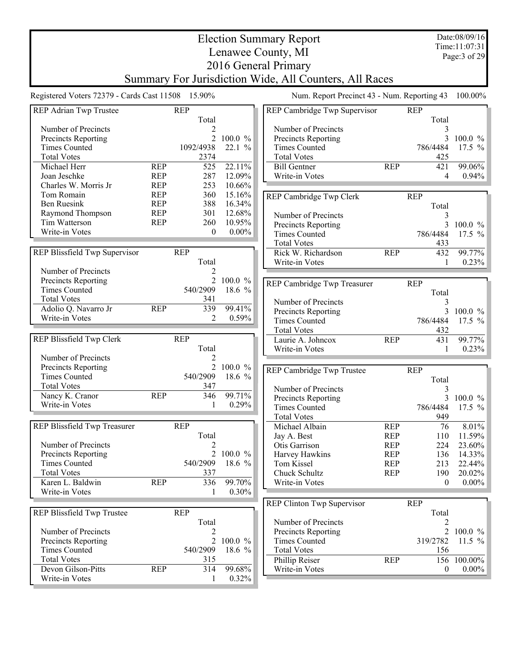Date:08/09/16 Time:11:07:31 Page:3 of 29

## Election Summary Report Lenawee County, MI 2016 General Primary Summary For Jurisdiction Wide, All Counters, All Races

Registered Voters 72379 - Cards Cast 11508 15.90% Num. Report Precinct 43 - Num. Reporting 43 100.00%

| REP Adrian Twp Trustee        |            | <b>REP</b>       |           | REP Cambridge Twp Supervisor |            | <b>REP</b>       |            |
|-------------------------------|------------|------------------|-----------|------------------------------|------------|------------------|------------|
| Number of Precincts           |            | Total<br>2       |           | Number of Precincts          |            | Total<br>3       |            |
| Precincts Reporting           |            | $\overline{2}$   | 100.0 %   | Precincts Reporting          |            | 3                | 100.0 %    |
| <b>Times Counted</b>          |            | 1092/4938        | 22.1%     | <b>Times Counted</b>         |            | 786/4484         | 17.5 %     |
| <b>Total Votes</b>            |            | 2374             |           | <b>Total Votes</b>           |            | 425              |            |
| Michael Herr                  | <b>REP</b> | 525              | 22.11%    | <b>Bill Gentner</b>          | <b>REP</b> | 421              | 99.06%     |
| Joan Jeschke                  | <b>REP</b> | 287              | 12.09%    | Write-in Votes               |            | 4                | 0.94%      |
| Charles W. Morris Jr          | <b>REP</b> | 253              | 10.66%    |                              |            |                  |            |
| Tom Romain                    | <b>REP</b> | 360              | 15.16%    |                              |            | <b>REP</b>       |            |
| <b>Ben Ruesink</b>            | <b>REP</b> | 388              | 16.34%    | REP Cambridge Twp Clerk      |            |                  |            |
| Raymond Thompson              | <b>REP</b> | 301              | 12.68%    |                              |            | Total            |            |
| Tim Watterson                 | <b>REP</b> | 260              | 10.95%    | Number of Precincts          |            | 3                |            |
| Write-in Votes                |            | $\boldsymbol{0}$ | $0.00\%$  | Precincts Reporting          |            | 3                | 100.0 %    |
|                               |            |                  |           | <b>Times Counted</b>         |            | 786/4484         | 17.5 $%$   |
|                               |            |                  |           | <b>Total Votes</b>           |            | 433              |            |
| REP Blissfield Twp Supervisor |            | <b>REP</b>       |           | Rick W. Richardson           | <b>REP</b> | 432              | 99.77%     |
|                               |            | Total            |           | Write-in Votes               |            | $\mathbf{1}$     | 0.23%      |
| Number of Precincts           |            | 2                |           |                              |            |                  |            |
| Precincts Reporting           |            | $\overline{2}$   | 100.0 %   | REP Cambridge Twp Treasurer  |            | <b>REP</b>       |            |
| <b>Times Counted</b>          |            | 540/2909         | 18.6 %    |                              |            | Total            |            |
| <b>Total Votes</b>            |            | 341              |           | Number of Precincts          |            | 3                |            |
| Adolio Q. Navarro Jr          | <b>REP</b> | 339              | 99.41%    | Precincts Reporting          |            | 3                | 100.0 %    |
| Write-in Votes                |            | 2                | 0.59%     | <b>Times Counted</b>         |            | 786/4484         | 17.5 %     |
|                               |            |                  |           | <b>Total Votes</b>           |            | 432              |            |
| REP Blissfield Twp Clerk      |            | <b>REP</b>       |           | Laurie A. Johncox            | <b>REP</b> | 431              | 99.77%     |
|                               |            | Total            |           | Write-in Votes               |            | $\mathbf{1}$     | 0.23%      |
| Number of Precincts           |            | 2                |           |                              |            |                  |            |
|                               |            |                  | 2 100.0 % |                              |            |                  |            |
| Precincts Reporting           |            |                  |           | REP Cambridge Twp Trustee    |            | <b>REP</b>       |            |
| <b>Times Counted</b>          |            | 540/2909         | 18.6 %    |                              |            | Total            |            |
| <b>Total Votes</b>            |            | 347              |           | Number of Precincts          |            | 3                |            |
| Nancy K. Cranor               | <b>REP</b> | 346              | 99.71%    | Precincts Reporting          |            | 3                | $100.0 \%$ |
| Write-in Votes                |            | 1                | 0.29%     | <b>Times Counted</b>         |            | 786/4484         | 17.5 $%$   |
|                               |            |                  |           | <b>Total Votes</b>           |            | 949              |            |
| REP Blissfield Twp Treasurer  |            | <b>REP</b>       |           | Michael Albain               | <b>REP</b> | 76               | 8.01%      |
|                               |            | Total            |           | Jay A. Best                  | <b>REP</b> | 110              | 11.59%     |
| Number of Precincts           |            | 2                |           | Otis Garrison                | <b>REP</b> | 224              | 23.60%     |
| Precincts Reporting           |            |                  | 2 100.0 % | Harvey Hawkins               | <b>REP</b> | 136              | 14.33%     |
| <b>Times Counted</b>          |            | 540/2909         | 18.6 %    | Tom Kissel                   | <b>REP</b> | 213              | 22.44%     |
| <b>Total Votes</b>            |            | 337              |           | Chuck Schultz                | <b>REP</b> | 190              | 20.02%     |
| Karen L. Baldwin              | <b>REP</b> | $336$            | $-99.70%$ | Write-in Votes               |            | $\boldsymbol{0}$ | $0.00\%$   |
| Write-in Votes                |            | 1                | $0.30\%$  |                              |            |                  |            |
|                               |            |                  |           |                              |            |                  |            |
|                               |            |                  |           | REP Clinton Twp Supervisor   |            | <b>REP</b>       |            |
| REP Blissfield Twp Trustee    |            | <b>REP</b>       |           |                              |            | Total            |            |
|                               |            | Total            |           | Number of Precincts          |            | 2                |            |
| Number of Precincts           |            | 2                |           | Precincts Reporting          |            | $\sqrt{2}$       | 100.0 %    |
| Precincts Reporting           |            | $\overline{2}$   | 100.0 %   | <b>Times Counted</b>         |            | 319/2782         | 11.5 $%$   |
| <b>Times Counted</b>          |            | 540/2909         | 18.6 %    | <b>Total Votes</b>           |            | 156              |            |
| <b>Total Votes</b>            |            | 315              |           | Phillip Reiser               | <b>REP</b> | 156              | 100.00%    |
| Devon Gilson-Pitts            | <b>REP</b> | 314              | 99.68%    | Write-in Votes               |            | $\boldsymbol{0}$ | $0.00\%$   |
| Write-in Votes                |            |                  | 0.32%     |                              |            |                  |            |
|                               |            |                  |           |                              |            |                  |            |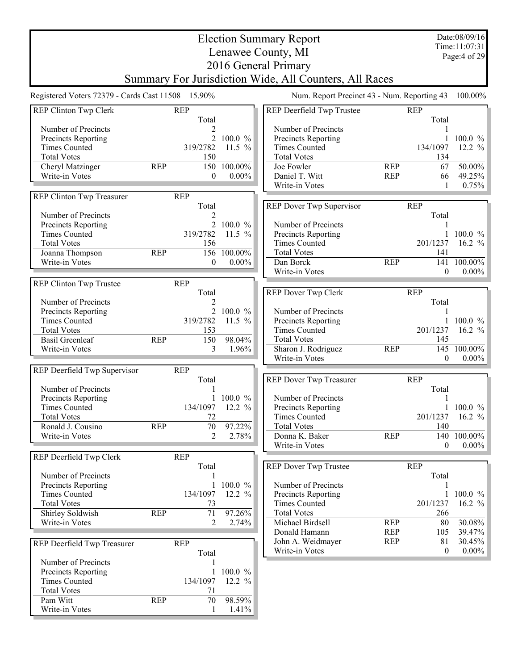Election Summary Report Lenawee County, MI 2016 General Primary Summary For Jurisdiction Wide, All Counters, All Races Date:08/09/16 Time:11:07:31 Page:4 of 29 Registered Voters 72379 - Cards Cast 11508 15.90% Num. Report Precinct 43 - Num. Reporting 43 100.00% REP Clinton Twp Clerk REP Total Number of Precincts 2 Precincts Reporting 2 100.0 % Times Counted 319/2782 11.5 % Total Votes<br>
Cheryl Matzinger<br>
REP 150 100.00% Cheryl Matzinger REP 150 100.00%<br>Write-in Votes 0 0.00% Write-in Votes 0.000 REP Clinton Twp Treasurer REP Total<br>2 Number of Precincts<br>
Precincts Reporting<br>
2 100.0 % Precincts Reporting 2 100.0 %<br>Times Counted 2 19/2782 11.5 % Times Counted Total Votes 156 Joanna Thompson REP 156 100.00%<br>Write-in Votes 0 0.00% Write-in Votes REP Clinton Twp Trustee REP Total<sub>2</sub> Number of Precincts<br>
Precincts Reporting<br>
2 100.0 % Precincts Reporting 2 100.0 %<br>Times Counted 2 19/2782 11.5 % Times Counted Total Votes 153 Basil Greenleaf REP 150 98.04%<br>Write-in Votes 3 1.96% Write-in Votes 3. REP Deerfield Twp Supervisor REP Total Number of Precincts<br>
Precincts Reporting<br>
1 100 0 % Precincts Reporting 1 100.0 %<br>Times Counted 134/1097 12.2 % Times Counted Total Votes 72 Ronald J. Cousino REP 70 97.22% Write-in Votes 2 2.78% REP Deerfield Twp Clerk REP Total Number of Precincts<br>
Precincts Reporting<br>
1 100.0 % Precincts Reporting Times Counted 134/1097 12.2 % Total Votes 73 Shirley Soldwish REP 71 97.26%<br>Write-in Votes 2 2.74% Write-in Votes 2 REP Deerfield Twp Treasurer REP Total Number of Precincts<br>
Precincts Reporting<br>
1 100.0 % Precincts Reporting 1 100.0 %<br>Times Counted 134/1097 12.2 % Times Counted Total Votes 71<br>
Pam Witt REP 70 Pam Witt REP 70 98.59% REP Deerfield Twp Trustee REP Total Number of Precincts 1 Precincts Reporting 1 100.0 % Times Counted 134/1097 12.2 % Total Votes 134 Joe Fowler REP 67 50.00%<br>
Daniel T. Witt REP 66 49.25% Daniel T. Witt REP 66 49.25% Write-in Votes 1 0.75% Write-in Votes 1 REP Dover Twp Supervisor REP Total Number of Precincts<br>
Precincts Reporting
1 100.0 % Precincts Reporting 1 100.0 %<br>Times Counted 201/1237 16.2 %  $Times$  Counted  $201/1237$ Total Votes 141<br>
Dan Borck REP 141 Dan Borck REP 141 100.00%<br>Write-in Votes 0 0.00% Write-in Votes 0 0.00% REP Dover Twp Clerk REP Total Number of Precincts<br>
Precincts Reporting
1 100.0 % Precincts Reporting 1 100.0 %<br>Times Counted 201/1237 16.2 % Times Counted 201/1237 Total Votes 145 Sharon J. Rodriguez REP 145 100.00%<br>Write-in Votes 0 0.00% Write-in Votes REP Dover Twp Treasurer REP Total Number of Precincts<br>
Precincts Reporting
1 100.0 % Precincts Reporting 1 100.0 %<br>Times Counted 201/1237 16.2 %  $Times$  Counted  $201/1237$ Total Votes 140 Donna K. Baker REP 140 100.00% Write-in Votes 0 0.00% REP Dover Twp Trustee REP Total Number of Precincts 1 Precincts Reporting 1 100.0 %<br>Times Counted 201/1237 16.2 % Times Counted Total Votes 266 Michael Birdsell REP 80 30.08%<br>Donald Hamann REP 105 39.47% Donald Hamann REP 105 39.47% John A. Weidmayer Write-in Votes 0 0.00%

Write-in Votes 1 1.41%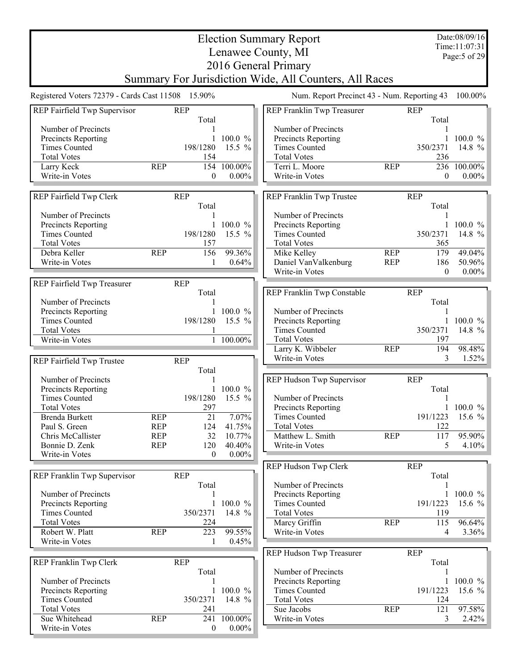|                                                   |                          |                     |                   | <b>Election Summary Report</b><br>Lenawee County, MI   |            |                     | Date:08/09/16<br>Time:11:07:31<br>Page: 5 of 29 |
|---------------------------------------------------|--------------------------|---------------------|-------------------|--------------------------------------------------------|------------|---------------------|-------------------------------------------------|
|                                                   |                          |                     |                   | 2016 General Primary                                   |            |                     |                                                 |
|                                                   |                          |                     |                   | Summary For Jurisdiction Wide, All Counters, All Races |            |                     |                                                 |
| Registered Voters 72379 - Cards Cast 11508 15.90% |                          |                     |                   | Num. Report Precinct 43 - Num. Reporting 43            |            |                     | 100.00%                                         |
| REP Fairfield Twp Supervisor                      |                          | <b>REP</b><br>Total |                   | REP Franklin Twp Treasurer                             |            | <b>REP</b><br>Total |                                                 |
| Number of Precincts                               |                          |                     |                   | Number of Precincts                                    |            | 1                   |                                                 |
| Precincts Reporting<br><b>Times Counted</b>       |                          | 198/1280            | 100.0%            | Precincts Reporting                                    |            |                     | $100.0 \%$                                      |
| <b>Total Votes</b>                                |                          | 154                 | 15.5 $%$          | <b>Times Counted</b><br><b>Total Votes</b>             |            | 350/2371<br>236     | 14.8 $%$                                        |
| Larry Keck                                        | <b>REP</b>               | 154                 | 100.00%           | Terri L. Moore                                         | <b>REP</b> |                     | 236 100.00%                                     |
| Write-in Votes                                    |                          | 0                   | $0.00\%$          | Write-in Votes                                         |            | $\mathbf{0}$        | $0.00\%$                                        |
| REP Fairfield Twp Clerk                           |                          | <b>REP</b>          |                   | REP Franklin Twp Trustee                               |            | <b>REP</b>          |                                                 |
|                                                   |                          | Total               |                   |                                                        |            | Total               |                                                 |
| Number of Precincts                               |                          |                     |                   | Number of Precincts                                    |            | 1                   |                                                 |
| Precincts Reporting                               |                          | 1                   | 100.0 %           | Precincts Reporting                                    |            | 1                   | 100.0 $%$                                       |
| <b>Times Counted</b>                              |                          | 198/1280            | 15.5 %            | <b>Times Counted</b>                                   |            | 350/2371            | 14.8 %                                          |
| <b>Total Votes</b><br>Debra Keller                | <b>REP</b>               | 157<br>156          | 99.36%            | <b>Total Votes</b><br>Mike Kelley                      | <b>REP</b> | 365<br>179          | 49.04%                                          |
| Write-in Votes                                    |                          | 1                   | 0.64%             | Daniel VanValkenburg                                   | <b>REP</b> | 186                 | 50.96%                                          |
|                                                   |                          |                     |                   | Write-in Votes                                         |            | $\theta$            | $0.00\%$                                        |
| REP Fairfield Twp Treasurer                       |                          | <b>REP</b>          |                   |                                                        |            |                     |                                                 |
|                                                   |                          | Total               |                   | REP Franklin Twp Constable                             |            | <b>REP</b>          |                                                 |
| Number of Precincts                               |                          |                     |                   |                                                        |            | Total               |                                                 |
| Precincts Reporting                               |                          |                     | 1 100.0 $%$       | Number of Precincts                                    |            | 1                   |                                                 |
| <b>Times Counted</b><br><b>Total Votes</b>        |                          | 198/1280            | 15.5 $%$          | Precincts Reporting<br><b>Times Counted</b>            |            | 350/2371            | 100.0 $%$<br>14.8 $%$                           |
| Write-in Votes                                    |                          |                     | 1 100.00%         | <b>Total Votes</b>                                     |            | 197                 |                                                 |
|                                                   |                          |                     |                   | Larry K. Wibbeler                                      | <b>REP</b> | 194                 | 98.48%                                          |
| REP Fairfield Twp Trustee                         |                          | <b>REP</b>          |                   | Write-in Votes                                         |            | 3                   | 1.52%                                           |
|                                                   |                          | Total               |                   |                                                        |            |                     |                                                 |
| Number of Precincts                               |                          |                     |                   | REP Hudson Twp Supervisor                              |            | <b>REP</b>          |                                                 |
| Precincts Reporting                               |                          |                     | 100.0 %           |                                                        |            | Total               |                                                 |
| <b>Times Counted</b>                              |                          | 198/1280            | 15.5 %            | Number of Precincts                                    |            |                     |                                                 |
| <b>Total Votes</b>                                |                          | 297                 |                   | Precincts Reporting<br><b>Times Counted</b>            |            | $\mathbf{1}$        | $100.0 \%$                                      |
| Brenda Burkett<br>Paul S. Green                   | <b>REP</b><br><b>REP</b> | 21<br>124           | 7.07%<br>41.75%   | <b>Total Votes</b>                                     |            | 191/1223<br>122     | 15.6 %                                          |
| Chris McCallister                                 | <b>REP</b>               | 32                  | 10.77%            | Matthew L. Smith                                       | <b>REP</b> | 117                 | 95.90%                                          |
| Bonnie D. Zenk                                    | <b>REP</b>               | 120                 | 40.40%            | Write-in Votes                                         |            | 5                   | 4.10%                                           |
| Write-in Votes                                    |                          | $\boldsymbol{0}$    | $0.00\%$          |                                                        |            |                     |                                                 |
|                                                   |                          |                     |                   | REP Hudson Twp Clerk                                   |            | <b>REP</b>          |                                                 |
| REP Franklin Twp Supervisor                       |                          | <b>REP</b>          |                   |                                                        |            | Total               |                                                 |
|                                                   |                          | Total               |                   | Number of Precincts                                    |            |                     |                                                 |
| Number of Precincts                               |                          |                     |                   | Precincts Reporting                                    |            | $\mathbf{1}$        | 100.0 $%$                                       |
| Precincts Reporting<br><b>Times Counted</b>       |                          | 350/2371            | 100.0 %<br>14.8 % | <b>Times Counted</b>                                   |            | 191/1223<br>119     | 15.6 $%$                                        |
| <b>Total Votes</b>                                |                          | 224                 |                   | <b>Total Votes</b><br>Marcy Griffin                    | <b>REP</b> | 115                 | 96.64%                                          |
| Robert W. Platt                                   | <b>REP</b>               | 223                 | 99.55%            | Write-in Votes                                         |            | 4                   | 3.36%                                           |
| Write-in Votes                                    |                          | 1                   | 0.45%             |                                                        |            |                     |                                                 |
|                                                   |                          |                     |                   | REP Hudson Twp Treasurer                               |            | <b>REP</b>          |                                                 |
| REP Franklin Twp Clerk                            |                          | <b>REP</b>          |                   |                                                        |            | Total               |                                                 |
|                                                   |                          | Total               |                   | Number of Precincts                                    |            |                     |                                                 |
| Number of Precincts                               |                          |                     |                   | <b>Precincts Reporting</b>                             |            | 1                   | $100.0 \%$                                      |
| Precincts Reporting                               |                          | 1                   | 100.0 %           | <b>Times Counted</b>                                   |            | 191/1223            | 15.6 $%$                                        |
| <b>Times Counted</b><br><b>Total Votes</b>        |                          | 350/2371            | 14.8 %            | <b>Total Votes</b><br>Sue Jacobs                       | <b>REP</b> | 124                 | 97.58%                                          |
| Sue Whitehead                                     | <b>REP</b>               | 241<br>241          | 100.00%           | Write-in Votes                                         |            | 121<br>3            | $2.42\%$                                        |
| Write-in Votes                                    |                          | 0                   | $0.00\%$          |                                                        |            |                     |                                                 |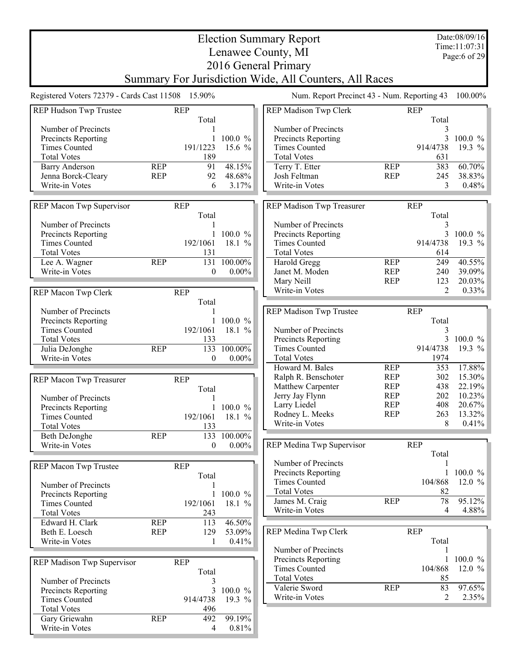| Date:08/09/16<br><b>Election Summary Report</b><br>Time:11:07:31<br>Lenawee County, MI<br>Page:6 of 29 |                          |                          |                           |                                                                                          |                                        |                           |                            |  |
|--------------------------------------------------------------------------------------------------------|--------------------------|--------------------------|---------------------------|------------------------------------------------------------------------------------------|----------------------------------------|---------------------------|----------------------------|--|
|                                                                                                        |                          |                          |                           | 2016 General Primary<br>Summary For Jurisdiction Wide, All Counters, All Races           |                                        |                           |                            |  |
| Registered Voters 72379 - Cards Cast 11508 15.90%                                                      |                          |                          |                           | Num. Report Precinct 43 - Num. Reporting 43                                              |                                        |                           | 100.00%                    |  |
| REP Hudson Twp Trustee                                                                                 |                          | <b>REP</b>               |                           | REP Madison Twp Clerk                                                                    |                                        | <b>REP</b>                |                            |  |
| Number of Precincts<br>Precincts Reporting                                                             |                          | Total                    | $100.0 \%$                | Number of Precincts<br>Precincts Reporting                                               |                                        | Total<br>3<br>3           | $100.0 \%$                 |  |
| <b>Times Counted</b><br><b>Total Votes</b>                                                             |                          | 191/1223<br>189          | 15.6 $%$                  | <b>Times Counted</b><br><b>Total Votes</b>                                               |                                        | 914/4738<br>631           | 19.3 $%$                   |  |
| <b>Barry Anderson</b><br>Jenna Borck-Cleary<br>Write-in Votes                                          | <b>REP</b><br><b>REP</b> | 91<br>92<br>6            | 48.15%<br>48.68%<br>3.17% | Terry T. Etter<br>Josh Feltman<br>Write-in Votes                                         | <b>REP</b><br><b>REP</b>               | 383<br>245<br>3           | 60.70%<br>38.83%<br>0.48%  |  |
| REP Macon Twp Supervisor                                                                               |                          | <b>REP</b>               |                           | REP Madison Twp Treasurer                                                                |                                        | <b>REP</b><br>Total       |                            |  |
| Number of Precincts<br>Precincts Reporting<br><b>Times Counted</b><br><b>Total Votes</b>               |                          | Total<br>192/1061<br>131 | $100.0 \%$<br>18.1 %      | Number of Precincts<br>Precincts Reporting<br><b>Times Counted</b><br><b>Total Votes</b> |                                        | 3<br>3<br>914/4738<br>614 | $100.0 \%$<br>19.3 $%$     |  |
| Lee A. Wagner<br>Write-in Votes                                                                        | <b>REP</b>               | 131<br>$\Omega$          | 100.00%<br>$0.00\%$       | Harold Gregg<br>Janet M. Moden<br>Mary Neill                                             | <b>REP</b><br><b>REP</b><br><b>REP</b> | 249<br>240<br>123         | 40.55%<br>39.09%<br>20.03% |  |
| REP Macon Twp Clerk                                                                                    |                          | <b>REP</b><br>Total      |                           | Write-in Votes                                                                           |                                        | $\mathfrak{D}$            | 0.33%                      |  |
| Number of Precincts<br>Precincts Reporting<br><b>Times Counted</b>                                     |                          | 192/1061                 | 100.0 %<br>18.1 %         | REP Madison Twp Trustee<br>Number of Precincts                                           |                                        | <b>REP</b><br>Total<br>3  |                            |  |
| <b>Total Votes</b><br>Julia DeJonghe<br>Write-in Votes                                                 | <b>REP</b>               | 133<br>133<br>$\theta$   | 100.00%<br>$0.00\%$       | Precincts Reporting<br><b>Times Counted</b><br><b>Total Votes</b>                        |                                        | 3<br>914/4738<br>1974     | 100.0 %<br>19.3 %          |  |
| REP Macon Twp Treasurer                                                                                |                          | <b>REP</b>               |                           | Howard M. Bales<br>Ralph R. Benschoter                                                   | <b>REP</b><br><b>REP</b>               | 353<br>302                | 17.88%<br>$15.30\%$        |  |
| Number of Precincts                                                                                    |                          | Total                    |                           | Matthew Carpenter<br>Jerry Jay Flynn                                                     | <b>REP</b><br><b>REP</b>               | 438<br>202                | 22.19%<br>$10.23\%$        |  |
| Precincts Reporting                                                                                    |                          |                          | 1 100.0 $\%$              | Larry Liedel<br>Rodney L. Meeks                                                          | <b>REP</b><br><b>REP</b>               | 408<br>263                | 20.67%<br>$13.32\%$        |  |
| <b>Times Counted</b><br><b>Total Votes</b>                                                             |                          | 192/1061<br>133          | 18.1 %                    | Write-in Votes                                                                           |                                        | 8                         | $0.41\%$                   |  |
| Beth DeJonghe<br>Write-in Votes                                                                        | <b>REP</b>               | 133<br>$\overline{0}$    | 100.00%<br>$0.00\%$       | REP Medina Twp Supervisor                                                                |                                        | <b>REP</b>                |                            |  |
| REP Macon Twp Trustee                                                                                  |                          | <b>REP</b>               |                           | Number of Precincts                                                                      |                                        | Total                     |                            |  |
| Number of Precincts                                                                                    |                          | Total                    |                           | Precincts Reporting<br><b>Times Counted</b>                                              |                                        | 104/868                   | 100.0 %<br>12.0 $%$        |  |
| Precincts Reporting<br><b>Times Counted</b><br><b>Total Votes</b>                                      |                          | 1<br>192/1061<br>243     | 100.0 %<br>18.1 %         | <b>Total Votes</b><br>James M. Craig<br>Write-in Votes                                   | <b>REP</b>                             | 82<br>78<br>4             | 95.12%<br>$4.88\%$         |  |
| Edward H. Clark                                                                                        | <b>REP</b>               | 113                      | 46.50%                    |                                                                                          |                                        |                           |                            |  |
| Beth E. Loesch<br>Write-in Votes                                                                       | <b>REP</b>               | 129                      | 53.09%<br>0.41%           | REP Medina Twp Clerk                                                                     |                                        | <b>REP</b><br>Total       |                            |  |
| REP Madison Twp Supervisor                                                                             |                          | <b>REP</b>               |                           | Number of Precincts<br>Precincts Reporting<br><b>Times Counted</b>                       |                                        | 104/868                   | 100.0 %<br>12.0 $%$        |  |
| Number of Precincts                                                                                    |                          | Total<br>3               | 100.0 %                   | <b>Total Votes</b><br>Valerie Sword                                                      | <b>REP</b>                             | 85<br>83                  | 97.65%                     |  |
| Precincts Reporting<br><b>Times Counted</b><br><b>Total Votes</b>                                      |                          | 3<br>914/4738<br>496     | 19.3 %                    | Write-in Votes                                                                           |                                        | $\overline{2}$            | 2.35%                      |  |
| Gary Griewahn<br>Write-in Votes                                                                        | <b>REP</b>               | 492<br>4                 | 99.19%<br>0.81%           |                                                                                          |                                        |                           |                            |  |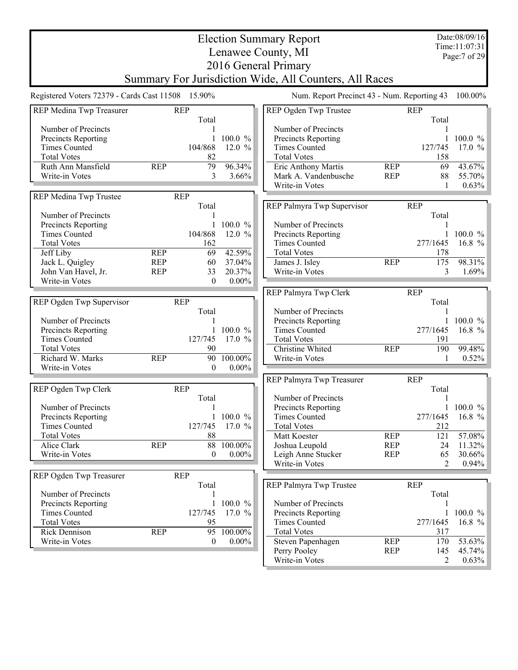|                                                   |                                                     |                  |            | <b>Election Summary Report</b>                         |            |            | Date:08/09/16 |  |  |  |
|---------------------------------------------------|-----------------------------------------------------|------------------|------------|--------------------------------------------------------|------------|------------|---------------|--|--|--|
|                                                   | Time:11:07:31<br>Lenawee County, MI<br>Page:7 of 29 |                  |            |                                                        |            |            |               |  |  |  |
|                                                   |                                                     |                  |            |                                                        |            |            |               |  |  |  |
|                                                   |                                                     |                  |            | 2016 General Primary                                   |            |            |               |  |  |  |
|                                                   |                                                     |                  |            | Summary For Jurisdiction Wide, All Counters, All Races |            |            |               |  |  |  |
| Registered Voters 72379 - Cards Cast 11508 15.90% |                                                     |                  |            | Num. Report Precinct 43 - Num. Reporting 43            |            |            | 100.00%       |  |  |  |
| REP Medina Twp Treasurer                          | <b>REP</b>                                          |                  |            | REP Ogden Twp Trustee                                  |            | <b>REP</b> |               |  |  |  |
|                                                   |                                                     | Total            |            |                                                        |            | Total      |               |  |  |  |
| Number of Precincts                               |                                                     |                  |            | Number of Precincts                                    |            |            |               |  |  |  |
| Precincts Reporting                               |                                                     |                  | 100.0 %    | Precincts Reporting                                    |            |            | $100.0 \%$    |  |  |  |
| <b>Times Counted</b>                              |                                                     | 104/868          | 12.0 $%$   | <b>Times Counted</b>                                   |            | 127/745    | 17.0 $%$      |  |  |  |
| <b>Total Votes</b>                                |                                                     | 82               |            | <b>Total Votes</b>                                     |            | 158        |               |  |  |  |
| Ruth Ann Mansfield                                | <b>REP</b>                                          | 79               | 96.34%     | Eric Anthony Martis                                    | <b>REP</b> | 69         | 43.67%        |  |  |  |
| Write-in Votes                                    |                                                     | 3                | 3.66%      | Mark A. Vandenbusche                                   | <b>REP</b> | 88         | 55.70%        |  |  |  |
|                                                   |                                                     |                  |            | Write-in Votes                                         |            | 1          | 0.63%         |  |  |  |
| REP Medina Twp Trustee                            | <b>REP</b>                                          |                  |            |                                                        |            |            |               |  |  |  |
|                                                   |                                                     | Total            |            | REP Palmyra Twp Supervisor                             |            | <b>REP</b> |               |  |  |  |
| Number of Precincts                               |                                                     |                  |            |                                                        |            | Total      |               |  |  |  |
| Precincts Reporting                               |                                                     |                  | 100.0 %    | Number of Precincts                                    |            |            |               |  |  |  |
| <b>Times Counted</b>                              |                                                     | 104/868          | 12.0 $%$   | Precincts Reporting                                    |            |            | $100.0 \%$    |  |  |  |
| <b>Total Votes</b>                                |                                                     | 162              |            | <b>Times Counted</b>                                   |            | 277/1645   | 16.8 $%$      |  |  |  |
| Jeff Liby                                         | <b>REP</b>                                          | 69               | 42.59%     | <b>Total Votes</b>                                     |            | 178        |               |  |  |  |
| Jack L. Quigley                                   | <b>REP</b>                                          | 60               | 37.04%     | James J. Isley                                         | <b>REP</b> | 175        | 98.31%        |  |  |  |
| John Van Havel, Jr.                               | <b>REP</b>                                          | 33               | 20.37%     | Write-in Votes                                         |            | 3          | 1.69%         |  |  |  |
| Write-in Votes                                    |                                                     | $\theta$         | $0.00\%$   |                                                        |            |            |               |  |  |  |
|                                                   |                                                     |                  |            | REP Palmyra Twp Clerk                                  |            | <b>REP</b> |               |  |  |  |
| REP Ogden Twp Supervisor                          | <b>REP</b>                                          |                  |            |                                                        |            | Total      |               |  |  |  |
|                                                   |                                                     | Total            |            | Number of Precincts                                    |            |            |               |  |  |  |
| Number of Precincts                               |                                                     |                  |            | Precincts Reporting                                    |            |            | $100.0 \%$    |  |  |  |
| Precincts Reporting                               |                                                     |                  | $100.0 \%$ | <b>Times Counted</b>                                   |            | 277/1645   | 16.8 $%$      |  |  |  |
| <b>Times Counted</b>                              |                                                     | 127/745          | 17.0 $%$   | <b>Total Votes</b>                                     |            | 191        |               |  |  |  |
| <b>Total Votes</b>                                |                                                     | 90               |            | Christine Whited                                       | <b>REP</b> | 190        | 99.48%        |  |  |  |
| Richard W. Marks                                  | <b>REP</b>                                          | 90               | 100.00%    | Write-in Votes                                         |            | 1          | 0.52%         |  |  |  |
| Write-in Votes                                    |                                                     | $\theta$         | $0.00\%$   |                                                        |            |            |               |  |  |  |
|                                                   |                                                     |                  |            | REP Palmyra Twp Treasurer                              |            | <b>REP</b> |               |  |  |  |
| REP Ogden Twp Clerk                               | <b>REP</b>                                          |                  |            |                                                        |            | Total      |               |  |  |  |
|                                                   |                                                     | Total            |            | Number of Precincts                                    |            |            |               |  |  |  |
| Number of Precincts                               |                                                     |                  |            | Precincts Reporting                                    |            |            | 1 100.0 $%$   |  |  |  |
| <b>Precincts Reporting</b>                        |                                                     |                  | $100.0 \%$ | <b>Times Counted</b>                                   |            | 277/1645   | 16.8 $%$      |  |  |  |
| <b>Times Counted</b>                              |                                                     | 127/745          | 17.0 $%$   | <b>Total Votes</b>                                     |            | 212        |               |  |  |  |
| <b>Total Votes</b>                                |                                                     | 88               |            | Matt Koester                                           | <b>REP</b> | 121        | 57.08%        |  |  |  |
| Alice Clark                                       | <b>REP</b>                                          |                  | 88 100.00% | Joshua Leupold                                         | <b>REP</b> | 24         | 11.32%        |  |  |  |
| Write-in Votes                                    |                                                     | $\mathbf{0}$     | $0.00\%$   | Leigh Anne Stucker                                     | <b>REP</b> | 65         | 30.66%        |  |  |  |
|                                                   |                                                     |                  |            | Write-in Votes                                         |            | 2          | 0.94%         |  |  |  |
| REP Ogden Twp Treasurer                           | <b>REP</b>                                          |                  |            |                                                        |            |            |               |  |  |  |
|                                                   |                                                     | Total            |            | <b>REP</b> Palmyra Twp Trustee                         |            | <b>REP</b> |               |  |  |  |
| Number of Precincts                               |                                                     |                  |            |                                                        |            | Total      |               |  |  |  |
| Precincts Reporting                               |                                                     | 1                | 100.0 %    | Number of Precincts                                    |            |            |               |  |  |  |
| <b>Times Counted</b>                              |                                                     | 127/745          | 17.0 $%$   | Precincts Reporting                                    |            |            | 1 100.0 $\%$  |  |  |  |
| <b>Total Votes</b>                                |                                                     | 95               |            | <b>Times Counted</b>                                   |            | 277/1645   | 16.8 $%$      |  |  |  |
| Rick Dennison                                     | <b>REP</b>                                          |                  | 95 100.00% | <b>Total Votes</b>                                     |            | 317        |               |  |  |  |
| Write-in Votes                                    |                                                     | $\boldsymbol{0}$ | $0.00\%$   | Steven Papenhagen                                      | <b>REP</b> | 170        | 53.63%        |  |  |  |
|                                                   |                                                     |                  |            | Perry Pooley                                           | <b>REP</b> | 145        | 45.74%        |  |  |  |
|                                                   |                                                     |                  |            | Write-in Votes                                         |            | 2          | $0.63\%$      |  |  |  |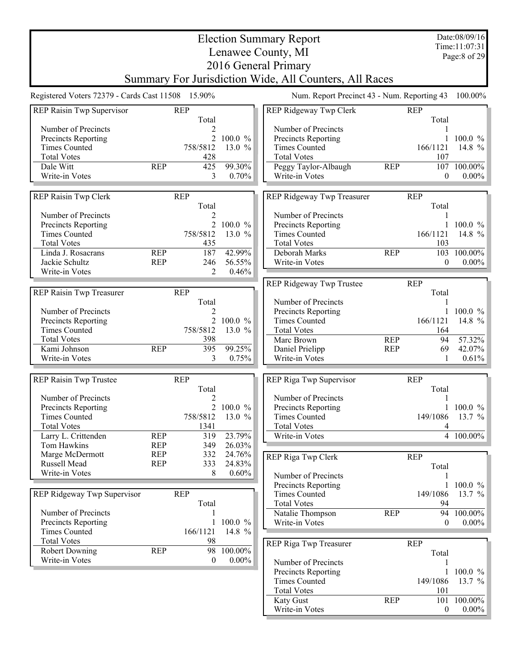Election Summary Report Lenawee County, MI 2016 General Primary Summary For Jurisdiction Wide, All Counters, All Races Date:08/09/16 Time:11:07:31 Page:8 of 29 Registered Voters 72379 - Cards Cast 11508 15.90% Num. Report Precinct 43 - Num. Reporting 43 100.00% REP Raisin Twp Supervisor REP Total Number of Precincts 2 Precincts Reporting 2 100.0 % Times Counted 758/5812 13.0 % Total Votes 428 Dale Witt REP 425 99.30% Write-in Votes 3 0.70% REP Raisin Twp Clerk REP Total<br>2 Number of Precincts<br>
Precincts Reporting<br>
2 100.0 % Precincts Reporting 2 100.0 %<br>Times Counted 2 13.0 % Times Counted Total Votes 435 Linda J. Rosacrans REP 187 42.99%<br>Jackie Schultz REP 246 56.55% Jackie Schultz REP 246 56.55% Write-in Votes REP Raisin Twp Treasurer REP Total Number of Precincts<br>
Precincts Reporting<br>
2 100.0 % Precincts Reporting 2 100.0 %<br>Times Counted 2 13.0 % Times Counted Total Votes 398 Kami Johnson REP 395 99.25%<br>Write-in Votes 3 0.75% Write-in Votes 3 REP Raisin Twp Trustee REP Total<sub>2</sub> Number of Precincts<br>
Precincts Reporting<br>
2 100.0 % Precincts Reporting 2 100.0 %<br>Times Counted 2 2 100.0 % Times Counted 758/5812 Total Votes 1341 Larry L. Crittenden REP 319 23.79%<br>
Tom Hawkins REP 349 26.03% Tom Hawkins REP 349 Marge McDermott REP 332 24.76% Russell Mead REP 333 24.83%<br>Write-in Votes 8 0.60% Write-in Votes 8 REP Ridgeway Twp Supervisor REP Total Number of Precincts 1 Precincts Reporting 1 100.0 %<br>Times Counted 166/1121 14.8 % Times Counted Total Votes<br>
Robert Downing<br>
REP
98 100.00% Robert Downing Write-in Votes 0 0.00% REP Ridgeway Twp Clerk REP Total Number of Precincts 1 Precincts Reporting 1 100.0 % Times Counted 166/1121 14.8 % Total Votes 107 Peggy Taylor-Albaugh REP 107 100.00%<br>Write-in Votes 0 0.00% Write-in Votes 0. REP Ridgeway Twp Treasurer REP Total Number of Precincts 1 Precincts Reporting 1 100.0 %<br>Times Counted 166/1121 14.8 % Times Counted Total Votes 103 Deborah Marks REP 103 100.00%<br>Write-in Votes 0 0.00% Write-in Votes REP Ridgeway Twp Trustee REP Total Number of Precincts<br>
Precincts Reporting<br>
1 100.0 % Precincts Reporting 1 100.0 %<br>Times Counted 166/1121 14.8 % Times Counted Total Votes 164 Marc Brown REP 94 57.32%<br>
Daniel Prielipp REP 69 42.07% Daniel Prielipp REP 69 42.07%<br>Write-in Votes 1 0.61% Write-in Votes 1 REP Riga Twp Supervisor REP Total Number of Precincts<br>
Precincts Reporting
1 100.0 % Precincts Reporting Times Counted 149/1086 13.7 % Total Votes 4 Write-in Votes 4 100.00% REP Riga Twp Clerk REP Total Number of Precincts<br>
Precincts Reporting
1 100.0 % Precincts Reporting Times Counted 149/1086 13.7 %<br>Total Votes 94 **Total Votes** Natalie Thompson REP 94 100.00% Write-in Votes 0 0.00% REP Riga Twp Treasurer REP Total Number of Precincts<br>
Precincts Reporting
1 100.0 % Precincts Reporting 1 100.0 %<br>Times Counted 149/1086 13.7 % Times Counted Total Votes 101<br>
Katy Gust 101<br>
REP 101  $\begin{array}{cc}\n 101 & 100.00\% \\
 0 & 0.00\%\n \end{array}$ Write-in Votes 0.000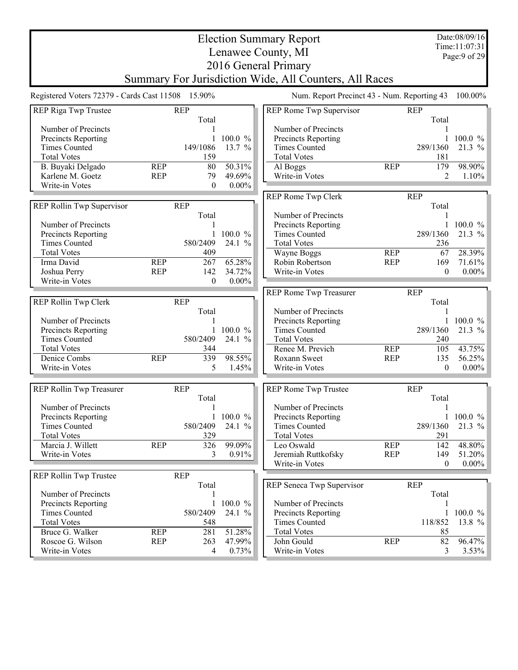|                                                   |            |                  |                 | <b>Election Summary Report</b>                         |            |                         | Date:08/09/16                  |
|---------------------------------------------------|------------|------------------|-----------------|--------------------------------------------------------|------------|-------------------------|--------------------------------|
|                                                   |            |                  |                 | Lenawee County, MI                                     |            |                         | Time:11:07:31<br>Page: 9 of 29 |
|                                                   |            |                  |                 | 2016 General Primary                                   |            |                         |                                |
|                                                   |            |                  |                 | Summary For Jurisdiction Wide, All Counters, All Races |            |                         |                                |
|                                                   |            |                  |                 |                                                        |            |                         |                                |
| Registered Voters 72379 - Cards Cast 11508 15.90% |            |                  |                 | Num. Report Precinct 43 - Num. Reporting 43            |            |                         | 100.00%                        |
| REP Riga Twp Trustee                              | <b>REP</b> |                  |                 | REP Rome Twp Supervisor                                |            | <b>REP</b>              |                                |
|                                                   |            | Total            |                 |                                                        |            | Total                   |                                |
| Number of Precincts                               |            |                  | 100.0%          | Number of Precincts<br>Precincts Reporting             |            | 1                       | $100.0 \%$                     |
| Precincts Reporting<br><b>Times Counted</b>       |            | 149/1086         | 13.7 %          | <b>Times Counted</b>                                   |            | 289/1360                | 21.3 %                         |
| <b>Total Votes</b>                                |            | 159              |                 | <b>Total Votes</b>                                     |            | 181                     |                                |
| B. Buyaki Delgado                                 | <b>REP</b> | 80               | 50.31%          | Al Boggs                                               | <b>REP</b> | 179                     | 98.90%                         |
| Karlene M. Goetz                                  | <b>REP</b> | 79               | 49.69%          | Write-in Votes                                         |            | 2                       | $1.10\%$                       |
| Write-in Votes                                    |            | $\boldsymbol{0}$ | $0.00\%$        |                                                        |            |                         |                                |
|                                                   |            |                  |                 | REP Rome Twp Clerk                                     |            | <b>REP</b>              |                                |
| REP Rollin Twp Supervisor                         | <b>REP</b> |                  |                 |                                                        |            | Total                   |                                |
|                                                   |            | Total            |                 | Number of Precincts                                    |            | 1                       |                                |
| Number of Precincts                               |            |                  |                 | Precincts Reporting                                    |            |                         | $100.0 \%$                     |
| Precincts Reporting                               |            | 1                | $100.0 \%$      | <b>Times Counted</b>                                   |            | 289/1360                | 21.3 %                         |
| <b>Times Counted</b>                              |            | 580/2409         | 24.1 %          | <b>Total Votes</b>                                     |            | 236                     |                                |
| <b>Total Votes</b>                                |            | 409              |                 | Wayne Boggs                                            | <b>REP</b> | 67                      | 28.39%                         |
| Irma David                                        | <b>REP</b> | 267              | 65.28%          | Robin Robertson                                        | <b>REP</b> | 169                     | $71.61\%$                      |
| Joshua Perry                                      | <b>REP</b> | 142              | 34.72%          | Write-in Votes                                         |            | $\mathbf{0}$            | $0.00\%$                       |
| Write-in Votes                                    |            | $\theta$         | $0.00\%$        |                                                        |            |                         |                                |
|                                                   |            |                  |                 | REP Rome Twp Treasurer                                 |            | <b>REP</b>              |                                |
| REP Rollin Twp Clerk                              | <b>REP</b> |                  |                 |                                                        |            | Total                   |                                |
|                                                   |            | Total            |                 | Number of Precincts                                    |            | 1                       |                                |
| Number of Precincts                               |            |                  |                 | Precincts Reporting                                    |            |                         | $100.0 \%$                     |
| Precincts Reporting                               |            |                  | 100.0%          | <b>Times Counted</b>                                   |            | 289/1360                | 21.3 %                         |
| <b>Times Counted</b>                              |            | 580/2409         | 24.1 %          | <b>Total Votes</b>                                     |            | 240                     |                                |
| <b>Total Votes</b>                                |            | 344              |                 | Renee M. Previch                                       | <b>REP</b> | 105                     | 43.75%                         |
| Denice Combs<br>Write-in Votes                    | <b>REP</b> | 339<br>5         | 98.55%<br>1.45% | Roxann Sweet<br>Write-in Votes                         | <b>REP</b> | 135<br>$\boldsymbol{0}$ | 56.25%<br>$0.00\%$             |
|                                                   |            |                  |                 |                                                        |            |                         |                                |
| REP Rollin Twp Treasurer                          | <b>REP</b> |                  |                 | REP Rome Twp Trustee                                   |            | <b>REP</b>              |                                |
|                                                   |            | Total            |                 |                                                        |            | Total                   |                                |
| Number of Precincts                               |            | 1                |                 | Number of Precincts                                    |            | 1                       |                                |
| Precincts Reporting                               |            |                  | $100.0 \%$      | Precincts Reporting                                    |            |                         | 1 100.0 $\%$                   |
| <b>Times Counted</b>                              |            | 580/2409         | 24.1 %          | <b>Times Counted</b>                                   |            | 289/1360                | 21.3 $%$                       |
| <b>Total Votes</b>                                |            | 329              |                 | <b>Total Votes</b>                                     |            | 291                     |                                |
| Marcia J. Willett                                 | <b>REP</b> | 326              | 99.09%          | Leo Oswald                                             | <b>REP</b> | 142                     | 48.80%                         |
| Write-in Votes                                    |            | 3                | 0.91%           | Jeremiah Ruttkofsky                                    | <b>REP</b> | 149                     | 51.20%                         |
|                                                   |            |                  |                 | Write-in Votes                                         |            | $\boldsymbol{0}$        | $0.00\%$                       |
| REP Rollin Twp Trustee                            | <b>REP</b> |                  |                 |                                                        |            |                         |                                |
|                                                   |            | Total            |                 | REP Seneca Twp Supervisor                              |            | <b>REP</b>              |                                |
| Number of Precincts                               |            |                  |                 |                                                        |            | Total                   |                                |
| Precincts Reporting                               |            | 1                | 100.0 %         | Number of Precincts                                    |            |                         |                                |
| <b>Times Counted</b>                              |            | 580/2409         | 24.1%           | <b>Precincts Reporting</b><br><b>Times Counted</b>     |            | 1<br>118/852            | $100.0 \%$                     |
| <b>Total Votes</b><br>Bruce G. Walker             | <b>REP</b> | 548<br>281       | 51.28%          | <b>Total Votes</b>                                     |            | 85                      | 13.8 $%$                       |
| Roscoe G. Wilson                                  | <b>REP</b> | 263              | 47.99%          | John Gould                                             | <b>REP</b> | 82                      | 96.47%                         |
| Write-in Votes                                    |            | 4                | 0.73%           | Write-in Votes                                         |            | 3                       | $3.53\%$                       |
|                                                   |            |                  |                 |                                                        |            |                         |                                |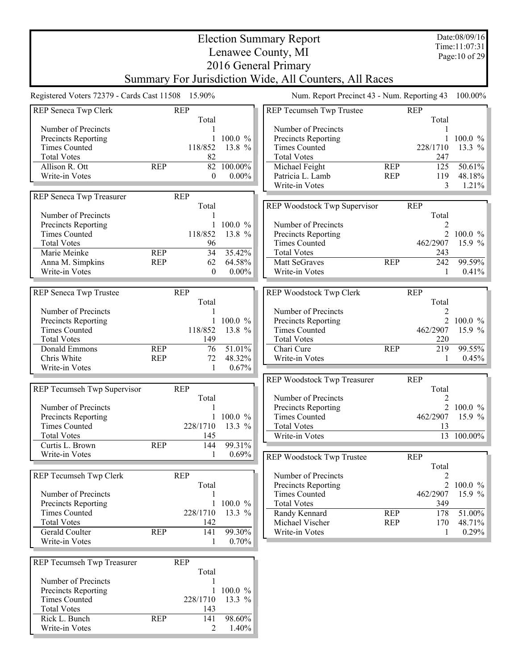|                                                   |               |                   | <b>Election Summary Report</b>                         |            |                | Date:08/09/16<br>Time:11:07:31 |
|---------------------------------------------------|---------------|-------------------|--------------------------------------------------------|------------|----------------|--------------------------------|
|                                                   |               |                   | Lenawee County, MI                                     |            |                | Page: 10 of 29                 |
|                                                   |               |                   | 2016 General Primary                                   |            |                |                                |
|                                                   |               |                   | Summary For Jurisdiction Wide, All Counters, All Races |            |                |                                |
| Registered Voters 72379 - Cards Cast 11508 15.90% |               |                   | Num. Report Precinct 43 - Num. Reporting 43            |            |                | $100.00\%$                     |
| REP Seneca Twp Clerk                              | <b>REP</b>    |                   | REP Tecumseh Twp Trustee                               |            | <b>REP</b>     |                                |
| Number of Precincts                               | Total         |                   | Number of Precincts                                    |            | Total          |                                |
| Precincts Reporting                               |               | $100.0 \%$        | Precincts Reporting                                    |            |                | $100.0 \%$                     |
| <b>Times Counted</b>                              | 118/852       | 13.8 %            | <b>Times Counted</b>                                   |            | 228/1710       | 13.3 %                         |
| <b>Total Votes</b>                                | 82            |                   | <b>Total Votes</b>                                     |            | 247            |                                |
| Allison R. Ott<br><b>REP</b>                      |               | 82 100.00%        | Michael Feight                                         | <b>REP</b> | 125            | 50.61%                         |
| Write-in Votes                                    | $\mathbf{0}$  | $0.00\%$          | Patricia L. Lamb                                       | <b>REP</b> | 119            | 48.18%                         |
|                                                   |               |                   | Write-in Votes                                         |            | 3              | 1.21%                          |
| REP Seneca Twp Treasurer                          | <b>REP</b>    |                   |                                                        |            |                |                                |
|                                                   | Total         |                   | REP Woodstock Twp Supervisor                           |            | <b>REP</b>     |                                |
| Number of Precincts                               |               |                   |                                                        |            | Total          |                                |
| Precincts Reporting                               |               | $100.0 \%$        | Number of Precincts                                    |            |                |                                |
| <b>Times Counted</b>                              | 118/852       | 13.8 %            | Precincts Reporting                                    |            | $\overline{2}$ | $100.0 \%$                     |
| <b>Total Votes</b>                                | 96            |                   | <b>Times Counted</b>                                   |            | 462/2907       | 15.9 %                         |
| Marie Meinke<br><b>REP</b>                        | 34            | 35.42%            | <b>Total Votes</b>                                     |            | 243            |                                |
| Anna M. Simpkins<br><b>REP</b>                    | 62            | 64.58%            | Matt SeGraves                                          | <b>REP</b> | 242            | 99.59%                         |
| Write-in Votes                                    | $\theta$      | $0.00\%$          | Write-in Votes                                         |            | 1              | 0.41%                          |
|                                                   |               |                   |                                                        |            |                |                                |
| REP Seneca Twp Trustee                            | <b>REP</b>    |                   | REP Woodstock Twp Clerk                                |            | <b>REP</b>     |                                |
|                                                   | Total         |                   |                                                        |            | Total          |                                |
| Number of Precincts                               |               |                   | Number of Precincts                                    |            | 2              |                                |
| Precincts Reporting<br><b>Times Counted</b>       | 118/852       | 100.0 %<br>13.8 % | Precincts Reporting<br><b>Times Counted</b>            |            | 462/2907       | 2 100.0 %<br>15.9 %            |
| <b>Total Votes</b>                                | 149           |                   | <b>Total Votes</b>                                     |            | 220            |                                |
| Donald Emmons<br><b>REP</b>                       | 76            | 51.01%            | Chari Cure                                             | <b>REP</b> | 219            | 99.55%                         |
| Chris White<br><b>REP</b>                         | 72            | 48.32%            | Write-in Votes                                         |            | 1              | 0.45%                          |
| Write-in Votes                                    | -1            | 0.67%             |                                                        |            |                |                                |
|                                                   |               |                   | REP Woodstock Twp Treasurer                            |            | <b>REP</b>     |                                |
| REP Tecumseh Twp Supervisor                       | <b>REP</b>    |                   |                                                        |            | Total          |                                |
|                                                   | Total         |                   | Number of Precincts                                    |            | 2              |                                |
| Number of Precincts                               |               |                   | Precincts Reporting                                    |            | 2              | $100.0 \%$                     |
| Precincts Reporting                               |               | 1 100.0 $\%$      | <b>Times Counted</b>                                   |            |                | 462/2907 15.9 %                |
| <b>Times Counted</b>                              | 228/1710      | 13.3 %            | <b>Total Votes</b>                                     |            | 13             |                                |
| <b>Total Votes</b>                                | 145           |                   | Write-in Votes                                         |            |                | 13 100.00%                     |
| <b>REP</b><br>Curtis L. Brown                     | 144           | 99.31%            |                                                        |            |                |                                |
| Write-in Votes                                    | 1             | $0.69\%$          | REP Woodstock Twp Trustee                              |            | <b>REP</b>     |                                |
|                                                   |               |                   |                                                        |            | Total          |                                |
| REP Tecumseh Twp Clerk                            | <b>REP</b>    |                   | Number of Precincts                                    |            |                |                                |
|                                                   | Total         |                   | Precincts Reporting                                    |            |                | 2 100.0 $\%$                   |
| Number of Precincts                               |               |                   | <b>Times Counted</b>                                   |            | 462/2907       | 15.9 $%$                       |
| Precincts Reporting                               |               | 100.0 %           | <b>Total Votes</b>                                     |            | 349            |                                |
| <b>Times Counted</b>                              | 228/1710      | 13.3 %            | Randy Kennard                                          | <b>REP</b> | 178            | 51.00%                         |
| <b>Total Votes</b>                                | 142           |                   | Michael Vischer                                        | <b>REP</b> | 170            | 48.71%                         |
| Gerald Coulter<br><b>REP</b>                      | 141           | 99.30%            | Write-in Votes                                         |            | 1              | $0.29\%$                       |
| Write-in Votes                                    | 1             | 0.70%             |                                                        |            |                |                                |
|                                                   |               |                   |                                                        |            |                |                                |
| REP Tecumseh Twp Treasurer                        | <b>REP</b>    |                   |                                                        |            |                |                                |
|                                                   | Total         |                   |                                                        |            |                |                                |
| Number of Precincts                               |               |                   |                                                        |            |                |                                |
| Precincts Reporting<br><b>Times Counted</b>       | 1<br>228/1710 | 100.0 %<br>13.3 % |                                                        |            |                |                                |
| <b>Total Votes</b>                                | 143           |                   |                                                        |            |                |                                |
| Rick L. Bunch<br><b>REP</b>                       | 141           | 98.60%            |                                                        |            |                |                                |
| Write-in Votes                                    | 2             | 1.40%             |                                                        |            |                |                                |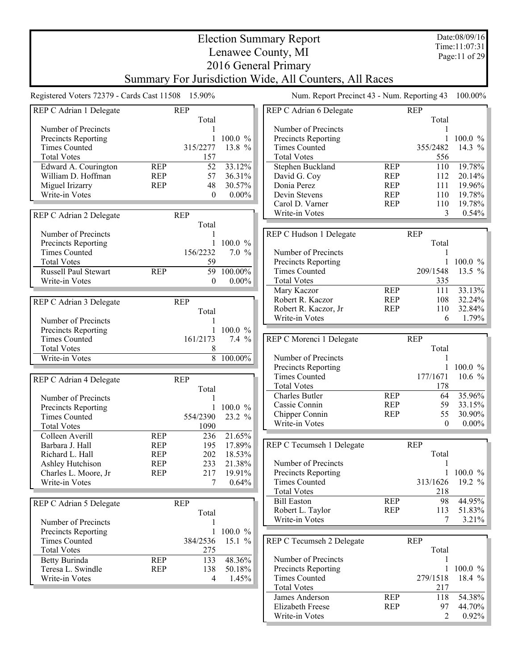Election Summary Report Lenawee County, MI 2016 General Primary Summary For Jurisdiction Wide, All Counters, All Races Date:08/09/16 Time:11:07:31 Page:11 of 29 Registered Voters 72379 - Cards Cast 11508 15.90% Num. Report Precinct 43 - Num. Reporting 43 100.00% REP C Adrian 1 Delegate REP Total Number of Precincts 1 Precincts Reporting 1 100.0 % Times Counted 315/2277 13.8 % Total Votes 157 Edward A. Courington<br>
William D. Hoffman<br>
REP 57 36.31% William D. Hoffman REP 57 36.31%<br>Miguel Irizarry REP 48 30.57% Miguel Irizarry REP 48 30.57%<br>Write-in Votes 0 0.00% Write-in Votes 0.000 REP C Adrian 2 Delegate REP Total Number of Precincts<br>
Precincts Reporting<br>
1 100.0 % Precincts Reporting Times Counted 156/2232 7.0 % Total Votes 59 Russell Paul Stewart REP 59 100.00% Write-in Votes  $0 \t 0.00\%$ REP C Adrian 3 Delegate REP Total Number of Precincts<br>
Precincts Reporting<br>
1 100.0 % Precincts Reporting Times Counted 161/2173 7.4 % Total Votes 8<br>Write-in Votes 8 100.00% Write-in Votes REP C Adrian 4 Delegate REP Total Number of Precincts<br>
Precincts Reporting<br>
1 100.0 % Precincts Reporting 1 100.0 %<br>Times Counted 554/2390 23.2 % Times Counted 554/2390 Total Votes 1090 Colleen Averill REP 236 21.65%<br>Barbara J. Hall REP 195 17.89% Barbara J. Hall REP 195 Richard L. Hall REP 202 18.53% Ashley Hutchison REP 233 21.38%<br>Charles L. Moore, Jr REP 217 19.91% Charles L. Moore, Jr REP 217 19.91% Write-in Votes 7 0.64% REP C Adrian 5 Delegate REP Total Number of Precincts<br>
Precincts Reporting
1 100.0 % Precincts Reporting 1 100.0 %<br>Times Counted 384/2536 15.1 % Times Counted Total Votes 275 Betty Burinda<br>
Teresa L. Swindle<br>
REP 138 50.18% Teresa L. Swindle REP 138 Write-in Votes 4 1.45% REP C Adrian 6 Delegate REP Total Number of Precincts 1 Precincts Reporting 1 100.0 % Times Counted 355/2482 14.3 % Total Votes 556 Stephen Buckland REP 110 19.78%<br>David G. Coy REP 112 20.14% David G. Coy **REP** 112 20.14%<br>
Donia Perez REP 111 19.96% Donia Perez REP 111 19.96%<br>
Devin Stevens REP 110 19.78% Devin Stevens REP 110 19.78%<br>Carol D. Varner REP 110 19.78% Carol D. Varner REP 110 19.78%<br>Write-in Votes 8 0.54% Write-in Votes REP C Hudson 1 Delegate REP Total Number of Precincts<br>
Precincts Reporting
1 100.0 % Precincts Reporting 1 100.0 %<br>Times Counted 209/1548 13.5 % Times Counted Total Votes 335 Mary Kaczor **REP** 111 33.13%<br>Robert R. Kaczor **REP** 108 32.24% Robert R. Kaczor REP 108 32.24% Robert R. Kaczor, Jr REP 110 32.84% Write-in Votes 6 REP C Morenci 1 Delegate REP Total Number of Precincts<br>
Precincts Reporting
1 100.0 % Precincts Reporting 1 100.0 %<br>Times Counted 177/1671 10.6 % Times Counted Total Votes 178 Charles Butler REP 64 35.96%<br>Cassie Connin REP 59 33.15% Cassie Connin REP 59 33.15%<br>Chipper Connin REP 55 30.90% Chipper Connin REP 55 30.90%<br>Write-in Votes 0 0.00% Write-in Votes REP C Tecumseh 1 Delegate REP Total Number of Precincts<br>
Precincts Reporting
1 100.0 % Precincts Reporting Times Counted 313/1626 19.2 % Total Votes 218 Bill Easton REP 98 44.95% Robert L. Taylor REP 113 51.83% Write-in Votes 7 3.21% REP C Tecumseh 2 Delegate REP Total Number of Precincts<br>
Precincts Reporting
1 100.0 % Precincts Reporting Times Counted 279/1518 18.4 % Total Votes 217 Values Anderson<br>
Elizabeth Freese REP 118 54.38%<br>
REP 97 44.70% Elizabeth Freese REP 97 44.70%<br>Write-in Votes 2 0.92%

Write-in Votes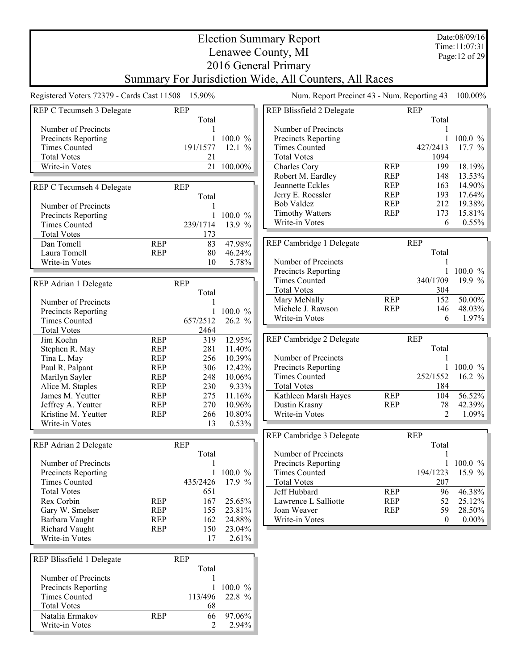Date:08/09/16 Time:11:07:31 Page:12 of 29

## Election Summary Report Lenawee County, MI 2016 General Primary Summary For Jurisdiction Wide, All Counters, All Races

Registered Voters 72379 - Cards Cast 11508 15.90% Num. Report Precinct 43 - Num. Reporting 43 100.00%

| REP C Tecumseh 3 Delegate |            | <b>REP</b> |              | REP Blissfield 2 Delegate |            | <b>REP</b>   |            |
|---------------------------|------------|------------|--------------|---------------------------|------------|--------------|------------|
|                           |            | Total      |              |                           |            | Total        |            |
| Number of Precincts       |            |            |              | Number of Precincts       |            | 1            |            |
| Precincts Reporting       |            |            | 1 100.0 $%$  | Precincts Reporting       |            | $\mathbf{1}$ | $100.0 \%$ |
| <b>Times Counted</b>      |            | 191/1577   | 12.1%        | <b>Times Counted</b>      |            | 427/2413     | 17.7 %     |
| <b>Total Votes</b>        |            | 21         |              | <b>Total Votes</b>        |            | 1094         |            |
| Write-in Votes            |            |            | 21 100.00%   | Charles Cory              | <b>REP</b> | 199          | 18.19%     |
|                           |            |            |              | Robert M. Eardley         | <b>REP</b> | 148          | 13.53%     |
| REP C Tecumseh 4 Delegate |            | <b>REP</b> |              | Jeannette Eckles          | <b>REP</b> | 163          | 14.90%     |
|                           |            | Total      |              | Jerry E. Roessler         | <b>REP</b> | 193          | 17.64%     |
| Number of Precincts       |            |            |              | <b>Bob Valdez</b>         | <b>REP</b> | 212          | 19.38%     |
|                           |            |            |              | <b>Timothy Watters</b>    | <b>REP</b> | 173          | 15.81%     |
| Precincts Reporting       |            | 1          | 100.0 %      | Write-in Votes            |            | 6            | 0.55%      |
| <b>Times Counted</b>      |            | 239/1714   | 13.9 %       |                           |            |              |            |
| <b>Total Votes</b>        |            | 173        |              |                           |            |              |            |
| Dan Tomell                | <b>REP</b> | 83         | 47.98%       | REP Cambridge 1 Delegate  |            | <b>REP</b>   |            |
| Laura Tomell              | <b>REP</b> | 80         | 46.24%       |                           |            | Total        |            |
| Write-in Votes            |            | 10         | 5.78%        | Number of Precincts       |            | 1            |            |
|                           |            |            |              | Precincts Reporting       |            | 1            | $100.0 \%$ |
| REP Adrian 1 Delegate     |            | <b>REP</b> |              | <b>Times Counted</b>      |            | 340/1709     | 19.9 %     |
|                           |            | Total      |              | <b>Total Votes</b>        |            | 304          |            |
| Number of Precincts       |            |            |              | Mary McNally              | <b>REP</b> | 152          | 50.00%     |
|                           |            |            | 1 100.0 $%$  | Michele J. Rawson         | <b>REP</b> | 146          | 48.03%     |
| Precincts Reporting       |            |            |              | Write-in Votes            |            | 6            | 1.97%      |
| <b>Times Counted</b>      |            | 657/2512   | 26.2 %       |                           |            |              |            |
| <b>Total Votes</b>        |            | 2464       |              |                           |            |              |            |
| Jim Koehn                 | <b>REP</b> | 319        | 12.95%       | REP Cambridge 2 Delegate  |            | <b>REP</b>   |            |
| Stephen R. May            | <b>REP</b> | 281        | 11.40%       |                           |            | Total        |            |
| Tina L. May               | <b>REP</b> | 256        | 10.39%       | Number of Precincts       |            | 1            |            |
| Paul R. Palpant           | <b>REP</b> | 306        | 12.42%       | Precincts Reporting       |            | 1            | $100.0 \%$ |
| Marilyn Sayler            | <b>REP</b> | 248        | 10.06%       | <b>Times Counted</b>      |            | 252/1552     | 16.2 $%$   |
| Alice M. Staples          | <b>REP</b> | 230        | 9.33%        | <b>Total Votes</b>        |            | 184          |            |
| James M. Yeutter          | <b>REP</b> | 275        | 11.16%       | Kathleen Marsh Hayes      | <b>REP</b> | 104          | 56.52%     |
| Jeffrey A. Yeutter        | <b>REP</b> | 270        | 10.96%       | Dustin Krasny             | <b>REP</b> | 78           | 42.39%     |
| Kristine M. Yeutter       | <b>REP</b> | 266        | 10.80%       | Write-in Votes            |            | 2            | 1.09%      |
| Write-in Votes            |            | 13         | 0.53%        |                           |            |              |            |
|                           |            |            |              |                           |            |              |            |
|                           |            |            |              | REP Cambridge 3 Delegate  |            | <b>REP</b>   |            |
| REP Adrian 2 Delegate     |            | <b>REP</b> |              |                           |            | Total        |            |
|                           |            | Total      |              | Number of Precincts       |            | 1            |            |
| Number of Precincts       |            |            |              | Precincts Reporting       |            |              | $100.0 \%$ |
| Precincts Reporting       |            |            | 1 100.0 $\%$ | <b>Times Counted</b>      |            | 194/1223     | 15.9 $%$   |
| Times Counted             |            | 435/2426   | $17.9 \%$    | <b>Total Votes</b>        |            | 207          |            |
| <b>Total Votes</b>        |            | 651        |              | Jeff Hubbard              | <b>REP</b> | 96           | 46.38%     |
| Rex Corbin                | <b>REP</b> | 167        | 25.65%       | Lawrence L Salliotte      | <b>REP</b> | 52           | 25.12%     |
| Gary W. Smelser           | <b>REP</b> | 155        | 23.81%       | Joan Weaver               | <b>REP</b> | 59           | 28.50%     |
| Barbara Vaught            | <b>REP</b> | 162        | 24.88%       | Write-in Votes            |            | $\mathbf{0}$ | $0.00\%$   |
| <b>Richard Vaught</b>     | <b>REP</b> | 150        | 23.04%       |                           |            |              |            |
| Write-in Votes            |            |            |              |                           |            |              |            |
|                           |            | 17         | 2.61%        |                           |            |              |            |
|                           |            |            |              |                           |            |              |            |
| REP Blissfield 1 Delegate |            | <b>REP</b> |              |                           |            |              |            |
|                           |            | Total      |              |                           |            |              |            |
| Number of Precincts       |            |            |              |                           |            |              |            |
| Precincts Reporting       |            | 1          | 100.0 %      |                           |            |              |            |
| <b>Times Counted</b>      |            | 113/496    | 22.8 %       |                           |            |              |            |
| <b>Total Votes</b>        |            | 68         |              |                           |            |              |            |
| Natalia Ermakov           | <b>REP</b> | 66         | 97.06%       |                           |            |              |            |
| Write-in Votes            |            | 2          | 2.94%        |                           |            |              |            |
|                           |            |            |              |                           |            |              |            |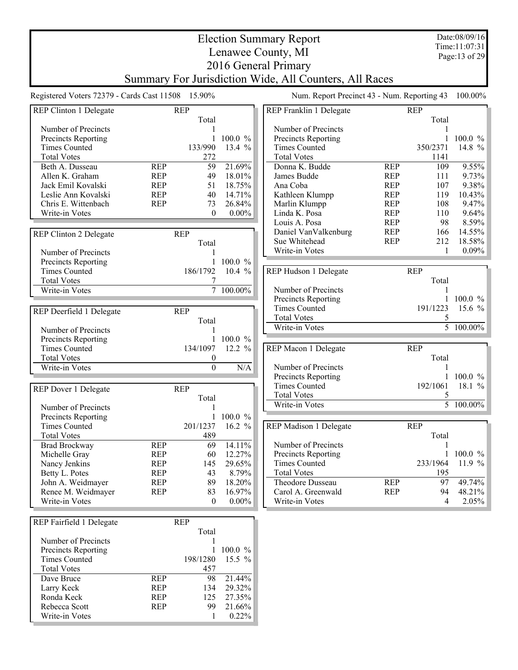Election Summary Report Lenawee County, MI 2016 General Primary Summary For Jurisdiction Wide, All Counters, All Races Date:08/09/16 Time:11:07:31 Page:13 of 29 Registered Voters 72379 - Cards Cast 11508 15.90% Num. Report Precinct 43 - Num. Reporting 43 100.00% REP Clinton 1 Delegate REP Total Number of Precincts 1 Precincts Reporting 1 100.0 % Times Counted 133/990 13.4 % Total Votes 272 Beth A. Dusseau REP 59 21.69%<br>Allen K. Graham REP 49 18.01% Allen K. Graham REP 49 18.01%<br>
Jack Emil Kovalski REP 51 18.75% Jack Emil Kovalski REP 51 18.75% Leslie Ann Kovalski<br>
Chris E. Wittenbach<br>
REP 23 26.84% Chris E. Wittenbach REP 73 26.84%<br>Write-in Votes 0 0.00% Write-in Votes REP Clinton 2 Delegate REP Total Number of Precincts<br>
Precincts Reporting<br>
1 100.0 % Precincts Reporting 1 100.0 %<br>Times Counted 186/1792 10.4 % Times Counted Total Votes 7<br>Write-in Votes 7 100.00% Write-in Votes REP Deerfield 1 Delegate REP Total Number of Precincts<br>
Precincts Reporting<br>
1 100.0 % Precincts Reporting 1 100.0 %<br>Times Counted 134/1097 12.2 % Times Counted 134/1097<br>Total Votes 0 **Total Votes** Write-in Votes 0 N/A REP Dover 1 Delegate REP Total Number of Precincts<br>
Precincts Reporting<br>
1 100.0 % Precincts Reporting 1 100.0 %<br>Times Counted 201/1237 16.2 % Times Counted 201/1237 Total Votes 489 Brad Brockway REP 69 14.11%<br>Michelle Gray REP 60 12.27% Michelle Gray REP 60 Nancy Jenkins REP 145 29.65% Betty L. Potes REP 43 8.79% John A. Weidmayer REP 89 18.20% Renee M. Weidmayer REP 83 16.97% Write-in Votes 0 0.00% REP Fairfield 1 Delegate REP Total Number of Precincts 1 Precincts Reporting 1 100.0 %<br>Times Counted 198/1280 15.5 % Times Counted Total Votes 457 REP Franklin 1 Delegate REP Total Number of Precincts 1 Precincts Reporting 1 100.0 % Times Counted 350/2371 14.8 % Total Votes 1141 Ponna K. Budde REP 109 9.55%<br>James Budde REP 111 9.73% Values Budde<br>
Ana Coba<br>
REP 107 9.38% Ana Coba REP 107 9.38% Kathleen Klumpp REP 119 10.43%<br>Marlin Klumpp REP 108 9.47% Marlin Klumpp **REP** 108 9.47%<br>
Linda K. Posa **REP** 110 9.64% Linda K. Posa REP 110 9.64% Louis A. Posa **REP** 98<br>
Daniel VanValkenburg REP 166 Daniel VanValkenburg<br>
Sue Whitehead
REP
166 14.55%
REP
166 14.55% Sue Whitehead REP 212 18.58%<br>Write-in Votes 1 0.09% Write-in Votes 1 REP Hudson 1 Delegate REP Total Number of Precincts<br>
Precincts Reporting
1 100.0 % Precincts Reporting Times Counted 191/1223 15.6 % Total Votes 5 Write-in Votes 5 100.00% REP Macon 1 Delegate REP Total Number of Precincts<br>
Precincts Reporting
1 100.0 % Precincts Reporting Times Counted 192/1061 18.1 % **Total Votes** Write-in Votes 5 100.00% REP Madison 1 Delegate REP Total Number of Precincts<br>
Precincts Reporting
1 100.0 % Precincts Reporting 1 100.0 %<br>Times Counted 233/1964 11.9 % Times Counted Total Votes 195 Theodore Dusseau REP 97 49.74% Carol A. Greenwald REP 94 48.21% Write-in Votes 4 2.05%

Dave Bruce REP 98 21.44%<br>
Larry Keck REP 134 29.32% Larry Keck REP 134 29.32%<br>Ronda Keck REP 125 27.35% Ronda Keck REP 125 27.35%<br>Rebecca Scott REP 99 21.66% Rebecca Scott REP 99 21.66%<br>Write-in Votes 1 0.22%

Write-in Votes 1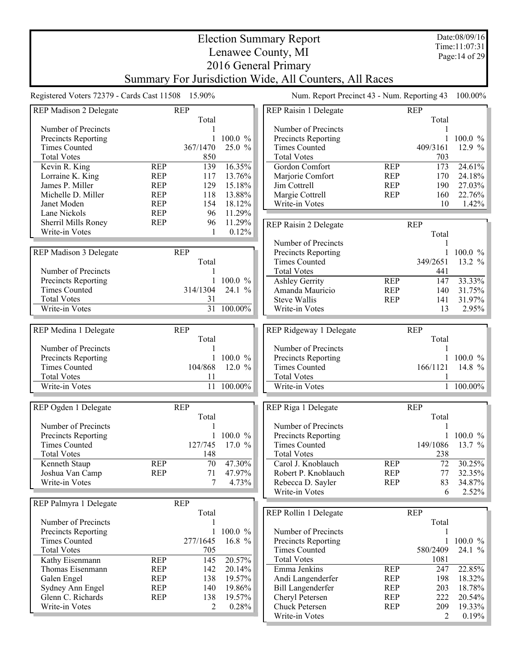Date:08/09/16 Time:11:07:31 Page:14 of 29

## Election Summary Report Lenawee County, MI 2016 General Primary Summary For Jurisdiction Wide, All Counters, All Races

| Registered Voters 72379 - Cards Cast 11508 15.90% |            |                 |                                       | Num. Report Precinct 43 - Num. Reporting 43 100.00% |            |              |             |
|---------------------------------------------------|------------|-----------------|---------------------------------------|-----------------------------------------------------|------------|--------------|-------------|
| <b>REP Madison 2 Delegate</b>                     | <b>REP</b> |                 |                                       | REP Raisin 1 Delegate                               |            | <b>REP</b>   |             |
|                                                   |            | Total           |                                       |                                                     |            | Total        |             |
| Number of Precincts                               |            |                 |                                       | Number of Precincts                                 |            | 1            |             |
| Precincts Reporting                               |            |                 | 100.0 %                               | Precincts Reporting                                 |            | 1            | 100.0 %     |
| <b>Times Counted</b>                              | 367/1470   |                 | 25.0 %                                | <b>Times Counted</b>                                |            | 409/3161     | 12.9 %      |
| <b>Total Votes</b>                                |            | 850             |                                       | <b>Total Votes</b>                                  |            | 703          |             |
| Kevin R. King                                     | <b>REP</b> | 139             | $16.35\%$                             | Gordon Comfort                                      | <b>REP</b> | 173          | 24.61%      |
| Lorraine K. King                                  | <b>REP</b> | 117             | 13.76%                                | Marjorie Comfort                                    | <b>REP</b> | 170          | 24.18%      |
| James P. Miller                                   | <b>REP</b> | 129             | 15.18%                                | Jim Cottrell                                        | <b>REP</b> | 190          | 27.03%      |
| Michelle D. Miller                                | <b>REP</b> | 118             | 13.88%                                | Margie Cottrell                                     | <b>REP</b> | 160          | 22.76%      |
| Janet Moden                                       | <b>REP</b> | 154             | 18.12%                                | Write-in Votes                                      |            | 10           | 1.42%       |
| Lane Nickols                                      | <b>REP</b> | 96              | 11.29%                                |                                                     |            |              |             |
| Sherril Mills Roney                               | <b>REP</b> | 96              | 11.29%                                | REP Raisin 2 Delegate                               |            | <b>REP</b>   |             |
| Write-in Votes                                    |            | 1               | 0.12%                                 |                                                     |            | Total        |             |
|                                                   |            |                 |                                       | Number of Precincts                                 |            |              |             |
| <b>REP Madison 3 Delegate</b>                     | <b>REP</b> |                 |                                       | Precincts Reporting                                 |            | $\mathbf{1}$ | 100.0 %     |
|                                                   |            | Total           |                                       | <b>Times Counted</b>                                |            | 349/2651     | 13.2 %      |
| Number of Precincts                               |            |                 |                                       | <b>Total Votes</b>                                  |            | 441          |             |
| Precincts Reporting                               |            |                 | 100.0 %                               | <b>Ashley Gerrity</b>                               | <b>REP</b> | 147          | 33.33%      |
| <b>Times Counted</b>                              | 314/1304   |                 | 24.1 %                                | Amanda Mauricio                                     | <b>REP</b> | 140          | 31.75%      |
| <b>Total Votes</b>                                |            | 31              |                                       | <b>Steve Wallis</b>                                 | <b>REP</b> | 141          | 31.97%      |
| Write-in Votes                                    |            |                 | $\overline{31}$ $\overline{100.00\%}$ | Write-in Votes                                      |            | 13           | 2.95%       |
|                                                   |            |                 |                                       |                                                     |            |              |             |
| REP Medina 1 Delegate                             | <b>REP</b> |                 |                                       | REP Ridgeway 1 Delegate                             |            | <b>REP</b>   |             |
|                                                   |            | Total           |                                       |                                                     |            | Total        |             |
| Number of Precincts                               |            |                 |                                       | Number of Precincts                                 |            |              |             |
| Precincts Reporting                               |            |                 | 1 100.0 $%$                           | Precincts Reporting                                 |            |              | 1 100.0 $%$ |
| <b>Times Counted</b>                              |            | 104/868         | 12.0%                                 | <b>Times Counted</b>                                |            | 166/1121     | 14.8 %      |
| <b>Total Votes</b>                                |            | 11              |                                       | <b>Total Votes</b>                                  |            |              |             |
| Write-in Votes                                    |            | $\overline{11}$ | $100.00\%$                            | Write-in Votes                                      |            | $\mathbf{1}$ | 100.00%     |
|                                                   |            |                 |                                       |                                                     |            |              |             |
| REP Ogden 1 Delegate                              | <b>REP</b> |                 |                                       | REP Riga 1 Delegate                                 |            | <b>REP</b>   |             |
|                                                   |            | Total           |                                       |                                                     |            | Total        |             |
| Number of Precincts                               |            |                 |                                       | Number of Precincts                                 |            |              |             |
| Precincts Reporting                               |            |                 | 100.0 %                               | Precincts Reporting                                 |            | 1            | 100.0 %     |
| <b>Times Counted</b>                              | 127/745    |                 | 17.0 %                                | <b>Times Counted</b>                                |            | 149/1086     | 13.7 %      |
| <b>Total Votes</b>                                |            | 148             |                                       | <b>Total Votes</b>                                  |            | 238          |             |
| Kenneth Staup                                     | <b>REP</b> | 70              | 47.30%                                | Carol J. Knoblauch                                  | <b>REP</b> | 72           | 30.25%      |
| Joshua Van Camp                                   | <b>REP</b> | 71              | 47.97%                                | Robert P. Knoblauch                                 | <b>REP</b> | 77           | 32.35%      |
| Write-in Votes                                    |            | 7               | 4.73%                                 | Rebecca D. Sayler                                   | <b>REP</b> | 83           | 34.87%      |
|                                                   |            |                 |                                       | Write-in Votes                                      |            | 6            | 2.52%       |
| REP Palmyra 1 Delegate                            | <b>REP</b> |                 |                                       |                                                     |            |              |             |
|                                                   |            | Total           |                                       | REP Rollin 1 Delegate                               |            | <b>REP</b>   |             |
| Number of Precincts                               |            |                 |                                       |                                                     |            | Total        |             |
| Precincts Reporting                               |            | 1               | 100.0 %                               | Number of Precincts                                 |            |              |             |
| <b>Times Counted</b>                              | 277/1645   |                 | 16.8 %                                | Precincts Reporting                                 |            | $\mathbf{1}$ | 100.0 %     |
| <b>Total Votes</b>                                |            | 705             |                                       | <b>Times Counted</b>                                |            | 580/2409     | 24.1 %      |
| Kathy Eisenmann                                   | <b>REP</b> | 145             | 20.57%                                | <b>Total Votes</b>                                  |            | 1081         |             |
| Thomas Eisenmann                                  | <b>REP</b> | 142             | 20.14%                                | Emma Jenkins                                        | <b>REP</b> | 247          | 22.85%      |
| Galen Engel                                       | <b>REP</b> | 138             | 19.57%                                | Andi Langenderfer                                   | <b>REP</b> | 198          | 18.32%      |
| Sydney Ann Engel                                  | <b>REP</b> | 140             | 19.86%                                | <b>Bill Langenderfer</b>                            | <b>REP</b> | 203          | 18.78%      |
| Glenn C. Richards                                 | <b>REP</b> | 138             | 19.57%                                | Cheryl Petersen                                     | <b>REP</b> | 222          | 20.54%      |
| Write-in Votes                                    |            | 2               | 0.28%                                 | Chuck Petersen                                      | <b>REP</b> | 209          | 19.33%      |
|                                                   |            |                 |                                       | Write-in Votes                                      |            | 2            | 0.19%       |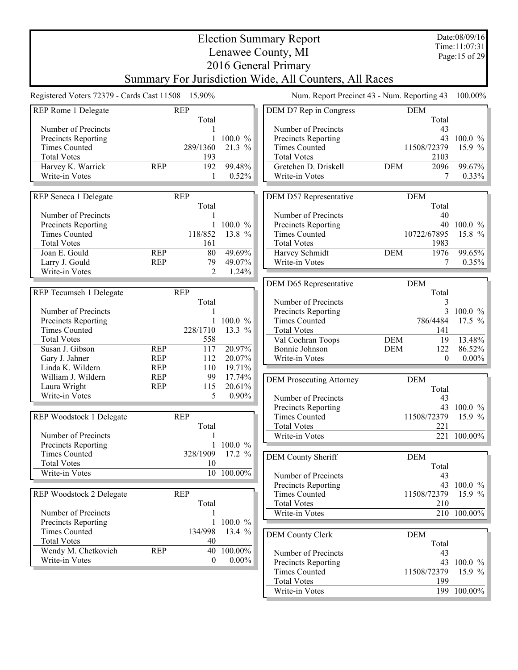|                                                   |            |                     |                          | <b>Election Summary Report</b>                         |                                             | Date:08/09/16<br>Time:11:07:31 |  |
|---------------------------------------------------|------------|---------------------|--------------------------|--------------------------------------------------------|---------------------------------------------|--------------------------------|--|
|                                                   |            |                     |                          | Lenawee County, MI                                     |                                             | Page:15 of 29                  |  |
|                                                   |            |                     |                          | 2016 General Primary                                   |                                             |                                |  |
|                                                   |            |                     |                          | Summary For Jurisdiction Wide, All Counters, All Races |                                             |                                |  |
|                                                   |            |                     |                          |                                                        |                                             |                                |  |
| Registered Voters 72379 - Cards Cast 11508 15.90% |            |                     |                          |                                                        | Num. Report Precinct 43 - Num. Reporting 43 | 100.00%                        |  |
| REP Rome 1 Delegate                               |            | <b>REP</b>          |                          | DEM D7 Rep in Congress                                 | <b>DEM</b>                                  |                                |  |
| Number of Precincts                               |            | Total               |                          | Number of Precincts                                    | Total<br>43                                 |                                |  |
| Precincts Reporting                               |            |                     | $100.0 \%$               | Precincts Reporting                                    |                                             | 43 100.0 %                     |  |
| <b>Times Counted</b>                              |            | 289/1360            | 21.3 %                   | <b>Times Counted</b>                                   | 11508/72379                                 | 15.9 $%$                       |  |
| <b>Total Votes</b>                                |            | 193                 |                          | <b>Total Votes</b>                                     | 2103                                        |                                |  |
| Harvey K. Warrick                                 | <b>REP</b> | 192                 | 99.48%                   | Gretchen D. Driskell                                   | <b>DEM</b><br>2096                          | 99.67%                         |  |
| Write-in Votes                                    |            | $\mathbf{1}$        | 0.52%                    | Write-in Votes                                         | 7                                           | 0.33%                          |  |
|                                                   |            |                     |                          |                                                        |                                             |                                |  |
| REP Seneca 1 Delegate                             |            | <b>REP</b><br>Total |                          | DEM D57 Representative                                 | <b>DEM</b><br>Total                         |                                |  |
| Number of Precincts                               |            |                     |                          | Number of Precincts                                    | 40                                          |                                |  |
| Precincts Reporting                               |            |                     | $100.0 \%$               | Precincts Reporting                                    |                                             | 40 100.0 %                     |  |
| <b>Times Counted</b>                              |            | 118/852             | 13.8 %                   | <b>Times Counted</b>                                   | 10722/67895                                 | 15.8 %                         |  |
| <b>Total Votes</b>                                |            | 161                 |                          | <b>Total Votes</b>                                     | 1983                                        |                                |  |
| Joan E. Gould                                     | <b>REP</b> | 80                  | 49.69%                   | Harvey Schmidt                                         | 1976<br><b>DEM</b>                          | 99.65%                         |  |
| Larry J. Gould                                    | <b>REP</b> | 79                  | 49.07%                   | Write-in Votes                                         | 7                                           | 0.35%                          |  |
| Write-in Votes                                    |            | $\overline{2}$      | 1.24%                    |                                                        |                                             |                                |  |
|                                                   |            |                     |                          | DEM D65 Representative                                 | <b>DEM</b>                                  |                                |  |
| REP Tecumseh 1 Delegate                           |            | <b>REP</b><br>Total |                          | Number of Precincts                                    | Total                                       |                                |  |
| Number of Precincts                               |            |                     |                          | Precincts Reporting                                    | 3<br>3                                      | $100.0 \%$                     |  |
| Precincts Reporting                               |            | 1                   | 100.0 %                  | <b>Times Counted</b>                                   | 786/4484                                    | 17.5 $%$                       |  |
| <b>Times Counted</b>                              |            | 228/1710            | 13.3 %                   | <b>Total Votes</b>                                     | 141                                         |                                |  |
| <b>Total Votes</b>                                |            | 558                 |                          | Val Cochran Toops                                      | <b>DEM</b><br>19                            | 13.48%                         |  |
| Susan J. Gibson                                   | <b>REP</b> | 117                 | 20.97%                   | Bonnie Johnson                                         | 122<br><b>DEM</b>                           | 86.52%                         |  |
| Gary J. Jahner                                    | <b>REP</b> | 112                 | 20.07%                   | Write-in Votes                                         | $\theta$                                    | $0.00\%$                       |  |
| Linda K. Wildern                                  | <b>REP</b> | 110                 | 19.71%                   |                                                        |                                             |                                |  |
| William J. Wildern                                | <b>REP</b> | 99                  | 17.74%                   | <b>DEM Prosecuting Attorney</b>                        | <b>DEM</b>                                  |                                |  |
| Laura Wright<br>Write-in Votes                    | <b>REP</b> | 115<br>5            | 20.61%<br>$0.90\%$       |                                                        | Total                                       |                                |  |
|                                                   |            |                     |                          | Number of Precincts                                    | 43                                          |                                |  |
|                                                   |            |                     |                          | <b>Precincts Reporting</b>                             |                                             | 43 100.0 %                     |  |
| REP Woodstock 1 Delegate                          |            | <b>REP</b><br>Total |                          | <b>Times Counted</b><br><b>Total Votes</b>             | 11508/72379<br>221                          | 15.9 $%$                       |  |
| Number of Precincts                               |            |                     |                          | Write-in Votes                                         |                                             | 221 100.00%                    |  |
| Precincts Reporting                               |            | 1                   | 100.0 %                  |                                                        |                                             |                                |  |
| <b>Times Counted</b>                              |            | 328/1909            | 17.2 %                   | DEM County Sheriff                                     | <b>DEM</b>                                  |                                |  |
| <b>Total Votes</b>                                |            | 10                  |                          |                                                        | Total                                       |                                |  |
| Write-in Votes                                    |            |                     | 10 100.00%               | Number of Precincts                                    | 43                                          |                                |  |
|                                                   |            |                     |                          | Precincts Reporting                                    |                                             | 43 100.0 %                     |  |
| REP Woodstock 2 Delegate                          |            | <b>REP</b>          |                          | <b>Times Counted</b>                                   | 11508/72379                                 | 15.9 $%$                       |  |
|                                                   |            | Total               |                          | <b>Total Votes</b>                                     | 210                                         |                                |  |
| Number of Precincts                               |            |                     |                          | Write-in Votes                                         |                                             | 210 100.00%                    |  |
| Precincts Reporting<br><b>Times Counted</b>       |            | 134/998             | 1 100.0 $\%$<br>13.4 $%$ |                                                        |                                             |                                |  |
| <b>Total Votes</b>                                |            | 40                  |                          | <b>DEM County Clerk</b>                                | <b>DEM</b>                                  |                                |  |
| Wendy M. Chetkovich                               | <b>REP</b> | 40                  | 100.00%                  | Number of Precincts                                    | Total<br>43                                 |                                |  |
| Write-in Votes                                    |            | $\theta$            | $0.00\%$                 | Precincts Reporting                                    |                                             | 43 100.0 %                     |  |
|                                                   |            |                     |                          | <b>Times Counted</b>                                   | 11508/72379                                 | 15.9 $%$                       |  |
|                                                   |            |                     |                          | <b>Total Votes</b>                                     | 199                                         |                                |  |
|                                                   |            |                     |                          | Write-in Votes                                         |                                             | 199 100.00%                    |  |
|                                                   |            |                     |                          |                                                        |                                             |                                |  |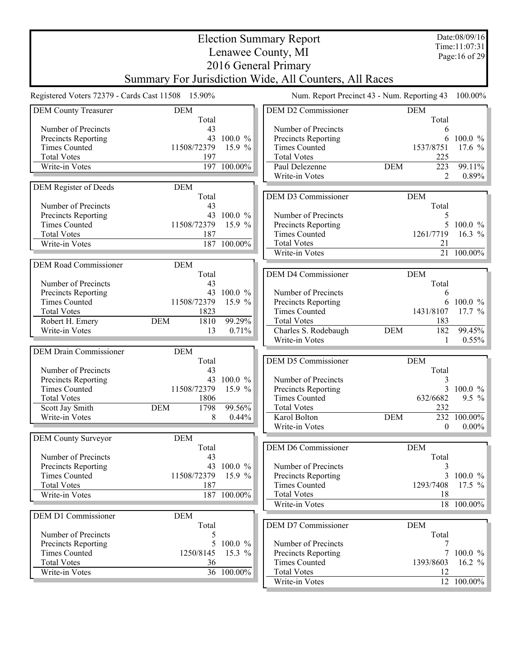|                                                   |                          |                 | <b>Election Summary Report</b>                         |                                             | Date:08/09/16         |  |  |  |
|---------------------------------------------------|--------------------------|-----------------|--------------------------------------------------------|---------------------------------------------|-----------------------|--|--|--|
| Time:11:07:31<br>Lenawee County, MI               |                          |                 |                                                        |                                             |                       |  |  |  |
|                                                   |                          |                 | 2016 General Primary                                   |                                             | Page: 16 of 29        |  |  |  |
|                                                   |                          |                 |                                                        |                                             |                       |  |  |  |
|                                                   |                          |                 | Summary For Jurisdiction Wide, All Counters, All Races |                                             |                       |  |  |  |
| Registered Voters 72379 - Cards Cast 11508 15.90% |                          |                 |                                                        | Num. Report Precinct 43 - Num. Reporting 43 | 100.00%               |  |  |  |
| <b>DEM County Treasurer</b>                       | <b>DEM</b>               |                 | <b>DEM D2 Commissioner</b>                             | <b>DEM</b>                                  |                       |  |  |  |
|                                                   | Total                    |                 |                                                        | Total                                       |                       |  |  |  |
| Number of Precincts                               | 43                       |                 | Number of Precincts                                    | 6                                           |                       |  |  |  |
| Precincts Reporting                               | 43                       | 100.0 %         | Precincts Reporting                                    | 6                                           | 100.0 %               |  |  |  |
| <b>Times Counted</b><br><b>Total Votes</b>        | 11508/72379<br>197       | 15.9 $%$        | <b>Times Counted</b><br><b>Total Votes</b>             | 1537/8751<br>225                            | 17.6 $%$              |  |  |  |
| Write-in Votes                                    | 197                      | 100.00%         | Paul Delezenne                                         | 223<br><b>DEM</b>                           | 99.11%                |  |  |  |
|                                                   |                          |                 | Write-in Votes                                         | 2                                           | $0.89\%$              |  |  |  |
| DEM Register of Deeds                             | <b>DEM</b>               |                 |                                                        |                                             |                       |  |  |  |
|                                                   | Total                    |                 | DEM D3 Commissioner                                    | <b>DEM</b>                                  |                       |  |  |  |
| Number of Precincts                               | 43                       |                 |                                                        | Total                                       |                       |  |  |  |
| <b>Precincts Reporting</b>                        |                          | 43 100.0 %      | Number of Precincts                                    | 5                                           |                       |  |  |  |
| <b>Times Counted</b>                              | 11508/72379              | 15.9 %          | Precincts Reporting                                    | 5                                           | 100.0 $%$             |  |  |  |
| <b>Total Votes</b>                                | 187                      |                 | <b>Times Counted</b>                                   | 1261/7719                                   | 16.3 $%$              |  |  |  |
| Write-in Votes                                    |                          | 187 100.00%     | <b>Total Votes</b>                                     | 21                                          |                       |  |  |  |
|                                                   |                          |                 | Write-in Votes                                         |                                             | 21 100.00%            |  |  |  |
| <b>DEM Road Commissioner</b>                      | <b>DEM</b>               |                 |                                                        |                                             |                       |  |  |  |
|                                                   | Total                    |                 | <b>DEM D4 Commissioner</b>                             | <b>DEM</b>                                  |                       |  |  |  |
| Number of Precincts                               | 43                       |                 |                                                        | Total                                       |                       |  |  |  |
| Precincts Reporting                               |                          | 43 100.0 %      | Number of Precincts                                    | 6                                           |                       |  |  |  |
| <b>Times Counted</b>                              | 11508/72379              | 15.9 %          | Precincts Reporting                                    | 6                                           | $100.0 \%$            |  |  |  |
| <b>Total Votes</b>                                | 1823                     |                 | <b>Times Counted</b>                                   | 1431/8107                                   | 17.7 $%$              |  |  |  |
| Robert H. Emery<br>Write-in Votes                 | <b>DEM</b><br>1810<br>13 | 99.29%<br>0.71% | <b>Total Votes</b><br>Charles S. Rodebaugh             | 183<br>182<br><b>DEM</b>                    | 99.45%                |  |  |  |
|                                                   |                          |                 | Write-in Votes                                         | 1                                           | $0.55\%$              |  |  |  |
|                                                   |                          |                 |                                                        |                                             |                       |  |  |  |
| <b>DEM Drain Commissioner</b>                     | <b>DEM</b><br>Total      |                 | DEM D5 Commissioner                                    | <b>DEM</b>                                  |                       |  |  |  |
| Number of Precincts                               | 43                       |                 |                                                        | Total                                       |                       |  |  |  |
| Precincts Reporting                               | 43                       | 100.0 %         | Number of Precincts                                    | 3                                           |                       |  |  |  |
| <b>Times Counted</b>                              | 11508/72379              | 15.9 $%$        | Precincts Reporting                                    | 3                                           | $100.0 \%$            |  |  |  |
| <b>Total Votes</b>                                | 1806                     |                 | <b>Times Counted</b>                                   | 632/6682                                    | $9.5 \%$              |  |  |  |
| Scott Jay Smith                                   | <b>DEM</b><br>1798       | 99.56%          | <b>Total Votes</b>                                     | 232                                         |                       |  |  |  |
| Write-in Votes                                    | 8                        | 0.44%           | Karol Bolton                                           | <b>DEM</b>                                  | 232 100.00%           |  |  |  |
|                                                   |                          |                 | Write-in Votes                                         | 0                                           | $0.00\%$              |  |  |  |
| <b>DEM County Surveyor</b>                        | <b>DEM</b>               |                 |                                                        |                                             |                       |  |  |  |
|                                                   | Total                    |                 | DEM D6 Commissioner                                    | <b>DEM</b>                                  |                       |  |  |  |
| Number of Precincts                               | 43                       |                 |                                                        | Total                                       |                       |  |  |  |
| Precincts Reporting                               |                          | 43 100.0 %      | Number of Precincts                                    | 3                                           |                       |  |  |  |
| <b>Times Counted</b>                              | 11508/72379              | 15.9 $%$        | Precincts Reporting                                    |                                             | 3 100.0 $\%$          |  |  |  |
| <b>Total Votes</b>                                | 187                      |                 | <b>Times Counted</b>                                   | 1293/7408                                   | 17.5 $%$              |  |  |  |
| Write-in Votes                                    |                          | 187 100.00%     | <b>Total Votes</b>                                     | 18                                          |                       |  |  |  |
|                                                   |                          |                 | Write-in Votes                                         |                                             | 18 100.00%            |  |  |  |
| <b>DEM D1 Commissioner</b>                        | <b>DEM</b>               |                 |                                                        |                                             |                       |  |  |  |
|                                                   | Total                    |                 | DEM D7 Commissioner                                    | <b>DEM</b>                                  |                       |  |  |  |
| Number of Precincts                               | 5                        |                 |                                                        | Total                                       |                       |  |  |  |
| <b>Precincts Reporting</b>                        |                          | 5 100.0 %       | Number of Precincts                                    | 7                                           |                       |  |  |  |
| <b>Times Counted</b><br><b>Total Votes</b>        | 1250/8145<br>36          | 15.3 $%$        | Precincts Reporting<br><b>Times Counted</b>            | 1393/8603                                   | 7 100.0 %<br>16.2 $%$ |  |  |  |
| Write-in Votes                                    |                          | 36 100.00%      | <b>Total Votes</b>                                     | 12                                          |                       |  |  |  |
|                                                   |                          |                 | Write-in Votes                                         |                                             | 12 100.00%            |  |  |  |
|                                                   |                          |                 |                                                        |                                             |                       |  |  |  |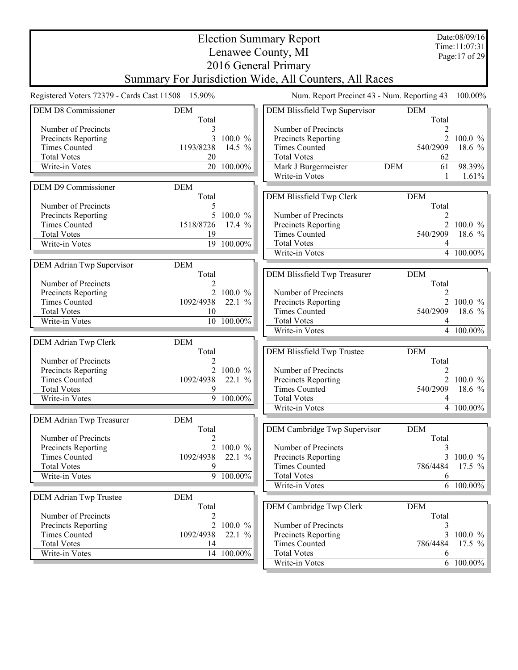|                                                   |                |                                       | <b>Election Summary Report</b>                         |                  | Date:08/09/16  |
|---------------------------------------------------|----------------|---------------------------------------|--------------------------------------------------------|------------------|----------------|
|                                                   |                |                                       | Lenawee County, MI                                     |                  | Time: 11:07:31 |
|                                                   |                |                                       |                                                        |                  | Page: 17 of 29 |
|                                                   |                |                                       | 2016 General Primary                                   |                  |                |
|                                                   |                |                                       | Summary For Jurisdiction Wide, All Counters, All Races |                  |                |
| Registered Voters 72379 - Cards Cast 11508 15.90% |                |                                       | Num. Report Precinct 43 - Num. Reporting 43            |                  | 100.00%        |
| <b>DEM D8 Commissioner</b>                        | <b>DEM</b>     |                                       | DEM Blissfield Twp Supervisor                          | <b>DEM</b>       |                |
|                                                   | Total          |                                       |                                                        | Total            |                |
| Number of Precincts                               |                |                                       | Number of Precincts                                    | $\overline{2}$   |                |
| Precincts Reporting                               | $\overline{3}$ | 100.0 %                               | Precincts Reporting                                    | $\overline{2}$   | 100.0 $%$      |
| <b>Times Counted</b>                              | 1193/8238      | 14.5 $%$                              | <b>Times Counted</b>                                   | 540/2909         | 18.6 %         |
| <b>Total Votes</b>                                | 20             |                                       | <b>Total Votes</b>                                     | 62               |                |
| Write-in Votes                                    |                | 20 100.00%                            | Mark J Burgermeister                                   | 61<br><b>DEM</b> | 98.39%         |
|                                                   |                |                                       | Write-in Votes                                         | 1                | 1.61%          |
| DEM D9 Commissioner                               | <b>DEM</b>     |                                       |                                                        |                  |                |
|                                                   | Total          |                                       | DEM Blissfield Twp Clerk                               | <b>DEM</b>       |                |
| Number of Precincts                               | 5              |                                       |                                                        | Total            |                |
| Precincts Reporting                               |                | 5 100.0 %                             | Number of Precincts                                    | 2                |                |
| <b>Times Counted</b>                              | 1518/8726      | 17.4%                                 | Precincts Reporting                                    |                  | 2 100.0 %      |
| <b>Total Votes</b>                                | 19             |                                       | <b>Times Counted</b>                                   | 540/2909         | 18.6 %         |
| Write-in Votes                                    |                | $\overline{19}$ $\overline{100.00\%}$ | <b>Total Votes</b>                                     | 4                |                |
|                                                   |                |                                       | Write-in Votes                                         |                  | 4 100.00%      |
| DEM Adrian Twp Supervisor                         | <b>DEM</b>     |                                       |                                                        |                  |                |
|                                                   | Total          |                                       | DEM Blissfield Twp Treasurer                           | <b>DEM</b>       |                |
| Number of Precincts                               | 2              |                                       |                                                        | Total            |                |
| Precincts Reporting                               |                | 2 100.0 %                             | Number of Precincts                                    | 2                |                |
| <b>Times Counted</b>                              | 1092/4938      | 22.1%                                 | Precincts Reporting                                    |                  | 2 100.0 $\%$   |
| <b>Total Votes</b>                                | 10             |                                       | <b>Times Counted</b>                                   | 540/2909         | 18.6 $%$       |
| Write-in Votes                                    |                | 10 100.00%                            | <b>Total Votes</b>                                     | 4                |                |
|                                                   |                |                                       | Write-in Votes                                         |                  | 4 100.00%      |
| DEM Adrian Twp Clerk                              | <b>DEM</b>     |                                       |                                                        |                  |                |
|                                                   | Total          |                                       | DEM Blissfield Twp Trustee                             | <b>DEM</b>       |                |
| Number of Precincts                               | $\overline{2}$ |                                       |                                                        | Total            |                |
| Precincts Reporting                               |                | 2 100.0 %                             | Number of Precincts                                    | 2                |                |
| <b>Times Counted</b>                              | 1092/4938      | 22.1%                                 | Precincts Reporting                                    |                  | 2 100.0 $%$    |
| <b>Total Votes</b>                                | 9              |                                       | <b>Times Counted</b>                                   | 540/2909         | 18.6 $%$       |
| Write-in Votes                                    |                | $9 - 100.00\%$                        | <b>Total Votes</b>                                     | 4                |                |
|                                                   |                |                                       | Write-in Votes                                         |                  | 4 100.00%      |
| DEM Adrian Twp Treasurer                          | <b>DEM</b>     |                                       |                                                        |                  |                |
|                                                   | Total          |                                       | DEM Cambridge Twp Supervisor                           | <b>DEM</b>       |                |
| Number of Precincts                               | 2              |                                       |                                                        | Total            |                |
| Precincts Reporting                               |                | 2 100.0 %                             | Number of Precincts                                    | 3                |                |
| <b>Times Counted</b>                              | 1092/4938      | 22.1 %                                | Precincts Reporting                                    | 3                | 100.0 %        |
| <b>Total Votes</b>                                | 9              |                                       | <b>Times Counted</b>                                   | 786/4484         | 17.5 $%$       |
| Write-in Votes                                    |                | 9 100.00%                             | <b>Total Votes</b>                                     | 6                |                |
|                                                   |                |                                       | Write-in Votes                                         |                  | 6 100.00%      |
| DEM Adrian Twp Trustee                            | <b>DEM</b>     |                                       |                                                        |                  |                |
|                                                   | Total          |                                       | DEM Cambridge Twp Clerk                                | <b>DEM</b>       |                |
| Number of Precincts                               | 2              |                                       |                                                        | Total            |                |
| Precincts Reporting                               |                | 2 100.0 %                             | Number of Precincts                                    | 3                |                |
| <b>Times Counted</b>                              | 1092/4938      | 22.1%                                 | Precincts Reporting                                    |                  | 3 100.0 %      |
| <b>Total Votes</b>                                | 14             |                                       | <b>Times Counted</b>                                   | 786/4484         | 17.5 $%$       |
| Write-in Votes                                    |                | 14 100.00%                            | <b>Total Votes</b>                                     | 6                |                |
|                                                   |                |                                       | Write-in Votes                                         |                  | 6 100.00%      |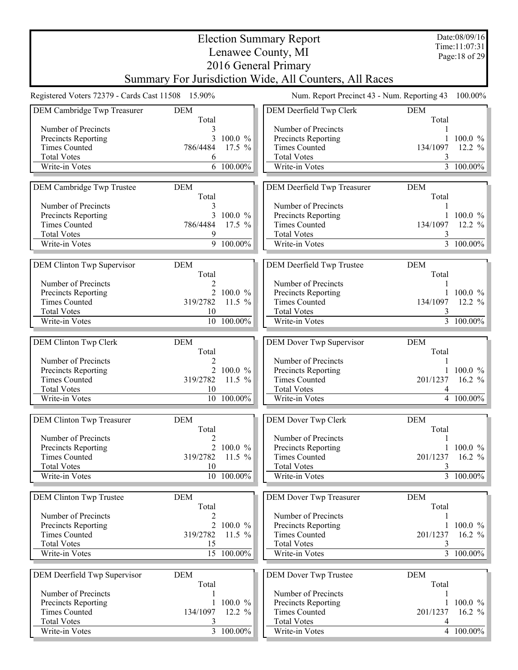|                                                   |                     |              | <b>Election Summary Report</b>                         |                     | Date:08/09/16<br>Time:11:07:31 |
|---------------------------------------------------|---------------------|--------------|--------------------------------------------------------|---------------------|--------------------------------|
|                                                   |                     |              | Lenawee County, MI                                     |                     | Page: 18 of 29                 |
|                                                   |                     |              | 2016 General Primary                                   |                     |                                |
|                                                   |                     |              | Summary For Jurisdiction Wide, All Counters, All Races |                     |                                |
| Registered Voters 72379 - Cards Cast 11508 15.90% |                     |              | Num. Report Precinct 43 - Num. Reporting 43            |                     | 100.00%                        |
| DEM Cambridge Twp Treasurer                       | <b>DEM</b><br>Total |              | DEM Deerfield Twp Clerk                                | <b>DEM</b><br>Total |                                |
| Number of Precincts                               | 3                   |              | Number of Precincts                                    |                     |                                |
| <b>Precincts Reporting</b>                        | 3                   | 100.0 %      | Precincts Reporting                                    |                     | 1 100.0 $\%$                   |
| <b>Times Counted</b>                              | 786/4484            | $17.5 \%$    | <b>Times Counted</b>                                   | 134/1097            | 12.2 $%$                       |
| <b>Total Votes</b><br>Write-in Votes              | 6                   | 6 100.00%    | <b>Total Votes</b><br>Write-in Votes                   | 3                   | 3 100.00%                      |
|                                                   |                     |              |                                                        |                     |                                |
| DEM Cambridge Twp Trustee                         | <b>DEM</b><br>Total |              | DEM Deerfield Twp Treasurer                            | <b>DEM</b><br>Total |                                |
| Number of Precincts                               | 3                   |              | Number of Precincts                                    |                     |                                |
| Precincts Reporting<br><b>Times Counted</b>       |                     | 3 100.0 $%$  | <b>Precincts Reporting</b><br><b>Times Counted</b>     | 134/1097            | $100.0 \%$                     |
| <b>Total Votes</b>                                | 786/4484<br>9       | 17.5 $%$     | <b>Total Votes</b>                                     | 3                   | 12.2 $%$                       |
| Write-in Votes                                    |                     | 9 100.00%    | Write-in Votes                                         |                     | $\overline{3}$ 100.00%         |
| DEM Clinton Twp Supervisor                        | DEM                 |              | DEM Deerfield Twp Trustee                              | <b>DEM</b>          |                                |
|                                                   | Total               |              |                                                        | Total               |                                |
| Number of Precincts<br>Precincts Reporting        | $\overline{2}$      | 2 100.0 %    | Number of Precincts<br>Precincts Reporting             |                     | 100.0 $%$                      |
| <b>Times Counted</b>                              | 319/2782            | 11.5 $%$     | <b>Times Counted</b>                                   | 134/1097            | 12.2 $%$                       |
| <b>Total Votes</b>                                | 10                  |              | <b>Total Votes</b>                                     |                     |                                |
| Write-in Votes                                    |                     | 10 100.00%   | Write-in Votes                                         |                     | 3 100.00%                      |
| DEM Clinton Twp Clerk                             | <b>DEM</b>          |              | DEM Dover Twp Supervisor                               | <b>DEM</b>          |                                |
|                                                   | Total               |              |                                                        | Total               |                                |
| Number of Precincts                               | 2                   |              | Number of Precincts                                    |                     |                                |
| Precincts Reporting                               |                     | 2 100.0 %    | Precincts Reporting                                    |                     | 1 100.0 $\%$                   |
| <b>Times Counted</b><br><b>Total Votes</b>        | 319/2782<br>10      | 11.5 $%$     | <b>Times Counted</b><br><b>Total Votes</b>             | 201/1237<br>4       | 16.2 $%$                       |
| Write-in Votes                                    |                     | 10 100.00%   | Write-in Votes                                         |                     | 4 100.00%                      |
|                                                   |                     |              |                                                        |                     |                                |
| DEM Clinton Twp Treasurer                         | <b>DEM</b><br>Total |              | DEM Dover Twp Clerk                                    | <b>DEM</b><br>Total |                                |
| Number of Precincts                               |                     |              | Number of Precincts                                    |                     |                                |
| Precincts Reporting                               | $\overline{2}$      | 100.0 %      | Precincts Reporting                                    | $\mathbf{1}$        | 100.0 %                        |
| <b>Times Counted</b>                              | 319/2782            | 11.5 $%$     | <b>Times Counted</b>                                   | 201/1237            | 16.2 $%$                       |
| <b>Total Votes</b><br>Write-in Votes              | 10                  | 10 100.00%   | <b>Total Votes</b><br>Write-in Votes                   | 3                   | $\frac{1}{3}$ 100.00%          |
| DEM Clinton Twp Trustee                           | <b>DEM</b>          |              | <b>DEM Dover Twp Treasurer</b>                         | <b>DEM</b>          |                                |
|                                                   | Total               |              |                                                        | Total               |                                |
| Number of Precincts                               | $\overline{2}$      |              | Number of Precincts                                    |                     |                                |
| Precincts Reporting                               |                     | $2\,100.0\%$ | Precincts Reporting                                    |                     | 1 100.0 $\%$                   |
| <b>Times Counted</b><br><b>Total Votes</b>        | 319/2782<br>15      | 11.5 $%$     | <b>Times Counted</b><br><b>Total Votes</b>             | 201/1237<br>3       | 16.2 $%$                       |
| Write-in Votes                                    |                     | 15 100.00%   | Write-in Votes                                         |                     | $\overline{3}$ 100.00%         |
|                                                   |                     |              |                                                        |                     |                                |
| DEM Deerfield Twp Supervisor                      | <b>DEM</b><br>Total |              | <b>DEM Dover Twp Trustee</b>                           | <b>DEM</b><br>Total |                                |
| Number of Precincts                               |                     |              | Number of Precincts                                    | 1                   |                                |
| Precincts Reporting                               | $\mathbf{1}$        | 100.0 %      | Precincts Reporting                                    |                     | $100.0 \%$                     |
| <b>Times Counted</b>                              | 134/1097            | 12.2 $%$     | <b>Times Counted</b>                                   | 201/1237            | 16.2 $%$                       |
| <b>Total Votes</b><br>Write-in Votes              | 3                   | 3 100.00%    | <b>Total Votes</b><br>Write-in Votes                   | 4                   | $\frac{1}{4}$ 100.00%          |
|                                                   |                     |              |                                                        |                     |                                |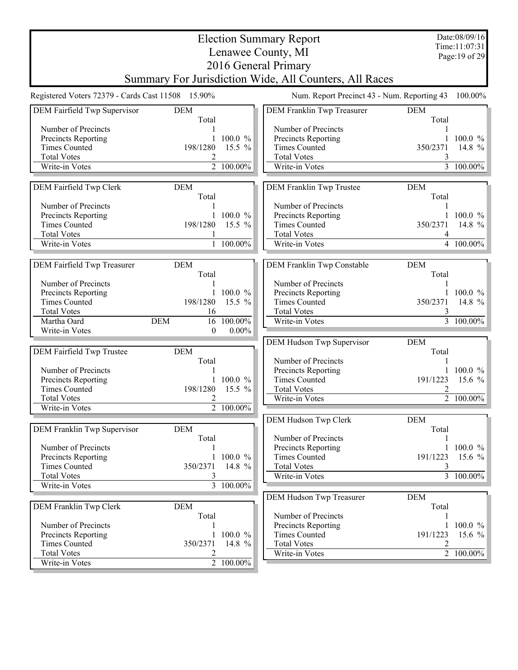|                                                   |                     |                             | <b>Election Summary Report</b>                         |                     | Date:08/09/16<br>Time:11:07:31 |
|---------------------------------------------------|---------------------|-----------------------------|--------------------------------------------------------|---------------------|--------------------------------|
|                                                   |                     |                             | Lenawee County, MI                                     |                     | Page: 19 of 29                 |
|                                                   |                     |                             | 2016 General Primary                                   |                     |                                |
|                                                   |                     |                             | Summary For Jurisdiction Wide, All Counters, All Races |                     |                                |
| Registered Voters 72379 - Cards Cast 11508 15.90% |                     |                             | Num. Report Precinct 43 - Num. Reporting 43            |                     | 100.00%                        |
|                                                   |                     |                             |                                                        |                     |                                |
| DEM Fairfield Twp Supervisor                      | <b>DEM</b><br>Total |                             | DEM Franklin Twp Treasurer                             | <b>DEM</b><br>Total |                                |
| Number of Precincts                               |                     |                             | Number of Precincts                                    |                     |                                |
| Precincts Reporting                               |                     | 1 100.0 $%$                 | Precincts Reporting                                    |                     | 1 100.0 $\%$                   |
| <b>Times Counted</b>                              | 198/1280            | 15.5 $%$                    | <b>Times Counted</b>                                   | 350/2371            | 14.8 %                         |
| <b>Total Votes</b>                                | 2                   |                             | <b>Total Votes</b>                                     | 3                   |                                |
| Write-in Votes                                    |                     | $\overline{2}$ 100.00%      | Write-in Votes                                         |                     | $3\overline{100.00\%}$         |
| DEM Fairfield Twp Clerk                           | <b>DEM</b>          |                             | DEM Franklin Twp Trustee                               | <b>DEM</b>          |                                |
|                                                   | Total               |                             |                                                        | Total               |                                |
| Number of Precincts                               |                     |                             | Number of Precincts                                    | 1                   |                                |
| Precincts Reporting                               | $\mathbf{1}$        | $100.0 \%$                  | Precincts Reporting                                    |                     | 1 100.0 $\%$                   |
| <b>Times Counted</b>                              | 198/1280            | 15.5 $%$                    | <b>Times Counted</b>                                   | 350/2371            | 14.8 %                         |
| <b>Total Votes</b>                                |                     |                             | <b>Total Votes</b>                                     | 4                   |                                |
| Write-in Votes                                    | $\mathbf{1}$        | $\frac{100.00\%}{100.00\%}$ | Write-in Votes                                         |                     | 4 $100.00\%$                   |
| DEM Fairfield Twp Treasurer                       | <b>DEM</b>          |                             | DEM Franklin Twp Constable                             | <b>DEM</b>          |                                |
|                                                   | Total               |                             |                                                        | Total               |                                |
| Number of Precincts                               |                     |                             | Number of Precincts                                    |                     |                                |
| Precincts Reporting                               |                     | $100.0 \%$                  | Precincts Reporting                                    |                     | $100.0 \%$                     |
| <b>Times Counted</b>                              | 198/1280            | 15.5 %                      | <b>Times Counted</b>                                   | 350/2371            | 14.8 $\frac{9}{6}$             |
| <b>Total Votes</b>                                | 16                  |                             | <b>Total Votes</b>                                     |                     |                                |
| Martha Oard<br><b>DEM</b>                         |                     | 16 100.00%                  | Write-in Votes                                         |                     | 3 100.00%                      |
| Write-in Votes                                    | $\boldsymbol{0}$    | $0.00\%$                    |                                                        |                     |                                |
|                                                   |                     |                             | DEM Hudson Twp Supervisor                              | <b>DEM</b>          |                                |
| DEM Fairfield Twp Trustee                         | <b>DEM</b>          |                             |                                                        | Total               |                                |
|                                                   | Total               |                             | Number of Precincts                                    |                     |                                |
| Number of Precincts                               |                     |                             | Precincts Reporting                                    |                     | $100.0 \%$                     |
| Precincts Reporting                               |                     | $100.0 \%$                  | <b>Times Counted</b>                                   | 191/1223            | 15.6 $%$                       |
| <b>Times Counted</b>                              | 198/1280            | 15.5 $%$                    | <b>Total Votes</b>                                     | 2                   |                                |
| <b>Total Votes</b>                                | 2<br>$\overline{2}$ | 100.00%                     | Write-in Votes                                         |                     | 2 100.00%                      |
| Write-in Votes                                    |                     |                             |                                                        |                     |                                |
|                                                   |                     |                             | DEM Hudson Twp Clerk                                   | <b>DEM</b>          |                                |
| DEM Franklin Twp Supervisor                       | <b>DEM</b>          |                             |                                                        | Total               |                                |
| Number of Precincts                               | Total               |                             | Number of Precincts                                    |                     | 1 100.0 $\%$                   |
|                                                   | $\mathbf{1}$        | $100.0 \%$                  | Precincts Reporting<br><b>Times Counted</b>            | 191/1223            | 15.6 $%$                       |
| Precincts Reporting<br><b>Times Counted</b>       | 350/2371            | 14.8 %                      | <b>Total Votes</b>                                     | 3                   |                                |
| <b>Total Votes</b>                                | 3                   |                             | Write-in Votes                                         |                     | $\overline{3}$ 100.00%         |
| Write-in Votes                                    |                     | $\frac{1}{3}$ 100.00%       |                                                        |                     |                                |
|                                                   |                     |                             | DEM Hudson Twp Treasurer                               | <b>DEM</b>          |                                |
| DEM Franklin Twp Clerk                            | <b>DEM</b>          |                             |                                                        | Total               |                                |
|                                                   | Total               |                             | Number of Precincts                                    |                     |                                |
| Number of Precincts                               |                     |                             | Precincts Reporting                                    |                     | 1 100.0 $\frac{\%}{\%}$        |
| Precincts Reporting                               | $\mathbf{1}$        | 100.0 %                     | <b>Times Counted</b>                                   | 191/1223            | 15.6 %                         |
| <b>Times Counted</b>                              | 350/2371            | 14.8 %                      | <b>Total Votes</b>                                     | 2                   |                                |
| <b>Total Votes</b>                                | 2                   |                             | Write-in Votes                                         |                     | $\boxed{2}$ 100.00%            |
| Write-in Votes                                    |                     | 2 100.00%                   |                                                        |                     |                                |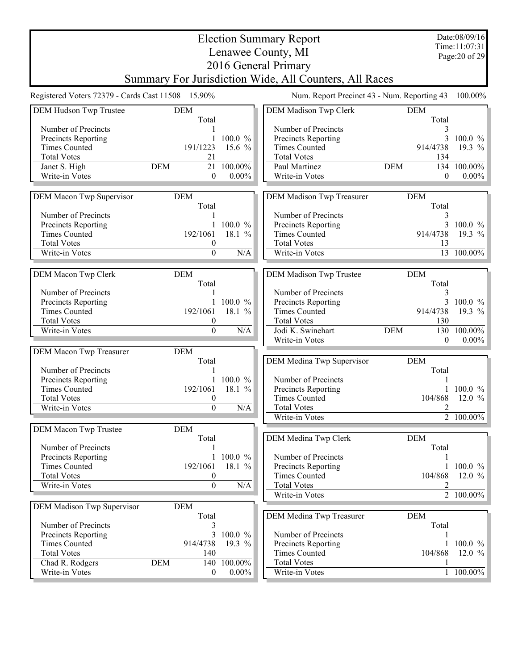|                                                   |                     |            | <b>Election Summary Report</b>                         |                                             | Date:08/09/16  |
|---------------------------------------------------|---------------------|------------|--------------------------------------------------------|---------------------------------------------|----------------|
|                                                   |                     |            | Lenawee County, MI                                     |                                             | Time:11:07:31  |
|                                                   |                     |            |                                                        |                                             | Page: 20 of 29 |
|                                                   |                     |            | 2016 General Primary                                   |                                             |                |
|                                                   |                     |            | Summary For Jurisdiction Wide, All Counters, All Races |                                             |                |
| Registered Voters 72379 - Cards Cast 11508 15.90% |                     |            |                                                        | Num. Report Precinct 43 - Num. Reporting 43 | 100.00%        |
| DEM Hudson Twp Trustee                            | <b>DEM</b>          |            | DEM Madison Twp Clerk                                  | <b>DEM</b>                                  |                |
|                                                   | Total               |            |                                                        | Total                                       |                |
| Number of Precincts                               |                     |            | Number of Precincts                                    | 3                                           |                |
| Precincts Reporting                               |                     | $100.0 \%$ | Precincts Reporting                                    | 3                                           | $100.0 \%$     |
| <b>Times Counted</b>                              | 191/1223            | 15.6 $%$   | <b>Times Counted</b>                                   | 914/4738                                    | 19.3 $%$       |
| <b>Total Votes</b>                                | 21                  |            | <b>Total Votes</b>                                     | 134                                         |                |
| Janet S. High                                     | 21<br><b>DEM</b>    | 100.00%    | Paul Martinez                                          | <b>DEM</b><br>134                           | 100.00%        |
| Write-in Votes                                    | $\overline{0}$      | $0.00\%$   | Write-in Votes                                         | $\overline{0}$                              | $0.00\%$       |
|                                                   |                     |            |                                                        |                                             |                |
| DEM Macon Twp Supervisor                          | <b>DEM</b>          |            | DEM Madison Twp Treasurer                              | <b>DEM</b>                                  |                |
|                                                   | Total               |            |                                                        | Total                                       |                |
| Number of Precincts                               |                     |            | Number of Precincts                                    | 3                                           |                |
| Precincts Reporting                               | $\mathbf{1}$        | $100.0 \%$ | Precincts Reporting                                    | $\overline{3}$                              | $100.0 \%$     |
| <b>Times Counted</b>                              | 192/1061            | 18.1 %     | <b>Times Counted</b>                                   | 914/4738                                    | 19.3 $%$       |
| <b>Total Votes</b>                                | $\boldsymbol{0}$    |            | <b>Total Votes</b>                                     | 13                                          |                |
| Write-in Votes                                    | $\boldsymbol{0}$    | N/A        | Write-in Votes                                         |                                             | 13 100.00%     |
|                                                   |                     |            |                                                        |                                             |                |
| DEM Macon Twp Clerk                               | <b>DEM</b><br>Total |            | DEM Madison Twp Trustee                                | <b>DEM</b><br>Total                         |                |
| Number of Precincts                               |                     |            | Number of Precincts                                    | 3                                           |                |
| Precincts Reporting                               | 1                   | 100.0 %    | Precincts Reporting                                    | 3                                           | 100.0 $%$      |
| <b>Times Counted</b>                              | 192/1061            | 18.1 %     | <b>Times Counted</b>                                   | 914/4738                                    | 19.3 %         |
| <b>Total Votes</b>                                | $\boldsymbol{0}$    |            | <b>Total Votes</b>                                     | 130                                         |                |
| Write-in Votes                                    | $\mathbf{0}$        | N/A        | Jodi K. Swinehart                                      | <b>DEM</b><br>130                           | 100.00%        |
|                                                   |                     |            | Write-in Votes                                         | $\overline{0}$                              | $0.00\%$       |
| DEM Macon Twp Treasurer                           | <b>DEM</b>          |            |                                                        |                                             |                |
|                                                   | Total               |            | DEM Medina Twp Supervisor                              | <b>DEM</b>                                  |                |
| Number of Precincts                               |                     |            |                                                        | Total                                       |                |
| Precincts Reporting                               |                     | $100.0 \%$ | Number of Precincts                                    |                                             |                |
| <b>Times Counted</b>                              | 192/1061            | 18.1 %     | Precincts Reporting                                    |                                             | $100.0 \%$     |
| <b>Total Votes</b>                                | $\boldsymbol{0}$    |            | <b>Times Counted</b>                                   | 104/868                                     | 12.0 $%$       |
| Write-in Votes                                    | $\overline{0}$      | N/A        | <b>Total Votes</b>                                     | 2                                           |                |
|                                                   |                     |            | Write-in Votes                                         |                                             | 2 100.00%      |
| DEM Macon Twp Trustee                             | <b>DEM</b>          |            |                                                        |                                             |                |
|                                                   | Total               |            | DEM Medina Twp Clerk                                   | <b>DEM</b>                                  |                |
| Number of Precincts                               |                     |            |                                                        | Total                                       |                |
| Precincts Reporting                               | 1                   | 100.0 %    | Number of Precincts                                    |                                             |                |
| <b>Times Counted</b>                              | 192/1061            | 18.1 %     | Precincts Reporting                                    |                                             | $100.0 \%$     |
| <b>Total Votes</b>                                | $\boldsymbol{0}$    |            | <b>Times Counted</b>                                   | 104/868                                     | 12.0 $%$       |
| Write-in Votes                                    | $\Omega$            | N/A        | <b>Total Votes</b>                                     | 2                                           |                |
|                                                   |                     |            | Write-in Votes                                         |                                             | 2 100.00%      |
| DEM Madison Twp Supervisor                        | <b>DEM</b>          |            |                                                        |                                             |                |
|                                                   | Total               |            | DEM Medina Twp Treasurer                               | <b>DEM</b>                                  |                |
| Number of Precincts                               | 3                   |            |                                                        | Total                                       |                |
| Precincts Reporting                               | $\overline{3}$      | 100.0 %    | Number of Precincts                                    | 1                                           |                |
| <b>Times Counted</b>                              | 914/4738            | 19.3 %     | Precincts Reporting                                    |                                             | 1 100.0 $\%$   |
| <b>Total Votes</b>                                | 140                 |            | <b>Times Counted</b>                                   | 104/868                                     | 12.0 $%$       |
| Chad R. Rodgers                                   | <b>DEM</b><br>140   | 100.00%    | <b>Total Votes</b>                                     |                                             |                |
| Write-in Votes                                    | $\boldsymbol{0}$    | $0.00\%$   | Write-in Votes                                         |                                             | 1 100.00%      |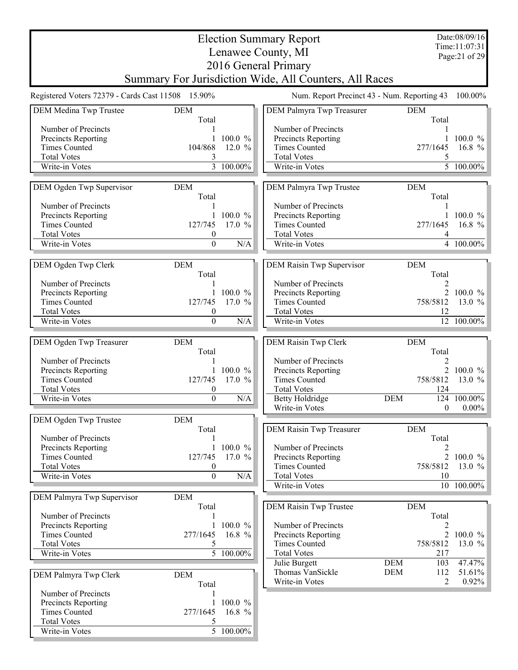|                                                   |                             |                         | <b>Election Summary Report</b>                         |                                     | Date:08/09/16                   |
|---------------------------------------------------|-----------------------------|-------------------------|--------------------------------------------------------|-------------------------------------|---------------------------------|
|                                                   |                             |                         | Lenawee County, MI                                     |                                     | Time:11:07:31<br>Page: 21 of 29 |
|                                                   |                             |                         | 2016 General Primary                                   |                                     |                                 |
|                                                   |                             |                         | Summary For Jurisdiction Wide, All Counters, All Races |                                     |                                 |
| Registered Voters 72379 - Cards Cast 11508 15.90% |                             |                         | Num. Report Precinct 43 - Num. Reporting 43            |                                     | 100.00%                         |
| DEM Medina Twp Trustee                            | <b>DEM</b><br>Total         |                         | DEM Palmyra Twp Treasurer                              | <b>DEM</b><br>Total                 |                                 |
| Number of Precincts                               |                             |                         | Number of Precincts                                    |                                     |                                 |
| Precincts Reporting                               |                             | 100.0 %                 | Precincts Reporting                                    |                                     | $100.0 \%$                      |
| <b>Times Counted</b>                              | 104/868                     | 12.0%                   | <b>Times Counted</b>                                   | 277/1645                            | 16.8 $%$                        |
| <b>Total Votes</b>                                | 3                           |                         | <b>Total Votes</b>                                     | 5                                   |                                 |
| Write-in Votes                                    |                             | 3 100.00%               | Write-in Votes                                         |                                     | $\overline{5}$ 100.00%          |
| DEM Ogden Twp Supervisor                          | <b>DEM</b><br>Total         |                         | DEM Palmyra Twp Trustee                                | <b>DEM</b><br>Total                 |                                 |
| Number of Precincts                               |                             |                         | Number of Precincts                                    |                                     |                                 |
| Precincts Reporting                               |                             | $100.0 \%$              | Precincts Reporting                                    |                                     | $100.0 \%$                      |
| <b>Times Counted</b><br><b>Total Votes</b>        | 127/745<br>$\boldsymbol{0}$ | 17.0 $%$                | <b>Times Counted</b><br><b>Total Votes</b>             | 277/1645<br>4                       | 16.8 $%$                        |
| Write-in Votes                                    | $\overline{0}$              | N/A                     | Write-in Votes                                         |                                     | 4 100.00%                       |
|                                                   |                             |                         |                                                        |                                     |                                 |
| DEM Ogden Twp Clerk                               | <b>DEM</b><br>Total         |                         | DEM Raisin Twp Supervisor                              | <b>DEM</b><br>Total                 |                                 |
| Number of Precincts                               |                             |                         | Number of Precincts                                    | 2                                   |                                 |
| Precincts Reporting                               |                             | 1 100.0 $%$             | Precincts Reporting                                    |                                     | 2 100.0 %                       |
| <b>Times Counted</b><br><b>Total Votes</b>        | 127/745<br>0                | 17.0 $%$                | <b>Times Counted</b><br><b>Total Votes</b>             | 758/5812<br>12                      | 13.0 $%$                        |
| Write-in Votes                                    | $\mathbf{0}$                | N/A                     | Write-in Votes                                         |                                     | 12 100.00%                      |
|                                                   |                             |                         |                                                        |                                     |                                 |
| DEM Ogden Twp Treasurer                           | <b>DEM</b><br>Total         |                         | DEM Raisin Twp Clerk                                   | <b>DEM</b><br>Total                 |                                 |
| Number of Precincts                               |                             |                         | Number of Precincts                                    |                                     |                                 |
| Precincts Reporting<br><b>Times Counted</b>       | 127/745                     | 1 100.0 $%$<br>17.0 $%$ | Precincts Reporting<br><b>Times Counted</b>            | 758/5812                            | 2 100.0 %<br>13.0 $%$           |
| <b>Total Votes</b>                                | $\boldsymbol{0}$            |                         | <b>Total Votes</b>                                     | 124                                 |                                 |
| Write-in Votes                                    | $\overline{0}$              | N/A                     | <b>Betty Holdridge</b>                                 | <b>DEM</b>                          | 124 100.00%                     |
|                                                   |                             |                         | Write-in Votes                                         | $\boldsymbol{0}$                    | $0.00\%$                        |
| DEM Ogden Twp Trustee                             | <b>DEM</b>                  |                         |                                                        |                                     |                                 |
| Number of Precincts                               | Total                       |                         | DEM Raisin Twp Treasurer                               | <b>DEM</b><br>Total                 |                                 |
| Precincts Reporting                               |                             | 100.0 %                 | Number of Precincts                                    |                                     |                                 |
| <b>Times Counted</b>                              | 127/745                     | 17.0 $%$                | Precincts Reporting                                    |                                     | 2 100.0 $%$                     |
| <b>Total Votes</b>                                | $\bf{0}$                    |                         | <b>Times Counted</b>                                   | 758/5812                            | 13.0 $%$                        |
| Write-in Votes                                    | $\overline{0}$              | N/A                     | <b>Total Votes</b><br>Write-in Votes                   | 10                                  |                                 |
| DEM Palmyra Twp Supervisor                        | <b>DEM</b>                  |                         |                                                        |                                     | 10 100.00%                      |
|                                                   | Total                       |                         | <b>DEM Raisin Twp Trustee</b>                          | <b>DEM</b>                          |                                 |
| Number of Precincts                               |                             |                         |                                                        | Total                               |                                 |
| Precincts Reporting                               |                             | 1 100.0 $\%$            | Number of Precincts                                    | 2                                   |                                 |
| <b>Times Counted</b><br><b>Total Votes</b>        | 277/1645<br>5               | 16.8 %                  | Precincts Reporting<br><b>Times Counted</b>            | $\overline{2}$<br>758/5812          | $100.0 \%$<br>13.0 $%$          |
| Write-in Votes                                    |                             | 5 100.00%               | <b>Total Votes</b>                                     | 217                                 |                                 |
|                                                   |                             |                         | Julie Burgett                                          | <b>DEM</b><br>103                   | $47.47\%$                       |
| DEM Palmyra Twp Clerk                             | <b>DEM</b>                  |                         | Thomas VanSickle<br>Write-in Votes                     | <b>DEM</b><br>112<br>$\overline{2}$ | 51.61%<br>0.92%                 |
| Number of Precincts                               | Total                       |                         |                                                        |                                     |                                 |
| Precincts Reporting                               | 1                           | 100.0 %                 |                                                        |                                     |                                 |
| <b>Times Counted</b>                              | 277/1645                    | 16.8 $%$                |                                                        |                                     |                                 |
| <b>Total Votes</b>                                | 5                           |                         |                                                        |                                     |                                 |
| Write-in Votes                                    |                             | 5 100.00%               |                                                        |                                     |                                 |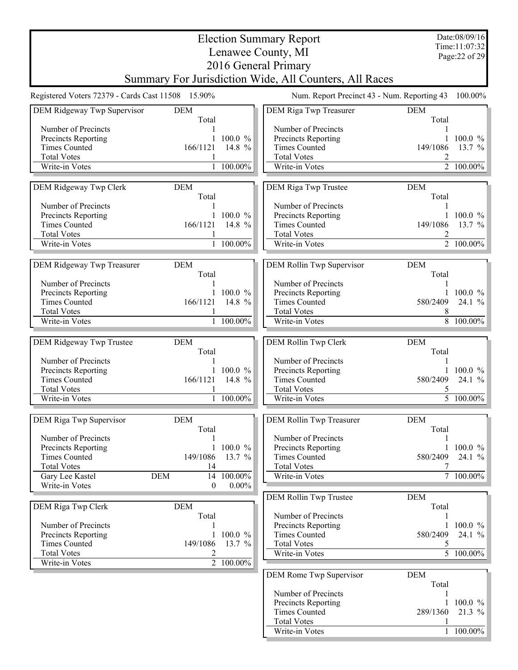|                                                   |                     |                   | <b>Election Summary Report</b>                         |                     | Date:08/09/16<br>Time: 11:07:32 |
|---------------------------------------------------|---------------------|-------------------|--------------------------------------------------------|---------------------|---------------------------------|
|                                                   |                     |                   | Lenawee County, MI                                     |                     | Page: 22 of 29                  |
|                                                   |                     |                   | 2016 General Primary                                   |                     |                                 |
|                                                   |                     |                   | Summary For Jurisdiction Wide, All Counters, All Races |                     |                                 |
| Registered Voters 72379 - Cards Cast 11508 15.90% |                     |                   | Num. Report Precinct 43 - Num. Reporting 43            |                     | 100.00%                         |
| DEM Ridgeway Twp Supervisor                       | <b>DEM</b><br>Total |                   | DEM Riga Twp Treasurer                                 | <b>DEM</b><br>Total |                                 |
| Number of Precincts                               |                     |                   | Number of Precincts                                    |                     |                                 |
| Precincts Reporting                               |                     | $100.0 \%$        | Precincts Reporting                                    |                     | $100.0 \%$                      |
| <b>Times Counted</b>                              | 166/1121            | 14.8 %            | <b>Times Counted</b>                                   | 149/1086            | 13.7 $%$                        |
| <b>Total Votes</b>                                |                     |                   | <b>Total Votes</b>                                     | 2                   |                                 |
| Write-in Votes                                    |                     | 1 100.00%         | Write-in Votes                                         |                     | 2 100.00%                       |
| DEM Ridgeway Twp Clerk                            | <b>DEM</b><br>Total |                   | DEM Riga Twp Trustee                                   | <b>DEM</b><br>Total |                                 |
| Number of Precincts                               |                     |                   | Number of Precincts                                    |                     |                                 |
| Precincts Reporting                               | 1                   | $100.0 \%$        | Precincts Reporting                                    |                     | 1 100.0 $\%$                    |
| <b>Times Counted</b><br><b>Total Votes</b>        | 166/1121            | 14.8 %            | <b>Times Counted</b><br><b>Total Votes</b>             | 149/1086<br>2       | 13.7 $%$                        |
| Write-in Votes                                    |                     | 1 100.00%         | Write-in Votes                                         |                     | 2 100.00%                       |
|                                                   |                     |                   |                                                        |                     |                                 |
| DEM Ridgeway Twp Treasurer                        | <b>DEM</b><br>Total |                   | DEM Rollin Twp Supervisor                              | <b>DEM</b><br>Total |                                 |
| Number of Precincts<br>Precincts Reporting        |                     | $100.0 \%$        | Number of Precincts<br>Precincts Reporting             |                     | 1 100.0 $\%$                    |
| <b>Times Counted</b>                              | 166/1121            | 14.8 %            | <b>Times Counted</b>                                   | 580/2409            | 24.1 $%$                        |
| <b>Total Votes</b>                                |                     |                   | <b>Total Votes</b>                                     | 8                   |                                 |
| Write-in Votes                                    |                     | 1 100.00%         | Write-in Votes                                         |                     | 8 100.00%                       |
| DEM Ridgeway Twp Trustee                          | <b>DEM</b>          |                   | DEM Rollin Twp Clerk                                   | <b>DEM</b>          |                                 |
|                                                   | Total               |                   |                                                        | Total               |                                 |
| Number of Precincts                               |                     |                   | Number of Precincts                                    |                     |                                 |
| Precincts Reporting                               |                     | $100.0 \%$        | Precincts Reporting                                    |                     | $100.0 \%$                      |
| <b>Times Counted</b>                              | 166/1121            | 14.8 %            | <b>Times Counted</b>                                   | 580/2409            | 24.1%                           |
| <b>Total Votes</b><br>Write-in Votes              | 1                   | 100.00%           | <b>Total Votes</b><br>Write-in Votes                   | 5                   | $\overline{5}$ 100.00%          |
|                                                   |                     |                   |                                                        |                     |                                 |
| DEM Riga Twp Supervisor                           | <b>DEM</b><br>Total |                   | DEM Rollin Twp Treasurer                               | <b>DEM</b><br>Total |                                 |
| Number of Precincts                               |                     |                   | Number of Precincts                                    |                     |                                 |
| Precincts Reporting                               | $\mathbf{1}$        | 100.0 %<br>13.7 % | Precincts Reporting                                    | 1                   | $100.0 \%$                      |
| <b>Times Counted</b><br><b>Total Votes</b>        | 149/1086<br>14      |                   | <b>Times Counted</b><br><b>Total Votes</b>             | 580/2409<br>7       | 24.1 %                          |
| Gary Lee Kastel                                   | <b>DEM</b><br>14    | 100.00%           | Write-in Votes                                         |                     | 7 100.00%                       |
| Write-in Votes                                    | $\theta$            | $0.00\%$          |                                                        |                     |                                 |
|                                                   |                     |                   | DEM Rollin Twp Trustee                                 | <b>DEM</b>          |                                 |
| DEM Riga Twp Clerk                                | <b>DEM</b><br>Total |                   | Number of Precincts                                    | Total<br>1          |                                 |
| Number of Precincts                               |                     |                   | Precincts Reporting                                    |                     | 1 100.0 $%$                     |
| Precincts Reporting                               |                     | 1 100.0 $%$       | <b>Times Counted</b>                                   | 580/2409            | 24.1 %                          |
| <b>Times Counted</b>                              | 149/1086            | 13.7 $%$          | <b>Total Votes</b>                                     | 5                   |                                 |
| <b>Total Votes</b>                                | 2                   |                   | Write-in Votes                                         |                     | 5 100.00%                       |
| Write-in Votes                                    |                     | 2 100.00%         | DEM Rome Twp Supervisor                                | <b>DEM</b>          |                                 |
|                                                   |                     |                   |                                                        | Total               |                                 |
|                                                   |                     |                   | Number of Precincts                                    |                     |                                 |
|                                                   |                     |                   | Precincts Reporting<br><b>Times Counted</b>            | 289/1360            | 1 100.0 $\%$<br>$21.3 \%$       |
|                                                   |                     |                   | <b>Total Votes</b>                                     |                     |                                 |
|                                                   |                     |                   | Write-in Votes                                         |                     | $1 - 100.00\%$                  |
|                                                   |                     |                   |                                                        |                     |                                 |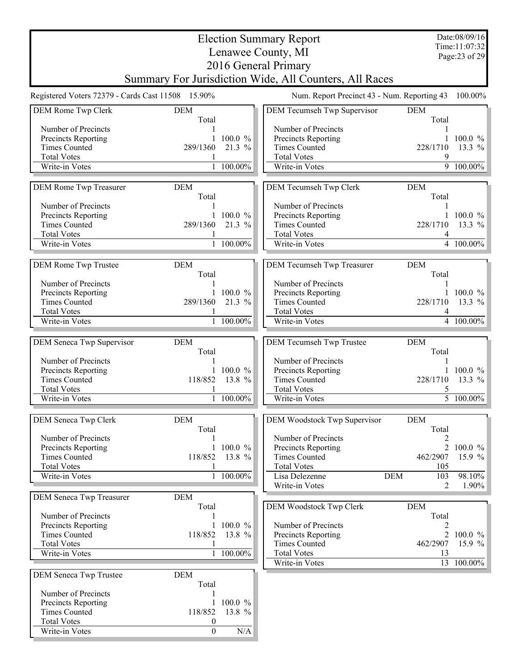|                                                   |                             |                       | <b>Election Summary Report</b>                         |            |                     | Date:08/09/16                   |
|---------------------------------------------------|-----------------------------|-----------------------|--------------------------------------------------------|------------|---------------------|---------------------------------|
|                                                   |                             |                       | Lenawee County, MI                                     |            |                     | Time:11:07:32<br>Page: 23 of 29 |
|                                                   |                             |                       | 2016 General Primary                                   |            |                     |                                 |
|                                                   |                             |                       | Summary For Jurisdiction Wide, All Counters, All Races |            |                     |                                 |
| Registered Voters 72379 - Cards Cast 11508 15.90% |                             |                       | Num. Report Precinct 43 - Num. Reporting 43            |            |                     | 100.00%                         |
| DEM Rome Twp Clerk                                | <b>DEM</b><br>Total         |                       | DEM Tecumseh Twp Supervisor                            |            | <b>DEM</b><br>Total |                                 |
| Number of Precincts                               |                             |                       | Number of Precincts                                    |            |                     |                                 |
| <b>Precincts Reporting</b>                        |                             | 1 100.0 $%$           | Precincts Reporting                                    |            |                     | 1 100.0 $\%$                    |
| <b>Times Counted</b>                              | 289/1360                    | 21.3 %                | <b>Times Counted</b>                                   |            | 228/1710            | 13.3 $%$                        |
| <b>Total Votes</b><br>Write-in Votes              |                             | 100.00%               | <b>Total Votes</b><br>Write-in Votes                   |            | 9                   | $9\overline{100.00}\%$          |
|                                                   |                             |                       |                                                        |            |                     |                                 |
| DEM Rome Twp Treasurer                            | <b>DEM</b><br>Total         |                       | DEM Tecumseh Twp Clerk                                 |            | <b>DEM</b><br>Total |                                 |
| Number of Precincts                               |                             | $100.0 \%$            | Number of Precincts                                    |            |                     | 1 100.0 $%$                     |
| Precincts Reporting<br><b>Times Counted</b>       | 289/1360                    | 21.3 %                | Precincts Reporting<br><b>Times Counted</b>            |            | 228/1710            | 13.3 %                          |
| <b>Total Votes</b>                                |                             |                       | <b>Total Votes</b>                                     |            | 4                   |                                 |
| Write-in Votes                                    |                             | 1 100.00%             | Write-in Votes                                         |            |                     | 4 100.00%                       |
| DEM Rome Twp Trustee                              | <b>DEM</b><br>Total         |                       | DEM Tecumseh Twp Treasurer                             |            | <b>DEM</b><br>Total |                                 |
| Number of Precincts                               |                             |                       | Number of Precincts                                    |            |                     |                                 |
| Precincts Reporting                               |                             | 100.0 %               | Precincts Reporting                                    |            |                     | $100.0 \%$                      |
| <b>Times Counted</b>                              | 289/1360                    | 21.3 %                | <b>Times Counted</b>                                   |            | 228/1710            | 13.3 %                          |
| <b>Total Votes</b>                                |                             |                       | <b>Total Votes</b>                                     |            |                     |                                 |
| Write-in Votes                                    |                             | 1 100.00%             | Write-in Votes                                         |            |                     | $4 - 100.00\%$                  |
| DEM Seneca Twp Supervisor                         | <b>DEM</b><br>Total         |                       | DEM Tecumseh Twp Trustee                               |            | <b>DEM</b><br>Total |                                 |
| Number of Precincts                               |                             |                       | Number of Precincts                                    |            |                     |                                 |
| Precincts Reporting                               |                             | 1 100.0 $%$<br>13.8 % | Precincts Reporting                                    |            |                     | 1 100.0 $%$                     |
| <b>Times Counted</b><br><b>Total Votes</b>        | 118/852                     |                       | <b>Times Counted</b><br><b>Total Votes</b>             |            | 228/1710<br>5       | 13.3 $%$                        |
| Write-in Votes                                    |                             | 1 100.00%             | Write-in Votes                                         |            |                     | $\overline{5}$ 100.00%          |
| DEM Seneca Twp Clerk                              | <b>DEM</b>                  |                       | DEM Woodstock Twp Supervisor                           |            | <b>DEM</b>          |                                 |
| Number of Precincts                               | Total                       |                       | Number of Precincts                                    |            | Total               |                                 |
| Precincts Reporting                               | $\mathbf{1}$                | 100.0 %               | Precincts Reporting                                    |            | 2<br>$\overline{2}$ | 100.0 %                         |
| <b>Times Counted</b>                              | 118/852                     | 13.8 %                | <b>Times Counted</b>                                   |            | 462/2907            | 15.9 $%$                        |
| <b>Total Votes</b>                                |                             |                       | <b>Total Votes</b>                                     |            | 105                 |                                 |
| Write-in Votes                                    |                             | 100.00%               | Lisa Delezenne<br>Write-in Votes                       | <b>DEM</b> | 103<br>2            | 98.10%<br>$1.90\%$              |
| <b>DEM Seneca Twp Treasurer</b>                   | <b>DEM</b><br>Total         |                       | DEM Woodstock Twp Clerk                                |            | <b>DEM</b>          |                                 |
| Number of Precincts                               |                             |                       |                                                        |            | Total               |                                 |
| Precincts Reporting                               |                             | 1 100.0 $\%$          | Number of Precincts                                    |            | 2                   |                                 |
| <b>Times Counted</b>                              | 118/852                     | 13.8 %                | Precincts Reporting                                    |            | $\overline{2}$      | $100.0 \%$                      |
| <b>Total Votes</b>                                |                             |                       | <b>Times Counted</b>                                   |            | 462/2907            | 15.9 $%$                        |
| Write-in Votes                                    |                             | 1 100.00%             | <b>Total Votes</b><br>Write-in Votes                   |            | 13                  | 13 100.00%                      |
| <b>DEM Seneca Twp Trustee</b>                     | <b>DEM</b><br>Total         |                       |                                                        |            |                     |                                 |
| Number of Precincts                               |                             |                       |                                                        |            |                     |                                 |
| Precincts Reporting                               | $\mathbf{1}$                | $100.0 \%$            |                                                        |            |                     |                                 |
| <b>Times Counted</b><br><b>Total Votes</b>        | 118/852<br>$\boldsymbol{0}$ | 13.8 %                |                                                        |            |                     |                                 |
| Write-in Votes                                    | $\boldsymbol{0}$            | N/A                   |                                                        |            |                     |                                 |
|                                                   |                             |                       |                                                        |            |                     |                                 |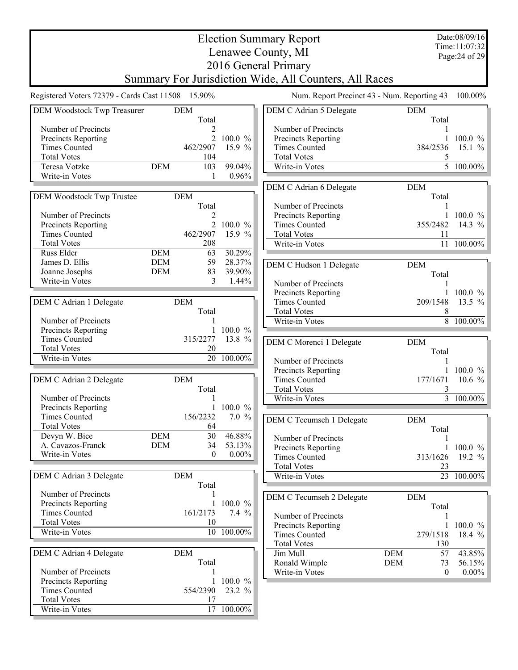|                                                   |            |                 |                 | <b>Election Summary Report</b>                         |                  | Date:08/09/16         |
|---------------------------------------------------|------------|-----------------|-----------------|--------------------------------------------------------|------------------|-----------------------|
|                                                   |            |                 |                 | Lenawee County, MI                                     |                  | Time:11:07:32         |
|                                                   |            |                 |                 | 2016 General Primary                                   |                  | Page: 24 of 29        |
|                                                   |            |                 |                 |                                                        |                  |                       |
|                                                   |            |                 |                 | Summary For Jurisdiction Wide, All Counters, All Races |                  |                       |
| Registered Voters 72379 - Cards Cast 11508 15.90% |            |                 |                 | Num. Report Precinct 43 - Num. Reporting 43            |                  | 100.00%               |
| DEM Woodstock Twp Treasurer                       |            | <b>DEM</b>      |                 | DEM C Adrian 5 Delegate                                | <b>DEM</b>       |                       |
| Number of Precincts                               |            | Total           |                 | Number of Precincts                                    | Total            |                       |
| Precincts Reporting                               |            |                 | 100.0 %         | Precincts Reporting                                    |                  | $100.0 \%$            |
| <b>Times Counted</b>                              |            | 462/2907        | 15.9 %          | <b>Times Counted</b>                                   | 384/2536         | 15.1 $%$              |
| <b>Total Votes</b>                                |            | 104             |                 | <b>Total Votes</b>                                     | 5                |                       |
| Teresa Votzke                                     | <b>DEM</b> | 103             | 99.04%          | Write-in Votes                                         |                  | 5 100.00%             |
| Write-in Votes                                    |            |                 | 0.96%           |                                                        |                  |                       |
|                                                   |            |                 |                 | DEM C Adrian 6 Delegate                                | <b>DEM</b>       |                       |
| <b>DEM Woodstock Twp Trustee</b>                  |            | <b>DEM</b>      |                 |                                                        | Total            |                       |
|                                                   |            | Total           |                 | Number of Precincts                                    |                  |                       |
| Number of Precincts                               |            | 2               |                 | Precincts Reporting                                    |                  | 1 100.0 $\%$          |
| Precincts Reporting                               |            | $\overline{2}$  | 100.0 %         | <b>Times Counted</b>                                   | 355/2482         | 14.3 %                |
| <b>Times Counted</b>                              |            | 462/2907        | 15.9 %          | <b>Total Votes</b>                                     | 11               |                       |
| <b>Total Votes</b>                                |            | 208             |                 | Write-in Votes                                         |                  | 11 100.00%            |
| Russ Elder                                        | <b>DEM</b> | 63              | 30.29%          |                                                        |                  |                       |
| James D. Ellis                                    | <b>DEM</b> | 59              | 28.37%          | DEM C Hudson 1 Delegate                                | <b>DEM</b>       |                       |
| Joanne Josephs                                    | <b>DEM</b> | 83<br>3         | 39.90%<br>1.44% |                                                        | Total            |                       |
| Write-in Votes                                    |            |                 |                 | Number of Precincts                                    |                  |                       |
|                                                   |            |                 |                 | Precincts Reporting                                    |                  | 1 100.0 $\%$          |
| DEM C Adrian 1 Delegate                           |            | <b>DEM</b>      |                 | <b>Times Counted</b>                                   | 209/1548         | 13.5 $%$              |
|                                                   |            | Total           |                 | <b>Total Votes</b>                                     | 8                |                       |
| Number of Precincts<br>Precincts Reporting        |            |                 | $100.0 \%$      | Write-in Votes                                         |                  | $8 - 100.00\%$        |
| <b>Times Counted</b>                              |            | 315/2277        | 13.8 %          |                                                        |                  |                       |
| <b>Total Votes</b>                                |            | 20              |                 | DEM C Morenci 1 Delegate                               | <b>DEM</b>       |                       |
| Write-in Votes                                    |            | $\overline{20}$ | $100.00\%$      | Number of Precincts                                    | Total            |                       |
|                                                   |            |                 |                 | Precincts Reporting                                    |                  | $100.0 \%$            |
| DEM C Adrian 2 Delegate                           |            | <b>DEM</b>      |                 | <b>Times Counted</b>                                   | 177/1671         | 10.6 $%$              |
|                                                   |            | Total           |                 | <b>Total Votes</b>                                     | 3                |                       |
| Number of Precincts                               |            |                 |                 | Write-in Votes                                         |                  | $\frac{1}{3}$ 100.00% |
| Precincts Reporting                               |            |                 | 1 100.0 $%$     |                                                        |                  |                       |
| <b>Times Counted</b>                              |            | 156/2232        | 7.0%            | DEM C Tecumseh 1 Delegate                              | <b>DEM</b>       |                       |
| <b>Total Votes</b>                                |            | 64              |                 |                                                        | Total            |                       |
| Devyn W. Bice                                     | <b>DEM</b> | 30              | 46.88%          | Number of Precincts                                    |                  |                       |
| A. Cavazos-Franck                                 | <b>DEM</b> | 34              | 53.13%          | Precincts Reporting                                    |                  | $100.0 \%$            |
| Write-in Votes                                    |            | $\mathbf{0}$    | $0.00\%$        | <b>Times Counted</b>                                   | 313/1626         | 19.2 $%$              |
|                                                   |            |                 |                 | <b>Total Votes</b>                                     | 23               |                       |
| DEM C Adrian 3 Delegate                           |            | <b>DEM</b>      |                 | Write-in Votes                                         | 23               | $100.00\%$            |
|                                                   |            | Total           |                 |                                                        |                  |                       |
| Number of Precincts                               |            |                 |                 | DEM C Tecumseh 2 Delegate                              | <b>DEM</b>       |                       |
| Precincts Reporting                               |            |                 | 100.0 %         |                                                        | Total            |                       |
| <b>Times Counted</b>                              |            | 161/2173        | 7.4%            | Number of Precincts                                    |                  |                       |
| <b>Total Votes</b>                                |            | 10              |                 | Precincts Reporting                                    |                  | 1 100.0 $\%$          |
| Write-in Votes                                    |            |                 | 10 100.00%      | <b>Times Counted</b>                                   | 279/1518         | 18.4 $%$              |
|                                                   |            |                 |                 | <b>Total Votes</b>                                     | 130              |                       |
| DEM C Adrian 4 Delegate                           |            | <b>DEM</b>      |                 | Jim Mull                                               | <b>DEM</b><br>57 | 43.85%                |
|                                                   |            | Total           |                 | Ronald Wimple                                          | <b>DEM</b><br>73 | 56.15%                |
| Number of Precincts                               |            |                 |                 | Write-in Votes                                         | $\theta$         | $0.00\%$              |
| Precincts Reporting                               |            |                 | $100.0 \%$      |                                                        |                  |                       |
| <b>Times Counted</b>                              |            | 554/2390        | 23.2 %          |                                                        |                  |                       |
| <b>Total Votes</b>                                |            | 17              |                 |                                                        |                  |                       |
| Write-in Votes                                    |            |                 | 17 100.00%      |                                                        |                  |                       |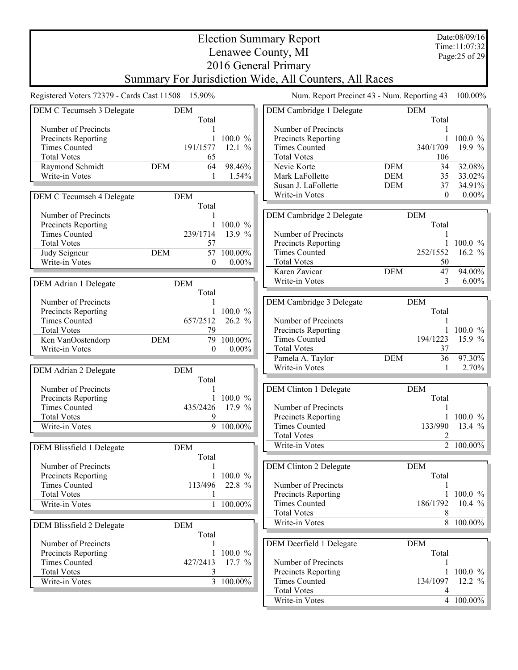Election Summary Report Lenawee County, MI 2016 General Primary Summary For Jurisdiction Wide, All Counters, All Races Date:08/09/16 Time:11:07:32 Page:25 of 29 Registered Voters 72379 - Cards Cast 11508 15.90% Num. Report Precinct 43 - Num. Reporting 43 100.00% DEM C Tecumseh 3 Delegate DEM Total Number of Precincts 1 Precincts Reporting 1 100.0 % Times Counted 191/1577 12.1 % Total Votes 65 Raymond Schmidt DEM 64 98.46%<br>Write-in Votes 1 1.54% Write-in Votes 1 DEM C Tecumseh 4 Delegate DEM Total Number of Precincts 1 Precincts Reporting 1 100.0 %<br>Times Counted 239/1714 13.9 % Times Counted Total Votes 57<br>
Judy Seigneur DEM 57 100.00% Judy Seigneur DEM 57 100.00%<br>Write-in Votes 0 0.00% Write-in Votes DEM Adrian 1 Delegate DEM Total Number of Precincts<br>
Precincts Reporting<br>
1 100.0 % Precincts Reporting 1 100.0 %<br>Times Counted 657/2512 26.2 % Times Counted Total Votes 79<br>
Ken VanOostendorp DEM 79 100.00% Ken VanOostendorp DEM 79 100.00%<br>Write-in Votes 0 0.00% Write-in Votes DEM Adrian 2 Delegate DEM Total Number of Precincts<br>
Precincts Reporting<br>
1 100.0 % Precincts Reporting<br>Times Counted 435/2426 17.9 % Total Votes 9 Write-in Votes  $9 \t100.00\%$ DEM Blissfield 1 Delegate DEM Total Number of Precincts<br>
Precincts Reporting<br>
1 100.0 % Precincts Reporting<br>Times Counted 113/496 22.8 % Total Votes<br>Write-in Votes<br>1 100.00% Write-in Votes DEM Blissfield 2 Delegate DEM Total Number of Precincts<br>
Precincts Reporting<br>
1 100.0 % Precincts Reporting 1 100.0 %<br>Times Counted 1 27/2413 17.7 %  $Times$  Counted  $427/2413$ Total Votes<br>Write-in Votes<br>3 100.00% Write-in Votes DEM Cambridge 1 Delegate DEM Total Number of Precincts 1 Precincts Reporting 1 100.0 % Times Counted 340/1709 19.9 % Total Votes 106 Nevie Korte<br>
Mark LaFollette<br>
DEM 35 33.02% Mark LaFollette DEM 35 33.02% Susan J. LaFollette DEM 37 34.91%<br>Write-in Votes 0 0.00% Write-in Votes DEM Cambridge 2 Delegate DEM Total Number of Precincts<br>
Precincts Reporting
1 100.0 % Precincts Reporting Times Counted 252/1552 16.2 % Total Votes 50 Karen Zavicar DEM 47 94.00% Write-in Votes 3 6.00% DEM Cambridge 3 Delegate DEM Total Number of Precincts<br>
Precincts Reporting<br>
1 100.0 % Precincts Reporting 1 100.0 %<br>Times Counted 194/1223 15.9 % Times Counted 194/1223 Total Votes 37 Pamela A. Taylor DEM 36 97.30%<br>Write-in Votes 1 2.70% Write-in Votes 1 DEM Clinton 1 Delegate DEM Total Number of Precincts<br>
Precincts Reporting
1 100.0 % Precincts Reporting Times Counted 133/990 13.4 % Total Votes Write-in Votes  $2^{-100.00\%}$ DEM Clinton 2 Delegate DEM Total Number of Precincts 1 Precincts Reporting 1 100.0 %<br>Times Counted 186/1792 10.4 % 186/1792 10.4 % Total Votes<br>Write-in Votes<br>8 100.00% Write-in Votes DEM Deerfield 1 Delegate DEM Total Number of Precincts<br>
Precincts Reporting
1 100.0 % Precincts Reporting 1 100.0 %<br>Times Counted 134/1097 12.2 % Times Counted Total Votes 4<br>Write-in Votes 4 100.00% Write-in Votes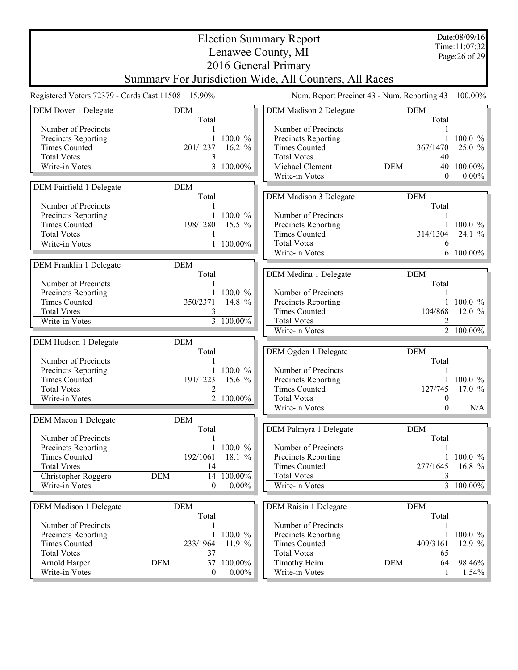|                                                   |                     |                        | <b>Election Summary Report</b>                         |                                             | Date:08/09/16<br>Time:11:07:32 |
|---------------------------------------------------|---------------------|------------------------|--------------------------------------------------------|---------------------------------------------|--------------------------------|
|                                                   |                     |                        | Lenawee County, MI                                     |                                             | Page: 26 of 29                 |
|                                                   |                     |                        | 2016 General Primary                                   |                                             |                                |
|                                                   |                     |                        | Summary For Jurisdiction Wide, All Counters, All Races |                                             |                                |
| Registered Voters 72379 - Cards Cast 11508 15.90% |                     |                        |                                                        | Num. Report Precinct 43 - Num. Reporting 43 | 100.00%                        |
|                                                   |                     |                        |                                                        |                                             |                                |
| DEM Dover 1 Delegate                              | <b>DEM</b><br>Total |                        | <b>DEM Madison 2 Delegate</b>                          | <b>DEM</b><br>Total                         |                                |
| Number of Precincts                               |                     |                        | Number of Precincts                                    |                                             |                                |
| Precincts Reporting                               |                     | 100.0 %                | Precincts Reporting                                    | 1                                           | $100.0 \%$                     |
| <b>Times Counted</b>                              | 201/1237            | 16.2 $%$               | <b>Times Counted</b>                                   | 367/1470                                    | 25.0 %                         |
| <b>Total Votes</b>                                | 3                   |                        | <b>Total Votes</b>                                     | 40                                          |                                |
| Write-in Votes                                    |                     | $\overline{3}$ 100.00% | Michael Clement                                        | <b>DEM</b><br>40                            | 100.00%                        |
|                                                   |                     |                        | Write-in Votes                                         | $\overline{0}$                              | $0.00\%$                       |
| DEM Fairfield 1 Delegate                          | <b>DEM</b>          |                        |                                                        |                                             |                                |
|                                                   | Total               |                        | <b>DEM Madison 3 Delegate</b>                          | <b>DEM</b>                                  |                                |
| Number of Precincts                               |                     |                        |                                                        | Total                                       |                                |
| Precincts Reporting                               |                     | 1 100.0 $%$            | Number of Precincts                                    |                                             |                                |
| <b>Times Counted</b>                              | 198/1280            | 15.5 $%$               | Precincts Reporting                                    |                                             | 1 100.0 $\%$                   |
| <b>Total Votes</b>                                |                     |                        | <b>Times Counted</b>                                   | 314/1304                                    | 24.1 $%$                       |
| Write-in Votes                                    |                     | 1 100.00%              | <b>Total Votes</b>                                     | 6                                           |                                |
|                                                   |                     |                        | Write-in Votes                                         |                                             | 6 100.00%                      |
| DEM Franklin 1 Delegate                           | <b>DEM</b>          |                        |                                                        |                                             |                                |
|                                                   | Total               |                        | DEM Medina 1 Delegate                                  | <b>DEM</b>                                  |                                |
| Number of Precincts                               |                     |                        |                                                        | Total                                       |                                |
| Precincts Reporting                               |                     | $100.0 \%$             | Number of Precincts                                    |                                             |                                |
| <b>Times Counted</b>                              | 350/2371            | 14.8 %                 | Precincts Reporting                                    |                                             | $100.0 \%$                     |
| <b>Total Votes</b>                                | 3                   |                        | <b>Times Counted</b>                                   | 104/868                                     | 12.0 $%$                       |
| Write-in Votes                                    |                     | 3 100.00%              | <b>Total Votes</b>                                     |                                             |                                |
|                                                   |                     |                        | Write-in Votes                                         |                                             | $\overline{2}$ 100.00%         |
| DEM Hudson 1 Delegate                             | <b>DEM</b>          |                        |                                                        |                                             |                                |
|                                                   | Total               |                        | DEM Ogden 1 Delegate                                   | <b>DEM</b>                                  |                                |
| Number of Precincts                               |                     |                        |                                                        | Total                                       |                                |
| Precincts Reporting                               |                     | 1 100.0 $%$            | Number of Precincts                                    | 1                                           |                                |
| <b>Times Counted</b>                              | 191/1223            | 15.6 $%$               | Precincts Reporting                                    |                                             | $100.0 \%$                     |
| <b>Total Votes</b>                                | 2                   |                        | <b>Times Counted</b>                                   | 127/745                                     | 17.0 $%$                       |
| Write-in Votes                                    |                     | 2 100.00%              | <b>Total Votes</b>                                     | $\boldsymbol{0}$                            |                                |
|                                                   |                     |                        | Write-in Votes                                         | $\Omega$                                    | N/A                            |
| DEM Macon 1 Delegate                              | <b>DEM</b>          |                        |                                                        |                                             |                                |
|                                                   | Total               |                        | DEM Palmyra 1 Delegate                                 | <b>DEM</b>                                  |                                |
| Number of Precincts                               |                     |                        |                                                        | Total                                       |                                |
| Precincts Reporting                               | $\mathbf{1}$        | $100.0 \%$             | Number of Precincts                                    |                                             |                                |
| <b>Times Counted</b>                              | 192/1061            | 18.1 %                 | Precincts Reporting                                    | 1                                           | $100.0 \%$                     |
| <b>Total Votes</b>                                | 14                  |                        | <b>Times Counted</b>                                   | 277/1645                                    | 16.8 $%$                       |
| Christopher Roggero                               | <b>DEM</b><br>14    | 100.00%                | <b>Total Votes</b>                                     | 3                                           |                                |
| Write-in Votes                                    | 0                   | $0.00\%$               | Write-in Votes                                         |                                             | $3\overline{100.00\%}$         |
|                                                   |                     |                        |                                                        |                                             |                                |
| DEM Madison 1 Delegate                            | <b>DEM</b>          |                        | DEM Raisin 1 Delegate                                  | <b>DEM</b>                                  |                                |
|                                                   | Total               |                        |                                                        | Total                                       |                                |
| Number of Precincts                               | 1                   |                        | Number of Precincts                                    | 1                                           |                                |
| Precincts Reporting                               | 1                   | 100.0 %                | Precincts Reporting                                    | 1                                           | $100.0 \%$                     |
| <b>Times Counted</b>                              | 233/1964            | 11.9 $%$               | <b>Times Counted</b>                                   | 409/3161                                    | 12.9 $%$                       |
| <b>Total Votes</b>                                | 37                  |                        | <b>Total Votes</b>                                     | 65                                          |                                |
| Arnold Harper                                     | <b>DEM</b><br>37    | 100.00%                | Timothy Heim                                           | <b>DEM</b><br>64                            | 98.46%                         |
| Write-in Votes                                    | $\boldsymbol{0}$    | $0.00\%$               | Write-in Votes                                         | $\mathbf{1}$                                | 1.54%                          |
|                                                   |                     |                        |                                                        |                                             |                                |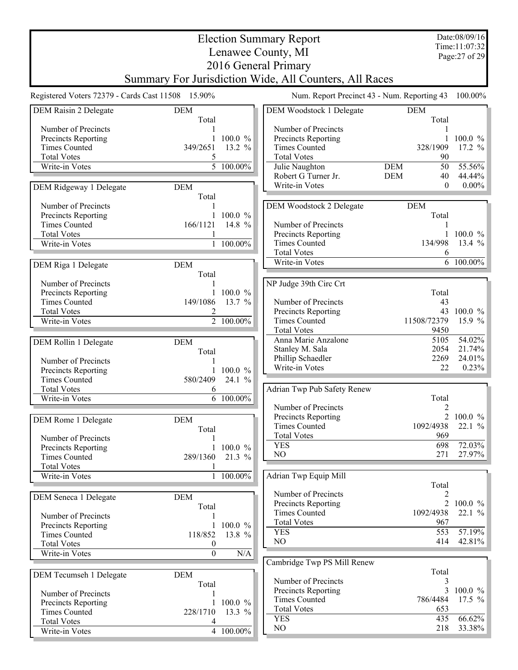|                                                   |                     |                        | <b>Election Summary Report</b>                         |                                      | Date:08/09/16<br>Time:11:07:32 |
|---------------------------------------------------|---------------------|------------------------|--------------------------------------------------------|--------------------------------------|--------------------------------|
|                                                   |                     |                        | Lenawee County, MI                                     |                                      | Page: 27 of 29                 |
|                                                   |                     |                        | 2016 General Primary                                   |                                      |                                |
|                                                   |                     |                        | Summary For Jurisdiction Wide, All Counters, All Races |                                      |                                |
| Registered Voters 72379 - Cards Cast 11508 15.90% |                     |                        | Num. Report Precinct 43 - Num. Reporting 43            |                                      | 100.00%                        |
| DEM Raisin 2 Delegate                             | <b>DEM</b><br>Total |                        | DEM Woodstock 1 Delegate                               | DEM<br>Total                         |                                |
| Number of Precincts                               |                     |                        | Number of Precincts                                    |                                      |                                |
| Precincts Reporting                               |                     | 1 100.0 $\%$           | Precincts Reporting                                    |                                      | 1 100.0 $%$                    |
| <b>Times Counted</b>                              | 349/2651            | 13.2 %                 | <b>Times Counted</b>                                   | 328/1909                             | 17.2 $%$                       |
| <b>Total Votes</b>                                | 5                   |                        | <b>Total Votes</b>                                     | 90                                   |                                |
| Write-in Votes                                    |                     | $\overline{5}$ 100.00% | Julie Naughton<br>Robert G Turner Jr.                  | <b>DEM</b><br>50<br><b>DEM</b><br>40 | 55.56%<br>44.44%               |
|                                                   |                     |                        | Write-in Votes                                         | $\theta$                             | $0.00\%$                       |
| DEM Ridgeway 1 Delegate                           | <b>DEM</b><br>Total |                        |                                                        |                                      |                                |
| Number of Precincts                               |                     |                        | DEM Woodstock 2 Delegate                               | <b>DEM</b>                           |                                |
| Precincts Reporting                               | $\mathbf{1}$        | $100.0 \%$             |                                                        | Total                                |                                |
| <b>Times Counted</b>                              | 166/1121            | 14.8 %                 | Number of Precincts                                    |                                      |                                |
| <b>Total Votes</b>                                | 1                   |                        | Precincts Reporting                                    | 1                                    | 100.0%                         |
| Write-in Votes                                    | $\mathbf{1}$        | 100.00%                | <b>Times Counted</b>                                   | 134/998                              | 13.4 %                         |
|                                                   |                     |                        | <b>Total Votes</b><br>Write-in Votes                   | 6                                    | 6 100.00%                      |
| DEM Riga 1 Delegate                               | <b>DEM</b>          |                        |                                                        |                                      |                                |
| Number of Precincts                               | Total               |                        |                                                        |                                      |                                |
| Precincts Reporting                               |                     | 1 100.0 $\%$           | NP Judge 39th Circ Crt                                 | Total                                |                                |
| <b>Times Counted</b>                              | 149/1086            | 13.7 $%$               | Number of Precincts                                    | 43                                   |                                |
| <b>Total Votes</b>                                | 2                   |                        | Precincts Reporting                                    |                                      | 43 100.0 %                     |
| Write-in Votes                                    |                     | $2 - 100.00\%$         | <b>Times Counted</b>                                   | 11508/72379                          | 15.9 %                         |
|                                                   |                     |                        | <b>Total Votes</b>                                     | 9450                                 |                                |
| DEM Rollin 1 Delegate                             | <b>DEM</b>          |                        | Anna Marie Anzalone                                    | 5105                                 | 54.02%                         |
|                                                   | Total               |                        | Stanley M. Sala                                        | 2054                                 | 21.74%                         |
| Number of Precincts                               | 1                   |                        | Phillip Schaedler<br>Write-in Votes                    | 2269<br>22                           | 24.01%                         |
| Precincts Reporting                               |                     | $100.0 \%$             |                                                        |                                      | 0.23%                          |
| <b>Times Counted</b>                              | 580/2409            | 24.1 %                 |                                                        |                                      |                                |
| <b>Total Votes</b><br>Write-in Votes              | 6<br>6              | 100.00%                | Adrian Twp Pub Safety Renew                            | Total                                |                                |
|                                                   |                     |                        | Number of Precincts                                    | 2                                    |                                |
| DEM Rome 1 Delegate                               | <b>DEM</b>          |                        | Precincts Reporting                                    |                                      | 2 100.0 %                      |
|                                                   | Total               |                        | <b>Times Counted</b>                                   | 1092/4938                            | 22.1%                          |
| Number of Precincts                               |                     |                        | <b>Total Votes</b>                                     | 969                                  |                                |
| Precincts Reporting                               | $\mathbf{1}$        | $100.0 \%$             | <b>YES</b>                                             | 698                                  | 72.03%                         |
| <b>Times Counted</b>                              | 289/1360            | $21.3 \%$              | NO                                                     | 271                                  | 27.97%                         |
| <b>Total Votes</b>                                |                     |                        |                                                        |                                      |                                |
| Write-in Votes                                    |                     | 1 100.00%              | Adrian Twp Equip Mill                                  | Total                                |                                |
|                                                   | <b>DEM</b>          |                        | Number of Precincts                                    | 2                                    |                                |
| DEM Seneca 1 Delegate                             | Total               |                        | Precincts Reporting                                    | $\overline{2}$                       | 100.0 %                        |
| Number of Precincts                               |                     |                        | <b>Times Counted</b>                                   | 1092/4938                            | 22.1 %                         |
| Precincts Reporting                               | $\mathbf{1}$        | 100.0 %                | <b>Total Votes</b>                                     | 967                                  |                                |
| <b>Times Counted</b>                              | 118/852             | 13.8 %                 | <b>YES</b>                                             | 553                                  | 57.19%                         |
| <b>Total Votes</b>                                | $\boldsymbol{0}$    |                        | NO                                                     | 414                                  | 42.81%                         |
| Write-in Votes                                    | $\boldsymbol{0}$    | N/A                    |                                                        |                                      |                                |
|                                                   |                     |                        | Cambridge Twp PS Mill Renew                            | Total                                |                                |
| DEM Tecumseh 1 Delegate                           | <b>DEM</b>          |                        | Number of Precincts                                    | 3                                    |                                |
| Number of Precincts                               | Total               |                        | Precincts Reporting                                    | 3                                    | $100.0 \%$                     |
| Precincts Reporting                               |                     | 100.0 %                | <b>Times Counted</b>                                   | 786/4484                             | 17.5 $%$                       |
| <b>Times Counted</b>                              | 228/1710            | 13.3 %                 | <b>Total Votes</b>                                     | 653                                  |                                |
| <b>Total Votes</b>                                |                     |                        | <b>YES</b>                                             | 435                                  | 66.62%                         |
| Write-in Votes                                    |                     | 4 100.00%              | NO                                                     | 218                                  | 33.38%                         |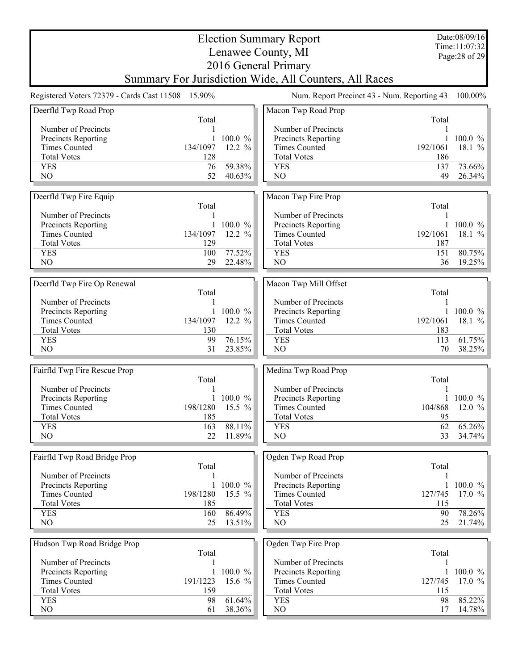|                                             |                 |                      | <b>Election Summary Report</b>                         |               | Date:08/09/16<br>Time:11:07:32 |
|---------------------------------------------|-----------------|----------------------|--------------------------------------------------------|---------------|--------------------------------|
|                                             |                 |                      | Lenawee County, MI                                     |               | Page: 28 of 29                 |
|                                             |                 |                      | 2016 General Primary                                   |               |                                |
|                                             |                 |                      | Summary For Jurisdiction Wide, All Counters, All Races |               |                                |
| Registered Voters 72379 - Cards Cast 11508  | 15.90%          |                      | Num. Report Precinct 43 - Num. Reporting 43            |               | 100.00%                        |
|                                             |                 |                      |                                                        |               |                                |
| Deerfld Twp Road Prop                       | Total           |                      | Macon Twp Road Prop                                    | Total         |                                |
| Number of Precincts                         |                 |                      | Number of Precincts                                    |               |                                |
| Precincts Reporting                         |                 | 100.0 %              | Precincts Reporting                                    |               | 100.0 %                        |
| <b>Times Counted</b>                        | 134/1097        | 12.2 %               | <b>Times Counted</b>                                   | 192/1061      | 18.1 $%$                       |
| <b>Total Votes</b>                          | 128             |                      | <b>Total Votes</b>                                     | 186           |                                |
| <b>YES</b>                                  | 76              | 59.38%               | <b>YES</b>                                             | 137           | 73.66%                         |
| NO                                          | 52              | 40.63%               | NO                                                     | 49            | $26.34\%$                      |
|                                             |                 |                      |                                                        |               |                                |
| Deerfld Twp Fire Equip                      |                 |                      | Macon Twp Fire Prop                                    |               |                                |
| Number of Precincts                         | Total           |                      | Number of Precincts                                    | Total         |                                |
| Precincts Reporting                         |                 | $100.0 \%$           | Precincts Reporting                                    |               | $100.0 \%$                     |
| <b>Times Counted</b>                        | 134/1097        | 12.2 $%$             | <b>Times Counted</b>                                   | 192/1061      | 18.1 %                         |
| <b>Total Votes</b>                          | 129             |                      | <b>Total Votes</b>                                     | 187           |                                |
| <b>YES</b>                                  | 100             | 77.52%               | <b>YES</b>                                             | 151           | 80.75%                         |
| NO                                          | 29              | 22.48%               | NO                                                     | 36            | $19.25\%$                      |
|                                             |                 |                      |                                                        |               |                                |
| Deerfld Twp Fire Op Renewal                 |                 |                      | Macon Twp Mill Offset                                  |               |                                |
|                                             | Total           |                      |                                                        | Total         |                                |
| Number of Precincts                         |                 |                      | Number of Precincts                                    |               |                                |
| Precincts Reporting<br><b>Times Counted</b> | 134/1097        | $100.0 \%$<br>12.2 % | Precincts Reporting<br><b>Times Counted</b>            | 192/1061      | 100.0 %<br>18.1 $%$            |
| <b>Total Votes</b>                          | 130             |                      | <b>Total Votes</b>                                     | 183           |                                |
| <b>YES</b>                                  | 99              | 76.15%               | <b>YES</b>                                             | 113           | 61.75%                         |
| N <sub>O</sub>                              | 31              | 23.85%               | N <sub>O</sub>                                         | 70            | 38.25%                         |
|                                             |                 |                      |                                                        |               |                                |
| Fairfld Twp Fire Rescue Prop                |                 |                      | Medina Twp Road Prop                                   |               |                                |
|                                             | Total           |                      |                                                        | Total         |                                |
| Number of Precincts                         |                 |                      | Number of Precincts                                    |               |                                |
| Precincts Reporting                         |                 | 100.0 %              | Precincts Reporting                                    |               | $100.0 \%$                     |
| <b>Times Counted</b>                        | 198/1280<br>185 | $15.5\%$             | Times Counted                                          | 104/868<br>95 | $12.0 \%$                      |
| <b>Total Votes</b><br><b>YES</b>            | 163             | 88.11%               | <b>Total Votes</b><br><b>YES</b>                       | 62            | $65.26\%$                      |
| N <sub>O</sub>                              | 22              | 11.89%               | N <sub>O</sub>                                         | 33            | $34.74\%$                      |
|                                             |                 |                      |                                                        |               |                                |
| Fairfld Twp Road Bridge Prop                |                 |                      | Ogden Twp Road Prop                                    |               |                                |
|                                             | Total           |                      |                                                        | Total         |                                |
| Number of Precincts                         |                 |                      | Number of Precincts                                    |               |                                |
| Precincts Reporting                         |                 | 100.0 %              | Precincts Reporting                                    |               | $100.0 \%$                     |
| <b>Times Counted</b>                        | 198/1280        | 15.5 $%$             | <b>Times Counted</b>                                   | 127/745       | 17.0 $\frac{9}{6}$             |
| <b>Total Votes</b>                          | 185             |                      | <b>Total Votes</b>                                     | 115           |                                |
| <b>YES</b>                                  | 160             | 86.49%               | <b>YES</b>                                             | 90            | 78.26%                         |
| NO                                          | 25              | 13.51%               | NO                                                     | 25            | $21.74\%$                      |
|                                             |                 |                      |                                                        |               |                                |
| Hudson Twp Road Bridge Prop                 | Total           |                      | Ogden Twp Fire Prop                                    | Total         |                                |
| Number of Precincts                         |                 |                      | Number of Precincts                                    |               |                                |
| Precincts Reporting                         | 1               | 100.0 %              | Precincts Reporting                                    | 1             | $100.0 \%$                     |
| <b>Times Counted</b>                        | 191/1223        | 15.6 %               | <b>Times Counted</b>                                   | 127/745       | 17.0 $\frac{9}{6}$             |
| <b>Total Votes</b>                          | 159             |                      | <b>Total Votes</b>                                     | 115           |                                |
| <b>YES</b>                                  | 98              | 61.64%               | <b>YES</b>                                             | 98            | $85.22\%$                      |
| NO                                          | 61              | 38.36%               | NO                                                     | 17            | $14.78\%$                      |
|                                             |                 |                      |                                                        |               |                                |